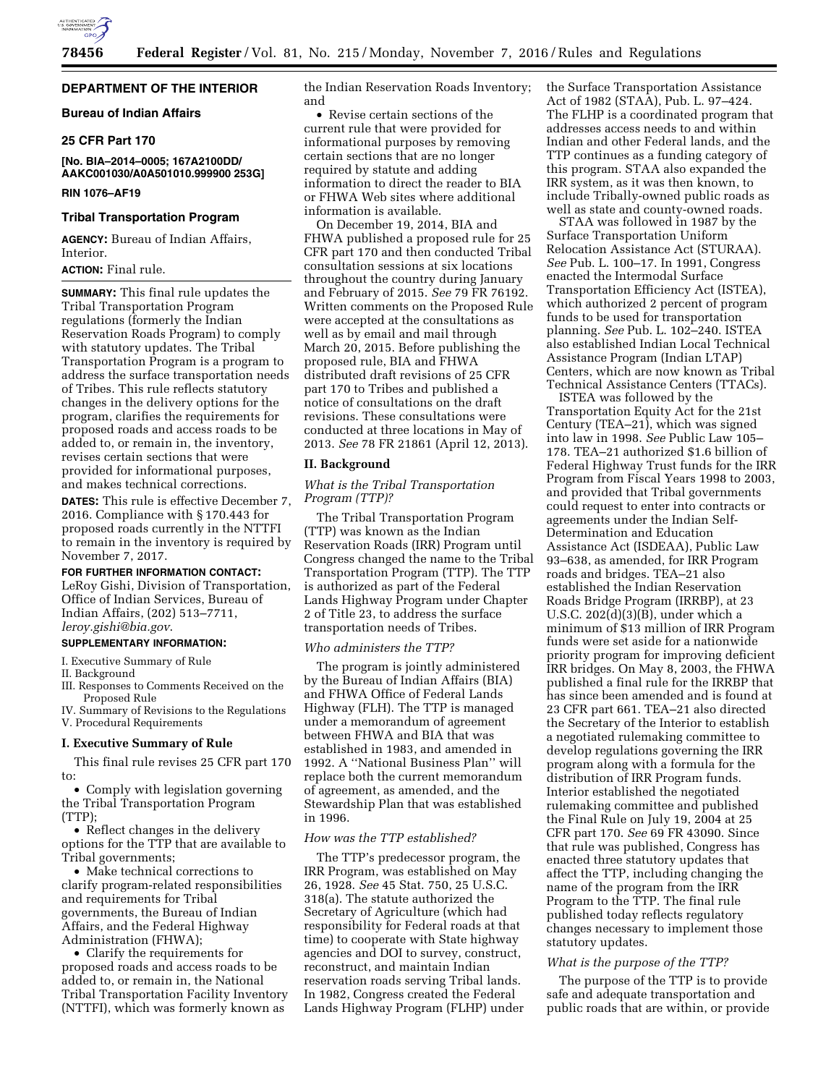

# **DEPARTMENT OF THE INTERIOR**

# **Bureau of Indian Affairs**

### **25 CFR Part 170**

**[No. BIA–2014–0005; 167A2100DD/ AAKC001030/A0A501010.999900 253G]** 

# **RIN 1076–AF19**

### **Tribal Transportation Program**

**AGENCY:** Bureau of Indian Affairs, Interior.

# **ACTION:** Final rule.

**SUMMARY:** This final rule updates the Tribal Transportation Program regulations (formerly the Indian Reservation Roads Program) to comply with statutory updates. The Tribal Transportation Program is a program to address the surface transportation needs of Tribes. This rule reflects statutory changes in the delivery options for the program, clarifies the requirements for proposed roads and access roads to be added to, or remain in, the inventory, revises certain sections that were provided for informational purposes, and makes technical corrections.

**DATES:** This rule is effective December 7, 2016. Compliance with § 170.443 for proposed roads currently in the NTTFI to remain in the inventory is required by November 7, 2017.

# **FOR FURTHER INFORMATION CONTACT:**

LeRoy Gishi, Division of Transportation, Office of Indian Services, Bureau of Indian Affairs, (202) 513–7711, *[leroy.gishi@bia.gov](mailto:leroy.gishi@bia.gov)*.

# **SUPPLEMENTARY INFORMATION:**

I. Executive Summary of Rule

II. Background

- III. Responses to Comments Received on the Proposed Rule
- IV. Summary of Revisions to the Regulations V. Procedural Requirements

### **I. Executive Summary of Rule**

This final rule revises 25 CFR part 170 to:

• Comply with legislation governing the Tribal Transportation Program (TTP);

• Reflect changes in the delivery options for the TTP that are available to Tribal governments;

• Make technical corrections to clarify program-related responsibilities and requirements for Tribal governments, the Bureau of Indian Affairs, and the Federal Highway Administration (FHWA);

• Clarify the requirements for proposed roads and access roads to be added to, or remain in, the National Tribal Transportation Facility Inventory (NTTFI), which was formerly known as

the Indian Reservation Roads Inventory; and

• Revise certain sections of the current rule that were provided for informational purposes by removing certain sections that are no longer required by statute and adding information to direct the reader to BIA or FHWA Web sites where additional information is available.

On December 19, 2014, BIA and FHWA published a proposed rule for 25 CFR part 170 and then conducted Tribal consultation sessions at six locations throughout the country during January and February of 2015. *See* 79 FR 76192. Written comments on the Proposed Rule were accepted at the consultations as well as by email and mail through March 20, 2015. Before publishing the proposed rule, BIA and FHWA distributed draft revisions of 25 CFR part 170 to Tribes and published a notice of consultations on the draft revisions. These consultations were conducted at three locations in May of 2013. *See* 78 FR 21861 (April 12, 2013).

#### **II. Background**

*What is the Tribal Transportation Program (TTP)?* 

The Tribal Transportation Program (TTP) was known as the Indian Reservation Roads (IRR) Program until Congress changed the name to the Tribal Transportation Program (TTP). The TTP is authorized as part of the Federal Lands Highway Program under Chapter 2 of Title 23, to address the surface transportation needs of Tribes.

### *Who administers the TTP?*

The program is jointly administered by the Bureau of Indian Affairs (BIA) and FHWA Office of Federal Lands Highway (FLH). The TTP is managed under a memorandum of agreement between FHWA and BIA that was established in 1983, and amended in 1992. A ''National Business Plan'' will replace both the current memorandum of agreement, as amended, and the Stewardship Plan that was established in 1996.

#### *How was the TTP established?*

The TTP's predecessor program, the IRR Program, was established on May 26, 1928. *See* 45 Stat. 750, 25 U.S.C. 318(a). The statute authorized the Secretary of Agriculture (which had responsibility for Federal roads at that time) to cooperate with State highway agencies and DOI to survey, construct, reconstruct, and maintain Indian reservation roads serving Tribal lands. In 1982, Congress created the Federal Lands Highway Program (FLHP) under the Surface Transportation Assistance Act of 1982 (STAA), Pub. L. 97–424. The FLHP is a coordinated program that addresses access needs to and within Indian and other Federal lands, and the TTP continues as a funding category of this program. STAA also expanded the IRR system, as it was then known, to include Tribally-owned public roads as well as state and county-owned roads.

STAA was followed in 1987 by the Surface Transportation Uniform Relocation Assistance Act (STURAA). *See* Pub. L. 100–17. In 1991, Congress enacted the Intermodal Surface Transportation Efficiency Act (ISTEA), which authorized 2 percent of program funds to be used for transportation planning. *See* Pub. L. 102–240. ISTEA also established Indian Local Technical Assistance Program (Indian LTAP) Centers, which are now known as Tribal Technical Assistance Centers (TTACs).

ISTEA was followed by the Transportation Equity Act for the 21st Century (TEA–21), which was signed into law in 1998. *See* Public Law 105– 178. TEA–21 authorized \$1.6 billion of Federal Highway Trust funds for the IRR Program from Fiscal Years 1998 to 2003, and provided that Tribal governments could request to enter into contracts or agreements under the Indian Self-Determination and Education Assistance Act (ISDEAA), Public Law 93–638, as amended, for IRR Program roads and bridges. TEA–21 also established the Indian Reservation Roads Bridge Program (IRRBP), at 23 U.S.C. 202(d)(3)(B), under which a minimum of \$13 million of IRR Program funds were set aside for a nationwide priority program for improving deficient IRR bridges. On May 8, 2003, the FHWA published a final rule for the IRRBP that has since been amended and is found at 23 CFR part 661. TEA–21 also directed the Secretary of the Interior to establish a negotiated rulemaking committee to develop regulations governing the IRR program along with a formula for the distribution of IRR Program funds. Interior established the negotiated rulemaking committee and published the Final Rule on July 19, 2004 at 25 CFR part 170. *See* 69 FR 43090. Since that rule was published, Congress has enacted three statutory updates that affect the TTP, including changing the name of the program from the IRR Program to the TTP. The final rule published today reflects regulatory changes necessary to implement those statutory updates.

#### *What is the purpose of the TTP?*

The purpose of the TTP is to provide safe and adequate transportation and public roads that are within, or provide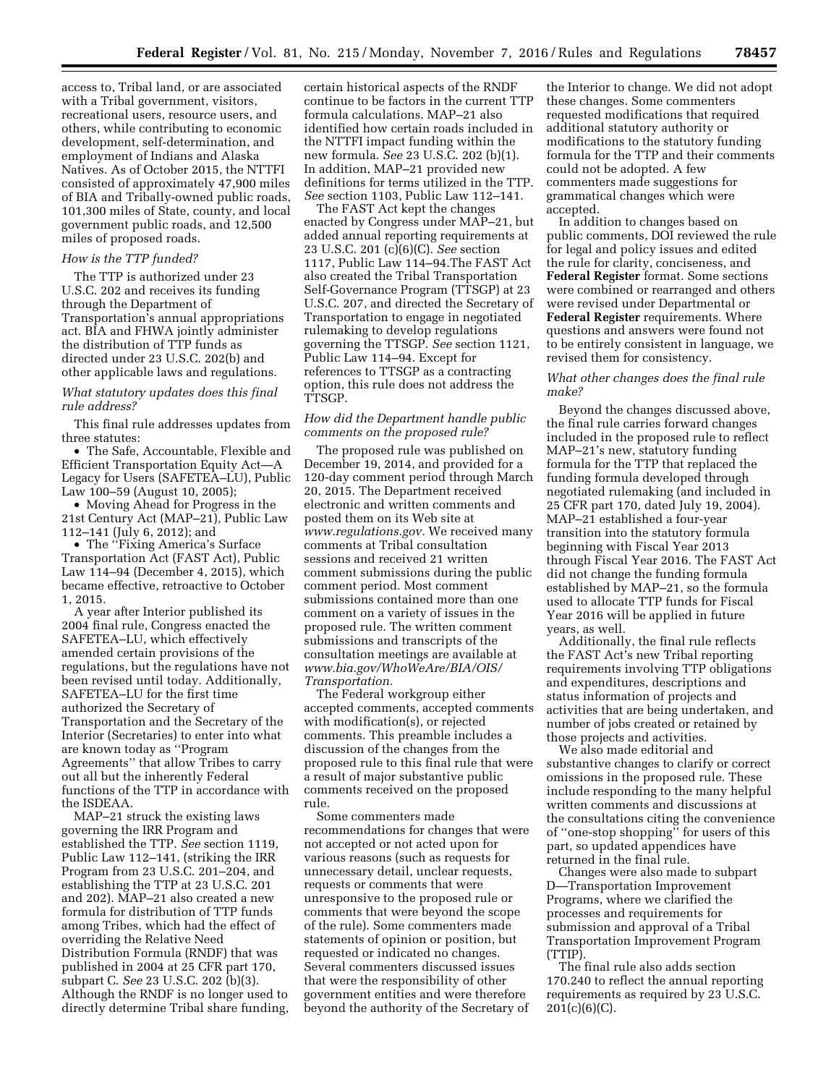access to, Tribal land, or are associated with a Tribal government, visitors, recreational users, resource users, and others, while contributing to economic development, self-determination, and employment of Indians and Alaska Natives. As of October 2015, the NTTFI consisted of approximately 47,900 miles of BIA and Tribally-owned public roads, 101,300 miles of State, county, and local government public roads, and 12,500 miles of proposed roads.

#### *How is the TTP funded?*

The TTP is authorized under 23 U.S.C. 202 and receives its funding through the Department of Transportation's annual appropriations act. BIA and FHWA jointly administer the distribution of TTP funds as directed under 23 U.S.C. 202(b) and other applicable laws and regulations.

# *What statutory updates does this final rule address?*

This final rule addresses updates from three statutes:

• The Safe, Accountable, Flexible and Efficient Transportation Equity Act—A Legacy for Users (SAFETEA–LU), Public Law 100–59 (August 10, 2005);

• Moving Ahead for Progress in the 21st Century Act (MAP–21), Public Law 112–141 (July 6, 2012); and

• The ''Fixing America's Surface Transportation Act (FAST Act), Public Law 114–94 (December 4, 2015), which became effective, retroactive to October 1, 2015.

A year after Interior published its 2004 final rule, Congress enacted the SAFETEA–LU, which effectively amended certain provisions of the regulations, but the regulations have not been revised until today. Additionally, SAFETEA–LU for the first time authorized the Secretary of Transportation and the Secretary of the Interior (Secretaries) to enter into what are known today as ''Program Agreements'' that allow Tribes to carry out all but the inherently Federal functions of the TTP in accordance with the ISDEAA.

MAP–21 struck the existing laws governing the IRR Program and established the TTP. *See* section 1119, Public Law 112–141, (striking the IRR Program from 23 U.S.C. 201–204, and establishing the TTP at 23 U.S.C. 201 and 202). MAP–21 also created a new formula for distribution of TTP funds among Tribes, which had the effect of overriding the Relative Need Distribution Formula (RNDF) that was published in 2004 at 25 CFR part 170, subpart C. *See* 23 U.S.C. 202 (b)(3). Although the RNDF is no longer used to directly determine Tribal share funding,

certain historical aspects of the RNDF continue to be factors in the current TTP formula calculations. MAP–21 also identified how certain roads included in the NTTFI impact funding within the new formula. *See* 23 U.S.C. 202 (b)(1). In addition, MAP–21 provided new definitions for terms utilized in the TTP. *See* section 1103, Public Law 112–141.

The FAST Act kept the changes enacted by Congress under MAP–21, but added annual reporting requirements at 23 U.S.C. 201 (c)(6)(C). *See* section 1117, Public Law 114–94.The FAST Act also created the Tribal Transportation Self-Governance Program (TTSGP) at 23 U.S.C. 207, and directed the Secretary of Transportation to engage in negotiated rulemaking to develop regulations governing the TTSGP. *See* section 1121, Public Law 114–94. Except for references to TTSGP as a contracting option, this rule does not address the TTSGP.

### *How did the Department handle public comments on the proposed rule?*

The proposed rule was published on December 19, 2014, and provided for a 120-day comment period through March 20, 2015. The Department received electronic and written comments and posted them on its Web site at *[www.regulations.gov.](http://www.regulations.gov)* We received many comments at Tribal consultation sessions and received 21 written comment submissions during the public comment period. Most comment submissions contained more than one comment on a variety of issues in the proposed rule. The written comment submissions and transcripts of the consultation meetings are available at *[www.bia.gov/WhoWeAre/BIA/OIS/](http://www.bia.gov/WhoWeAre/BIA/OIS/Transportation)  [Transportation.](http://www.bia.gov/WhoWeAre/BIA/OIS/Transportation)* 

The Federal workgroup either accepted comments, accepted comments with modification(s), or rejected comments. This preamble includes a discussion of the changes from the proposed rule to this final rule that were a result of major substantive public comments received on the proposed rule.

Some commenters made recommendations for changes that were not accepted or not acted upon for various reasons (such as requests for unnecessary detail, unclear requests, requests or comments that were unresponsive to the proposed rule or comments that were beyond the scope of the rule). Some commenters made statements of opinion or position, but requested or indicated no changes. Several commenters discussed issues that were the responsibility of other government entities and were therefore beyond the authority of the Secretary of

the Interior to change. We did not adopt these changes. Some commenters requested modifications that required additional statutory authority or modifications to the statutory funding formula for the TTP and their comments could not be adopted. A few commenters made suggestions for grammatical changes which were accepted.

In addition to changes based on public comments, DOI reviewed the rule for legal and policy issues and edited the rule for clarity, conciseness, and **Federal Register** format. Some sections were combined or rearranged and others were revised under Departmental or **Federal Register** requirements. Where questions and answers were found not to be entirely consistent in language, we revised them for consistency.

### *What other changes does the final rule make?*

Beyond the changes discussed above, the final rule carries forward changes included in the proposed rule to reflect MAP–21's new, statutory funding formula for the TTP that replaced the funding formula developed through negotiated rulemaking (and included in 25 CFR part 170, dated July 19, 2004). MAP–21 established a four-year transition into the statutory formula beginning with Fiscal Year 2013 through Fiscal Year 2016. The FAST Act did not change the funding formula established by MAP–21, so the formula used to allocate TTP funds for Fiscal Year 2016 will be applied in future years, as well.

Additionally, the final rule reflects the FAST Act's new Tribal reporting requirements involving TTP obligations and expenditures, descriptions and status information of projects and activities that are being undertaken, and number of jobs created or retained by those projects and activities.

We also made editorial and substantive changes to clarify or correct omissions in the proposed rule. These include responding to the many helpful written comments and discussions at the consultations citing the convenience of ''one-stop shopping'' for users of this part, so updated appendices have returned in the final rule.

Changes were also made to subpart D—Transportation Improvement Programs, where we clarified the processes and requirements for submission and approval of a Tribal Transportation Improvement Program (TTIP).

The final rule also adds section 170.240 to reflect the annual reporting requirements as required by 23 U.S.C. 201(c)(6)(C).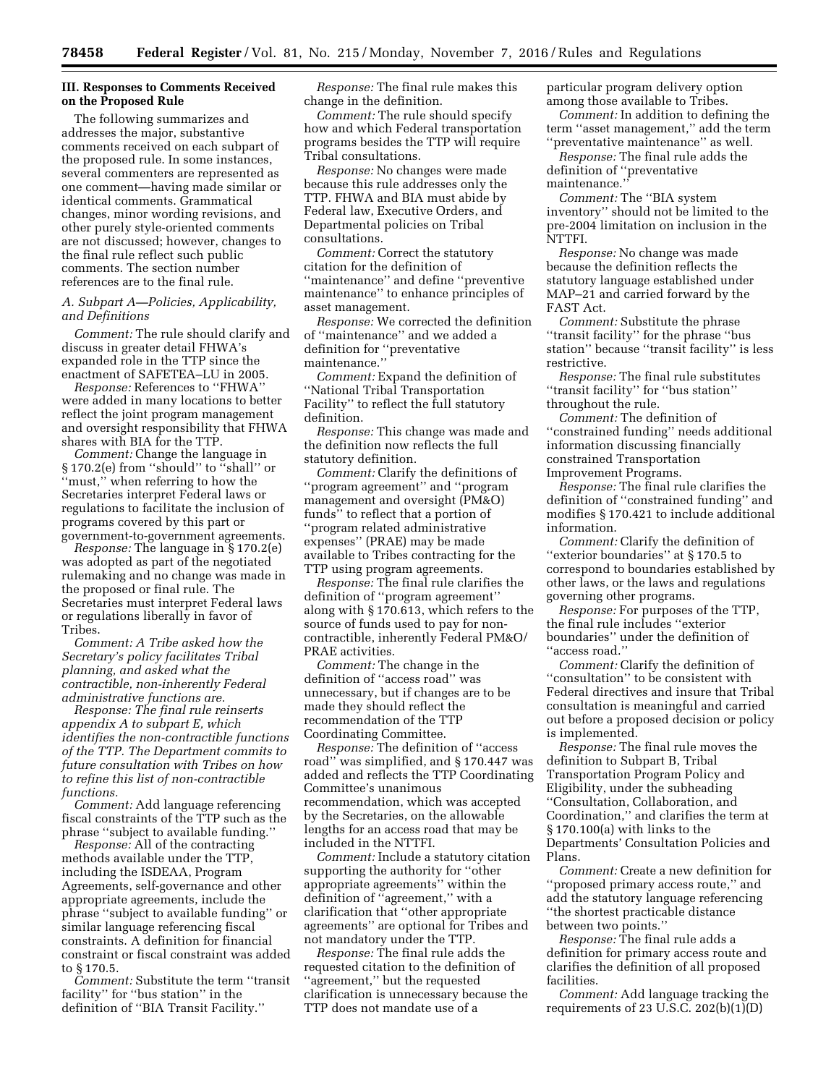# **III. Responses to Comments Received on the Proposed Rule**

The following summarizes and addresses the major, substantive comments received on each subpart of the proposed rule. In some instances, several commenters are represented as one comment—having made similar or identical comments. Grammatical changes, minor wording revisions, and other purely style-oriented comments are not discussed; however, changes to the final rule reflect such public comments. The section number references are to the final rule.

# *A. Subpart A—Policies, Applicability, and Definitions*

*Comment:* The rule should clarify and discuss in greater detail FHWA's expanded role in the TTP since the enactment of SAFETEA–LU in 2005.

*Response:* References to ''FHWA'' were added in many locations to better reflect the joint program management and oversight responsibility that FHWA shares with BIA for the TTP.

*Comment:* Change the language in § 170.2(e) from ''should'' to ''shall'' or ''must,'' when referring to how the Secretaries interpret Federal laws or regulations to facilitate the inclusion of programs covered by this part or government-to-government agreements.

*Response:* The language in § 170.2(e) was adopted as part of the negotiated rulemaking and no change was made in the proposed or final rule. The Secretaries must interpret Federal laws or regulations liberally in favor of Tribes.

*Comment: A Tribe asked how the Secretary's policy facilitates Tribal planning, and asked what the contractible, non-inherently Federal administrative functions are.* 

*Response: The final rule reinserts appendix A to subpart E, which identifies the non-contractible functions of the TTP. The Department commits to future consultation with Tribes on how to refine this list of non-contractible functions.* 

*Comment:* Add language referencing fiscal constraints of the TTP such as the phrase ''subject to available funding.''

*Response:* All of the contracting methods available under the TTP, including the ISDEAA, Program Agreements, self-governance and other appropriate agreements, include the phrase ''subject to available funding'' or similar language referencing fiscal constraints. A definition for financial constraint or fiscal constraint was added to § 170.5.

*Comment:* Substitute the term ''transit facility'' for ''bus station'' in the definition of ''BIA Transit Facility.''

*Response:* The final rule makes this change in the definition.

*Comment:* The rule should specify how and which Federal transportation programs besides the TTP will require Tribal consultations.

*Response:* No changes were made because this rule addresses only the TTP. FHWA and BIA must abide by Federal law, Executive Orders, and Departmental policies on Tribal consultations.

*Comment:* Correct the statutory citation for the definition of ''maintenance'' and define ''preventive maintenance'' to enhance principles of asset management.

*Response:* We corrected the definition of ''maintenance'' and we added a definition for ''preventative maintenance.''

*Comment:* Expand the definition of ''National Tribal Transportation Facility'' to reflect the full statutory definition.

*Response:* This change was made and the definition now reflects the full statutory definition.

*Comment:* Clarify the definitions of ''program agreement'' and ''program management and oversight (PM&O) funds'' to reflect that a portion of ''program related administrative expenses'' (PRAE) may be made available to Tribes contracting for the TTP using program agreements.

*Response:* The final rule clarifies the definition of ''program agreement'' along with § 170.613, which refers to the source of funds used to pay for noncontractible, inherently Federal PM&O/ PRAE activities.

*Comment:* The change in the definition of ''access road'' was unnecessary, but if changes are to be made they should reflect the recommendation of the TTP Coordinating Committee.

*Response:* The definition of ''access road'' was simplified, and § 170.447 was added and reflects the TTP Coordinating Committee's unanimous recommendation, which was accepted by the Secretaries, on the allowable lengths for an access road that may be included in the NTTFI.

*Comment:* Include a statutory citation supporting the authority for ''other appropriate agreements'' within the definition of ''agreement,'' with a clarification that ''other appropriate agreements'' are optional for Tribes and not mandatory under the TTP.

*Response:* The final rule adds the requested citation to the definition of ''agreement,'' but the requested clarification is unnecessary because the TTP does not mandate use of a

particular program delivery option among those available to Tribes.

*Comment:* In addition to defining the term ''asset management,'' add the term ''preventative maintenance'' as well.

*Response:* The final rule adds the definition of ''preventative

maintenance.''

*Comment:* The ''BIA system inventory'' should not be limited to the pre-2004 limitation on inclusion in the NTTFI.

*Response:* No change was made because the definition reflects the statutory language established under MAP–21 and carried forward by the FAST Act.

*Comment:* Substitute the phrase ''transit facility'' for the phrase ''bus station'' because ''transit facility'' is less restrictive.

*Response:* The final rule substitutes ''transit facility'' for ''bus station'' throughout the rule.

*Comment:* The definition of ''constrained funding'' needs additional information discussing financially constrained Transportation Improvement Programs.

*Response:* The final rule clarifies the definition of ''constrained funding'' and modifies § 170.421 to include additional information.

*Comment:* Clarify the definition of ''exterior boundaries'' at § 170.5 to correspond to boundaries established by other laws, or the laws and regulations governing other programs.

*Response:* For purposes of the TTP, the final rule includes ''exterior boundaries'' under the definition of ''access road.''

*Comment:* Clarify the definition of "consultation" to be consistent with Federal directives and insure that Tribal consultation is meaningful and carried out before a proposed decision or policy is implemented.

*Response:* The final rule moves the definition to Subpart B, Tribal Transportation Program Policy and Eligibility, under the subheading ''Consultation, Collaboration, and Coordination,'' and clarifies the term at § 170.100(a) with links to the Departments' Consultation Policies and Plans.

*Comment:* Create a new definition for ''proposed primary access route,'' and add the statutory language referencing ''the shortest practicable distance between two points.''

*Response:* The final rule adds a definition for primary access route and clarifies the definition of all proposed facilities.

*Comment:* Add language tracking the requirements of 23 U.S.C.  $202(b)(1)(D)$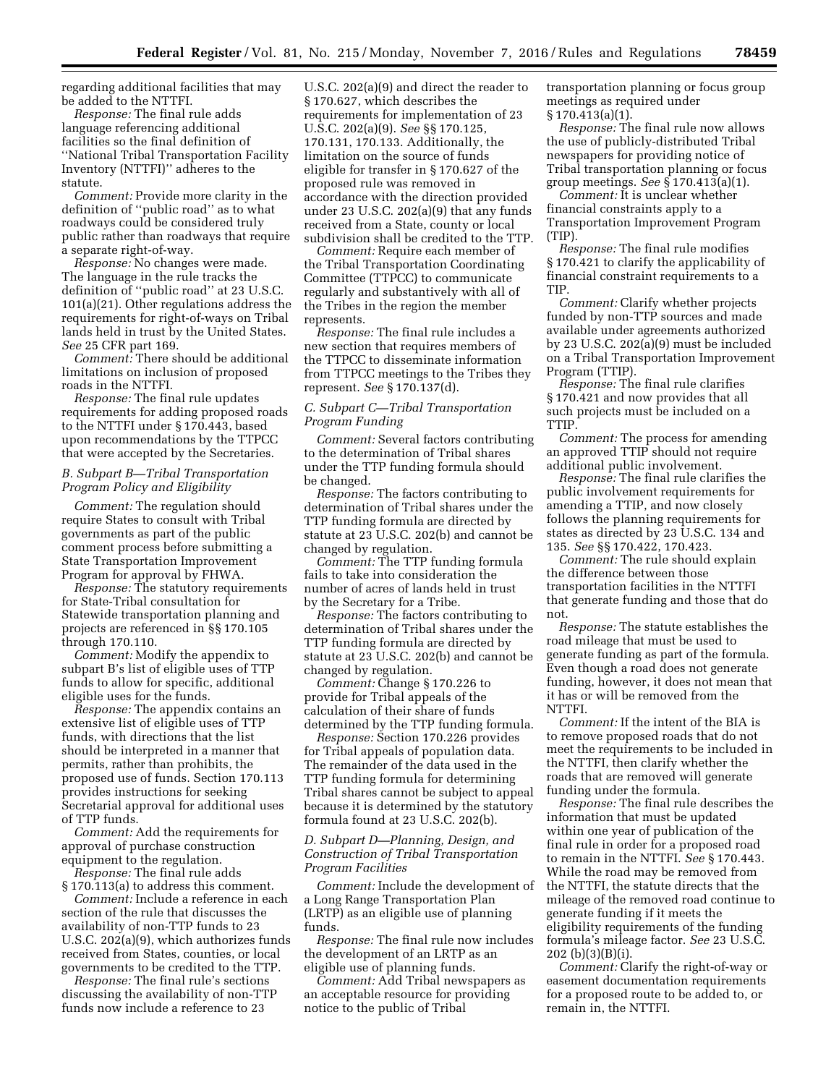regarding additional facilities that may be added to the NTTFI.

*Response:* The final rule adds language referencing additional facilities so the final definition of ''National Tribal Transportation Facility Inventory (NTTFI)'' adheres to the statute.

*Comment:* Provide more clarity in the definition of ''public road'' as to what roadways could be considered truly public rather than roadways that require a separate right-of-way.

*Response:* No changes were made. The language in the rule tracks the definition of ''public road'' at 23 U.S.C. 101(a)(21). Other regulations address the requirements for right-of-ways on Tribal lands held in trust by the United States. *See* 25 CFR part 169.

*Comment:* There should be additional limitations on inclusion of proposed roads in the NTTFI.

*Response:* The final rule updates requirements for adding proposed roads to the NTTFI under § 170.443, based upon recommendations by the TTPCC that were accepted by the Secretaries.

# *B. Subpart B—Tribal Transportation Program Policy and Eligibility*

*Comment:* The regulation should require States to consult with Tribal governments as part of the public comment process before submitting a State Transportation Improvement Program for approval by FHWA.

*Response:* The statutory requirements for State-Tribal consultation for Statewide transportation planning and projects are referenced in §§ 170.105 through 170.110.

*Comment:* Modify the appendix to subpart B's list of eligible uses of TTP funds to allow for specific, additional eligible uses for the funds.

*Response:* The appendix contains an extensive list of eligible uses of TTP funds, with directions that the list should be interpreted in a manner that permits, rather than prohibits, the proposed use of funds. Section 170.113 provides instructions for seeking Secretarial approval for additional uses of TTP funds.

*Comment:* Add the requirements for approval of purchase construction equipment to the regulation.

*Response:* The final rule adds § 170.113(a) to address this comment.

*Comment:* Include a reference in each section of the rule that discusses the availability of non-TTP funds to 23 U.S.C. 202(a)(9), which authorizes funds received from States, counties, or local governments to be credited to the TTP.

*Response:* The final rule's sections discussing the availability of non-TTP funds now include a reference to 23

U.S.C. 202(a)(9) and direct the reader to § 170.627, which describes the requirements for implementation of 23 U.S.C. 202(a)(9). *See* §§ 170.125, 170.131, 170.133. Additionally, the limitation on the source of funds eligible for transfer in § 170.627 of the proposed rule was removed in accordance with the direction provided under 23 U.S.C. 202(a)(9) that any funds received from a State, county or local subdivision shall be credited to the TTP.

*Comment:* Require each member of the Tribal Transportation Coordinating Committee (TTPCC) to communicate regularly and substantively with all of the Tribes in the region the member represents.

*Response:* The final rule includes a new section that requires members of the TTPCC to disseminate information from TTPCC meetings to the Tribes they represent. *See* § 170.137(d).

# *C. Subpart C—Tribal Transportation Program Funding*

*Comment:* Several factors contributing to the determination of Tribal shares under the TTP funding formula should be changed.

*Response:* The factors contributing to determination of Tribal shares under the TTP funding formula are directed by statute at 23 U.S.C. 202(b) and cannot be changed by regulation.

*Comment:* The TTP funding formula fails to take into consideration the number of acres of lands held in trust by the Secretary for a Tribe.

*Response:* The factors contributing to determination of Tribal shares under the TTP funding formula are directed by statute at 23 U.S.C. 202(b) and cannot be changed by regulation.

*Comment:* Change § 170.226 to provide for Tribal appeals of the calculation of their share of funds determined by the TTP funding formula.

*Response:* Section 170.226 provides for Tribal appeals of population data. The remainder of the data used in the TTP funding formula for determining Tribal shares cannot be subject to appeal because it is determined by the statutory formula found at 23 U.S.C. 202(b).

# *D. Subpart D—Planning, Design, and Construction of Tribal Transportation Program Facilities*

*Comment:* Include the development of a Long Range Transportation Plan (LRTP) as an eligible use of planning funds.

*Response:* The final rule now includes the development of an LRTP as an eligible use of planning funds.

*Comment:* Add Tribal newspapers as an acceptable resource for providing notice to the public of Tribal

transportation planning or focus group meetings as required under § 170.413(a)(1).

*Response:* The final rule now allows the use of publicly-distributed Tribal newspapers for providing notice of Tribal transportation planning or focus group meetings. *See* § 170.413(a)(1).

*Comment:* It is unclear whether financial constraints apply to a Transportation Improvement Program (TIP).

*Response:* The final rule modifies § 170.421 to clarify the applicability of financial constraint requirements to a TIP.

*Comment:* Clarify whether projects funded by non-TTP sources and made available under agreements authorized by 23 U.S.C. 202(a)(9) must be included on a Tribal Transportation Improvement Program (TTIP).

*Response:* The final rule clarifies § 170.421 and now provides that all such projects must be included on a TTIP.

*Comment:* The process for amending an approved TTIP should not require additional public involvement.

*Response:* The final rule clarifies the public involvement requirements for amending a TTIP, and now closely follows the planning requirements for states as directed by 23 U.S.C. 134 and 135. *See* §§ 170.422, 170.423.

*Comment:* The rule should explain the difference between those transportation facilities in the NTTFI that generate funding and those that do not.

*Response:* The statute establishes the road mileage that must be used to generate funding as part of the formula. Even though a road does not generate funding, however, it does not mean that it has or will be removed from the NTTFI.

*Comment:* If the intent of the BIA is to remove proposed roads that do not meet the requirements to be included in the NTTFI, then clarify whether the roads that are removed will generate funding under the formula.

*Response:* The final rule describes the information that must be updated within one year of publication of the final rule in order for a proposed road to remain in the NTTFI. *See* § 170.443. While the road may be removed from the NTTFI, the statute directs that the mileage of the removed road continue to generate funding if it meets the eligibility requirements of the funding formula's mileage factor. *See* 23 U.S.C. 202 (b)(3)(B)(i).

*Comment:* Clarify the right-of-way or easement documentation requirements for a proposed route to be added to, or remain in, the NTTFI.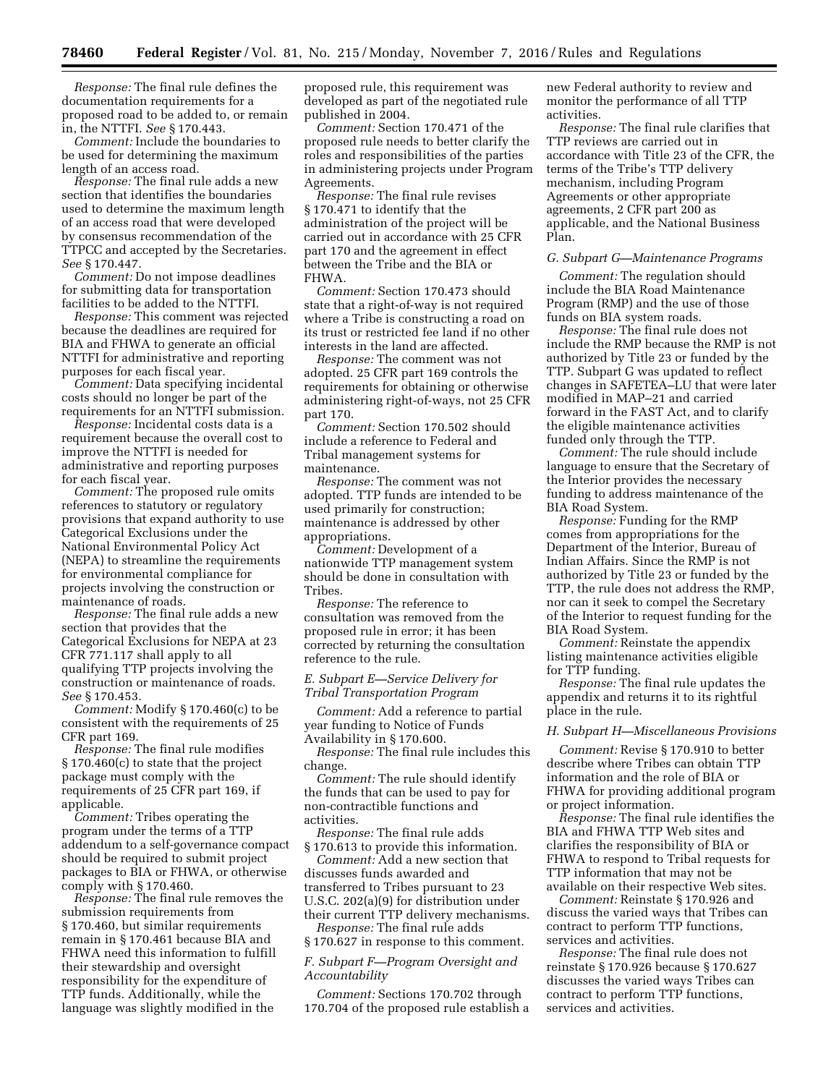*Response:* The final rule defines the documentation requirements for a proposed road to be added to, or remain in, the NTTFI. *See* § 170.443.

*Comment:* Include the boundaries to be used for determining the maximum length of an access road.

*Response:* The final rule adds a new section that identifies the boundaries used to determine the maximum length of an access road that were developed by consensus recommendation of the TTPCC and accepted by the Secretaries. *See* § 170.447.

*Comment:* Do not impose deadlines for submitting data for transportation facilities to be added to the NTTFI.

*Response:* This comment was rejected because the deadlines are required for BIA and FHWA to generate an official NTTFI for administrative and reporting purposes for each fiscal year.

*Comment:* Data specifying incidental costs should no longer be part of the requirements for an NTTFI submission.

*Response:* Incidental costs data is a requirement because the overall cost to improve the NTTFI is needed for administrative and reporting purposes for each fiscal year.

*Comment:* The proposed rule omits references to statutory or regulatory provisions that expand authority to use Categorical Exclusions under the National Environmental Policy Act (NEPA) to streamline the requirements for environmental compliance for projects involving the construction or maintenance of roads.

*Response:* The final rule adds a new section that provides that the Categorical Exclusions for NEPA at 23 CFR 771.117 shall apply to all qualifying TTP projects involving the construction or maintenance of roads. *See* § 170.453.

*Comment:* Modify § 170.460(c) to be consistent with the requirements of 25 CFR part 169.

*Response:* The final rule modifies § 170.460(c) to state that the project package must comply with the requirements of 25 CFR part 169, if applicable.

*Comment:* Tribes operating the program under the terms of a TTP addendum to a self-governance compact should be required to submit project packages to BIA or FHWA, or otherwise comply with § 170.460.

*Response:* The final rule removes the submission requirements from § 170.460, but similar requirements remain in § 170.461 because BIA and FHWA need this information to fulfill their stewardship and oversight responsibility for the expenditure of TTP funds. Additionally, while the language was slightly modified in the

proposed rule, this requirement was developed as part of the negotiated rule published in 2004.

*Comment:* Section 170.471 of the proposed rule needs to better clarify the roles and responsibilities of the parties in administering projects under Program Agreements.

*Response:* The final rule revises § 170.471 to identify that the administration of the project will be carried out in accordance with 25 CFR part 170 and the agreement in effect between the Tribe and the BIA or FHWA.

*Comment:* Section 170.473 should state that a right-of-way is not required where a Tribe is constructing a road on its trust or restricted fee land if no other interests in the land are affected.

*Response:* The comment was not adopted. 25 CFR part 169 controls the requirements for obtaining or otherwise administering right-of-ways, not 25 CFR part 170.

*Comment:* Section 170.502 should include a reference to Federal and Tribal management systems for maintenance.

*Response:* The comment was not adopted. TTP funds are intended to be used primarily for construction; maintenance is addressed by other appropriations.

*Comment:* Development of a nationwide TTP management system should be done in consultation with Tribes.

*Response:* The reference to consultation was removed from the proposed rule in error; it has been corrected by returning the consultation reference to the rule.

*E. Subpart E—Service Delivery for Tribal Transportation Program* 

*Comment:* Add a reference to partial year funding to Notice of Funds Availability in § 170.600.

*Response:* The final rule includes this change.

*Comment:* The rule should identify the funds that can be used to pay for non-contractible functions and activities.

*Response:* The final rule adds § 170.613 to provide this information.

*Comment:* Add a new section that discusses funds awarded and transferred to Tribes pursuant to 23 U.S.C. 202(a)(9) for distribution under their current TTP delivery mechanisms.

*Response:* The final rule adds § 170.627 in response to this comment.

*F. Subpart F—Program Oversight and Accountability* 

*Comment:* Sections 170.702 through 170.704 of the proposed rule establish a new Federal authority to review and monitor the performance of all TTP activities.

*Response:* The final rule clarifies that TTP reviews are carried out in accordance with Title 23 of the CFR, the terms of the Tribe's TTP delivery mechanism, including Program Agreements or other appropriate agreements, 2 CFR part 200 as applicable, and the National Business Plan.

#### *G. Subpart G—Maintenance Programs*

*Comment:* The regulation should include the BIA Road Maintenance Program (RMP) and the use of those funds on BIA system roads.

*Response:* The final rule does not include the RMP because the RMP is not authorized by Title 23 or funded by the TTP. Subpart G was updated to reflect changes in SAFETEA–LU that were later modified in MAP–21 and carried forward in the FAST Act, and to clarify the eligible maintenance activities funded only through the TTP.

*Comment:* The rule should include language to ensure that the Secretary of the Interior provides the necessary funding to address maintenance of the BIA Road System.

*Response:* Funding for the RMP comes from appropriations for the Department of the Interior, Bureau of Indian Affairs. Since the RMP is not authorized by Title 23 or funded by the TTP, the rule does not address the RMP, nor can it seek to compel the Secretary of the Interior to request funding for the BIA Road System.

*Comment:* Reinstate the appendix listing maintenance activities eligible for TTP funding.

*Response:* The final rule updates the appendix and returns it to its rightful place in the rule.

#### *H. Subpart H—Miscellaneous Provisions*

*Comment:* Revise § 170.910 to better describe where Tribes can obtain TTP information and the role of BIA or FHWA for providing additional program or project information.

*Response:* The final rule identifies the BIA and FHWA TTP Web sites and clarifies the responsibility of BIA or FHWA to respond to Tribal requests for TTP information that may not be available on their respective Web sites.

*Comment:* Reinstate § 170.926 and discuss the varied ways that Tribes can contract to perform TTP functions, services and activities.

*Response:* The final rule does not reinstate § 170.926 because § 170.627 discusses the varied ways Tribes can contract to perform TTP functions, services and activities.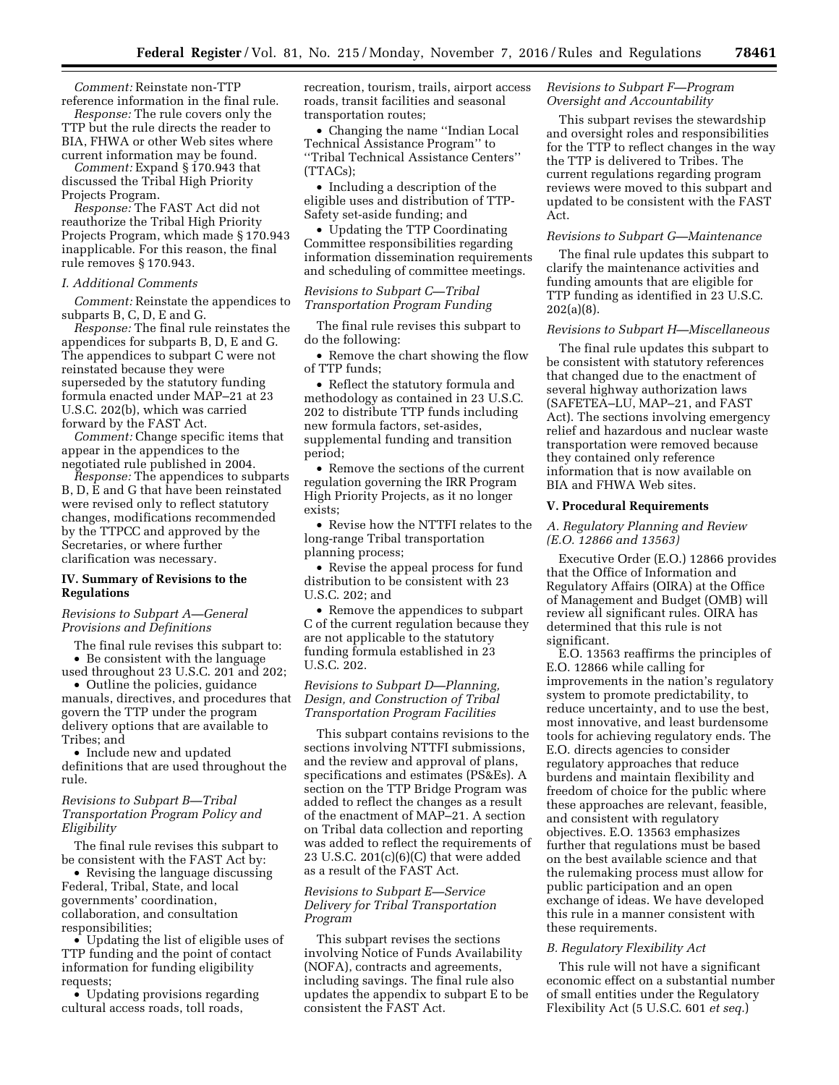*Comment:* Reinstate non-TTP reference information in the final rule.

*Response:* The rule covers only the TTP but the rule directs the reader to BIA, FHWA or other Web sites where current information may be found.

*Comment:* Expand § 170.943 that discussed the Tribal High Priority Projects Program.

*Response:* The FAST Act did not reauthorize the Tribal High Priority Projects Program, which made § 170.943 inapplicable. For this reason, the final rule removes § 170.943.

### *I. Additional Comments*

*Comment:* Reinstate the appendices to subparts B, C, D, E and G.

*Response:* The final rule reinstates the appendices for subparts B, D, E and G. The appendices to subpart C were not reinstated because they were superseded by the statutory funding formula enacted under MAP–21 at 23 U.S.C. 202(b), which was carried forward by the FAST Act.

*Comment:* Change specific items that appear in the appendices to the negotiated rule published in 2004.

*Response:* The appendices to subparts B, D, E and G that have been reinstated were revised only to reflect statutory changes, modifications recommended by the TTPCC and approved by the Secretaries, or where further clarification was necessary.

# **IV. Summary of Revisions to the Regulations**

### *Revisions to Subpart A—General Provisions and Definitions*

The final rule revises this subpart to: • Be consistent with the language

used throughout 23 U.S.C. 201 and 202; • Outline the policies, guidance manuals, directives, and procedures that govern the TTP under the program delivery options that are available to Tribes; and

• Include new and updated definitions that are used throughout the rule.

# *Revisions to Subpart B—Tribal Transportation Program Policy and Eligibility*

The final rule revises this subpart to be consistent with the FAST Act by:

• Revising the language discussing Federal, Tribal, State, and local governments' coordination, collaboration, and consultation responsibilities;

• Updating the list of eligible uses of TTP funding and the point of contact information for funding eligibility requests;

• Updating provisions regarding cultural access roads, toll roads,

recreation, tourism, trails, airport access roads, transit facilities and seasonal transportation routes;

• Changing the name ''Indian Local Technical Assistance Program'' to ''Tribal Technical Assistance Centers'' (TTACs);

• Including a description of the eligible uses and distribution of TTP-Safety set-aside funding; and

• Updating the TTP Coordinating Committee responsibilities regarding information dissemination requirements and scheduling of committee meetings.

# *Revisions to Subpart C—Tribal Transportation Program Funding*

The final rule revises this subpart to do the following:

• Remove the chart showing the flow of TTP funds;

• Reflect the statutory formula and methodology as contained in 23 U.S.C. 202 to distribute TTP funds including new formula factors, set-asides, supplemental funding and transition period;

• Remove the sections of the current regulation governing the IRR Program High Priority Projects, as it no longer exists;

• Revise how the NTTFI relates to the long-range Tribal transportation planning process;

• Revise the appeal process for fund distribution to be consistent with 23 U.S.C. 202; and

• Remove the appendices to subpart C of the current regulation because they are not applicable to the statutory funding formula established in 23 U.S.C. 202.

# *Revisions to Subpart D—Planning, Design, and Construction of Tribal Transportation Program Facilities*

This subpart contains revisions to the sections involving NTTFI submissions, and the review and approval of plans, specifications and estimates (PS&Es). A section on the TTP Bridge Program was added to reflect the changes as a result of the enactment of MAP–21. A section on Tribal data collection and reporting was added to reflect the requirements of 23 U.S.C. 201(c)(6)(C) that were added as a result of the FAST Act.

# *Revisions to Subpart E—Service Delivery for Tribal Transportation Program*

This subpart revises the sections involving Notice of Funds Availability (NOFA), contracts and agreements, including savings. The final rule also updates the appendix to subpart E to be consistent the FAST Act.

# *Revisions to Subpart F—Program Oversight and Accountability*

This subpart revises the stewardship and oversight roles and responsibilities for the TTP to reflect changes in the way the TTP is delivered to Tribes. The current regulations regarding program reviews were moved to this subpart and updated to be consistent with the FAST Act.

### *Revisions to Subpart G—Maintenance*

The final rule updates this subpart to clarify the maintenance activities and funding amounts that are eligible for TTP funding as identified in 23 U.S.C. 202(a)(8).

# *Revisions to Subpart H—Miscellaneous*

The final rule updates this subpart to be consistent with statutory references that changed due to the enactment of several highway authorization laws (SAFETEA–LU, MAP–21, and FAST Act). The sections involving emergency relief and hazardous and nuclear waste transportation were removed because they contained only reference information that is now available on BIA and FHWA Web sites.

### **V. Procedural Requirements**

# *A. Regulatory Planning and Review (E.O. 12866 and 13563)*

Executive Order (E.O.) 12866 provides that the Office of Information and Regulatory Affairs (OIRA) at the Office of Management and Budget (OMB) will review all significant rules. OIRA has determined that this rule is not significant.

E.O. 13563 reaffirms the principles of E.O. 12866 while calling for improvements in the nation's regulatory system to promote predictability, to reduce uncertainty, and to use the best, most innovative, and least burdensome tools for achieving regulatory ends. The E.O. directs agencies to consider regulatory approaches that reduce burdens and maintain flexibility and freedom of choice for the public where these approaches are relevant, feasible, and consistent with regulatory objectives. E.O. 13563 emphasizes further that regulations must be based on the best available science and that the rulemaking process must allow for public participation and an open exchange of ideas. We have developed this rule in a manner consistent with these requirements.

# *B. Regulatory Flexibility Act*

This rule will not have a significant economic effect on a substantial number of small entities under the Regulatory Flexibility Act (5 U.S.C. 601 *et seq.*)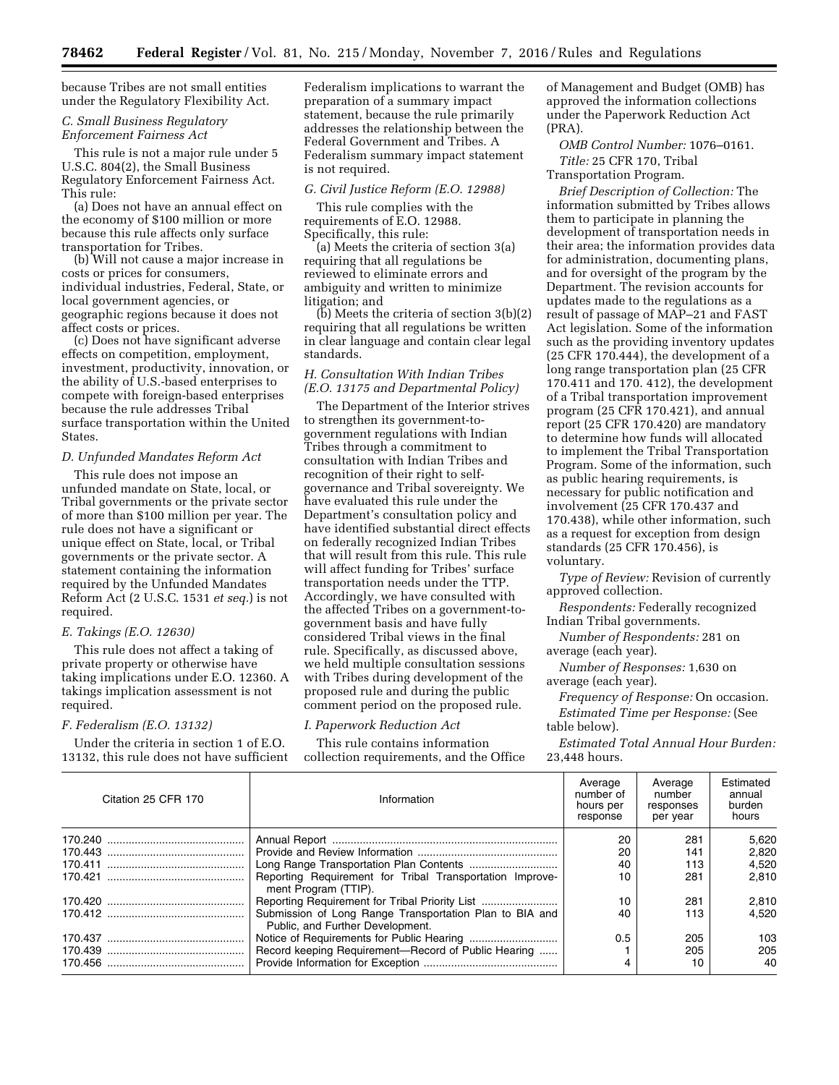because Tribes are not small entities under the Regulatory Flexibility Act.

### *C. Small Business Regulatory Enforcement Fairness Act*

This rule is not a major rule under 5 U.S.C. 804(2), the Small Business Regulatory Enforcement Fairness Act. This rule:

(a) Does not have an annual effect on the economy of \$100 million or more because this rule affects only surface transportation for Tribes.

(b) Will not cause a major increase in costs or prices for consumers, individual industries, Federal, State, or local government agencies, or geographic regions because it does not affect costs or prices.

(c) Does not have significant adverse effects on competition, employment, investment, productivity, innovation, or the ability of U.S.-based enterprises to compete with foreign-based enterprises because the rule addresses Tribal surface transportation within the United States.

### *D. Unfunded Mandates Reform Act*

This rule does not impose an unfunded mandate on State, local, or Tribal governments or the private sector of more than \$100 million per year. The rule does not have a significant or unique effect on State, local, or Tribal governments or the private sector. A statement containing the information required by the Unfunded Mandates Reform Act (2 U.S.C. 1531 *et seq.*) is not required.

# *E. Takings (E.O. 12630)*

This rule does not affect a taking of private property or otherwise have taking implications under E.O. 12360. A takings implication assessment is not required.

#### *F. Federalism (E.O. 13132)*

Under the criteria in section 1 of E.O. 13132, this rule does not have sufficient Federalism implications to warrant the preparation of a summary impact statement, because the rule primarily addresses the relationship between the Federal Government and Tribes. A Federalism summary impact statement is not required.

#### *G. Civil Justice Reform (E.O. 12988)*

This rule complies with the requirements of E.O. 12988. Specifically, this rule:

(a) Meets the criteria of section 3(a) requiring that all regulations be reviewed to eliminate errors and ambiguity and written to minimize litigation; and

 $(b)$  Meets the criteria of section  $3(b)(2)$ requiring that all regulations be written in clear language and contain clear legal standards.

# *H. Consultation With Indian Tribes (E.O. 13175 and Departmental Policy)*

The Department of the Interior strives to strengthen its government-togovernment regulations with Indian Tribes through a commitment to consultation with Indian Tribes and recognition of their right to selfgovernance and Tribal sovereignty. We have evaluated this rule under the Department's consultation policy and have identified substantial direct effects on federally recognized Indian Tribes that will result from this rule. This rule will affect funding for Tribes' surface transportation needs under the TTP. Accordingly, we have consulted with the affected Tribes on a government-togovernment basis and have fully considered Tribal views in the final rule. Specifically, as discussed above, we held multiple consultation sessions with Tribes during development of the proposed rule and during the public comment period on the proposed rule.

#### *I. Paperwork Reduction Act*

This rule contains information collection requirements, and the Office of Management and Budget (OMB) has approved the information collections under the Paperwork Reduction Act (PRA).

*OMB Control Number:* 1076–0161. *Title:* 25 CFR 170, Tribal

Transportation Program.

*Brief Description of Collection:* The information submitted by Tribes allows them to participate in planning the development of transportation needs in their area; the information provides data for administration, documenting plans, and for oversight of the program by the Department. The revision accounts for updates made to the regulations as a result of passage of MAP–21 and FAST Act legislation. Some of the information such as the providing inventory updates (25 CFR 170.444), the development of a long range transportation plan (25 CFR 170.411 and 170. 412), the development of a Tribal transportation improvement program (25 CFR 170.421), and annual report (25 CFR 170.420) are mandatory to determine how funds will allocated to implement the Tribal Transportation Program. Some of the information, such as public hearing requirements, is necessary for public notification and involvement (25 CFR 170.437 and 170.438), while other information, such as a request for exception from design standards (25 CFR 170.456), is voluntary.

*Type of Review:* Revision of currently approved collection.

*Respondents:* Federally recognized Indian Tribal governments.

*Number of Respondents:* 281 on average (each year).

*Number of Responses:* 1,630 on average (each year).

*Frequency of Response:* On occasion. *Estimated Time per Response:* (See table below).

*Estimated Total Annual Hour Burden:*  23,448 hours.

| Citation 25 CFR 170 | Information                                                                                 | Average<br>number of<br>hours per<br>response | Average<br>number<br>responses<br>per year | Estimated<br>annual<br>burden<br>hours |
|---------------------|---------------------------------------------------------------------------------------------|-----------------------------------------------|--------------------------------------------|----------------------------------------|
|                     |                                                                                             | 20                                            | 281                                        | 5.620                                  |
|                     |                                                                                             | 20                                            | 141                                        | 2.820                                  |
|                     |                                                                                             | 40                                            | 113                                        | 4.520                                  |
|                     | Reporting Requirement for Tribal Transportation Improve-<br>ment Program (TTIP).            | 10                                            | 281                                        | 2.810                                  |
|                     |                                                                                             | 10                                            | 281                                        | 2.810                                  |
|                     | Submission of Long Range Transportation Plan to BIA and<br>Public, and Further Development. | 40                                            | 113                                        | 4.520                                  |
|                     |                                                                                             | 0.5                                           | 205                                        | 103                                    |
|                     | Record keeping Requirement-Record of Public Hearing                                         |                                               | 205                                        | 205                                    |
|                     |                                                                                             |                                               | 10                                         | 40                                     |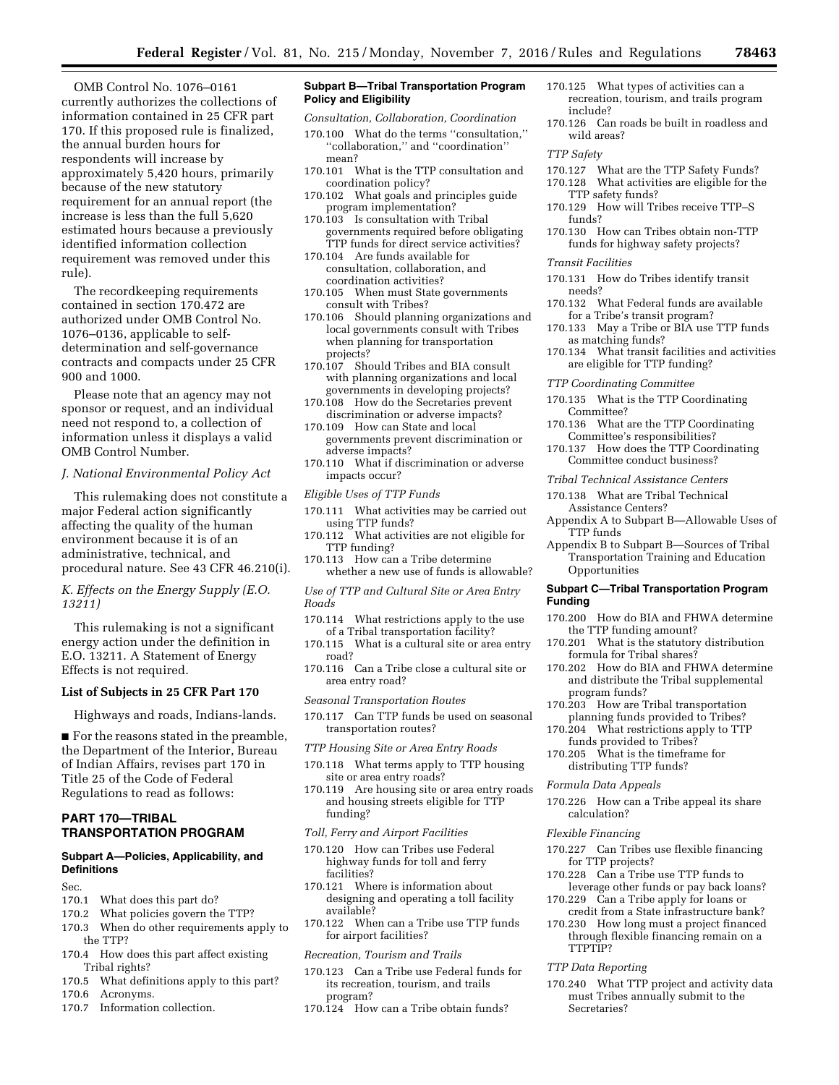OMB Control No. 1076–0161 currently authorizes the collections of information contained in 25 CFR part 170. If this proposed rule is finalized, the annual burden hours for respondents will increase by approximately 5,420 hours, primarily because of the new statutory requirement for an annual report (the increase is less than the full 5,620 estimated hours because a previously identified information collection requirement was removed under this rule).

The recordkeeping requirements contained in section 170.472 are authorized under OMB Control No. 1076–0136, applicable to selfdetermination and self-governance contracts and compacts under 25 CFR 900 and 1000.

Please note that an agency may not sponsor or request, and an individual need not respond to, a collection of information unless it displays a valid OMB Control Number.

#### *J. National Environmental Policy Act*

This rulemaking does not constitute a major Federal action significantly affecting the quality of the human environment because it is of an administrative, technical, and procedural nature. See 43 CFR 46.210(i).

### *K. Effects on the Energy Supply (E.O. 13211)*

This rulemaking is not a significant energy action under the definition in E.O. 13211. A Statement of Energy Effects is not required.

#### **List of Subjects in 25 CFR Part 170**

Highways and roads, Indians-lands.

■ For the reasons stated in the preamble, the Department of the Interior, Bureau of Indian Affairs, revises part 170 in Title 25 of the Code of Federal Regulations to read as follows:

# **PART 170—TRIBAL TRANSPORTATION PROGRAM**

# **Subpart A—Policies, Applicability, and Definitions**

Sec.

- 170.1 What does this part do?
- 170.2 What policies govern the TTP?
- 170.3 When do other requirements apply to the TTP?
- 170.4 How does this part affect existing Tribal rights?
- 170.5 What definitions apply to this part? 170.6 Acronyms.
- 170.7 Information collection.

### **Subpart B—Tribal Transportation Program Policy and Eligibility**

*Consultation, Collaboration, Coordination* 

- 170.100 What do the terms ''consultation,'' ''collaboration,'' and ''coordination'' mean?
- 170.101 What is the TTP consultation and coordination policy?
- 170.102 What goals and principles guide program implementation?
- 170.103 Is consultation with Tribal governments required before obligating TTP funds for direct service activities?
- 170.104 Are funds available for consultation, collaboration, and coordination activities?
- 170.105 When must State governments consult with Tribes?
- 170.106 Should planning organizations and local governments consult with Tribes when planning for transportation projects?
- 170.107 Should Tribes and BIA consult with planning organizations and local governments in developing projects?
- 170.108 How do the Secretaries prevent discrimination or adverse impacts?
- 170.109 How can State and local governments prevent discrimination or adverse impacts?
- 170.110 What if discrimination or adverse impacts occur?
- *Eligible Uses of TTP Funds*
- 170.111 What activities may be carried out using TTP funds?<br>170.112 What activit
- 170.112 What activities are not eligible for TTP funding?
- 170.113 How can a Tribe determine whether a new use of funds is allowable?
- *Use of TTP and Cultural Site or Area Entry Roads*
- 170.114 What restrictions apply to the use of a Tribal transportation facility?
- 170.115 What is a cultural site or area entry road?
- 170.116 Can a Tribe close a cultural site or area entry road?
- *Seasonal Transportation Routes*
- 170.117 Can TTP funds be used on seasonal transportation routes?
- *TTP Housing Site or Area Entry Roads*
- 170.118 What terms apply to TTP housing site or area entry roads?
- 170.119 Are housing site or area entry roads and housing streets eligible for TTP funding?
- *Toll, Ferry and Airport Facilities*
- 170.120 How can Tribes use Federal highway funds for toll and ferry facilities?
- 170.121 Where is information about designing and operating a toll facility available?
- 170.122 When can a Tribe use TTP funds for airport facilities?
- *Recreation, Tourism and Trails*
- 170.123 Can a Tribe use Federal funds for its recreation, tourism, and trails program?
- 170.124 How can a Tribe obtain funds?
- 170.125 What types of activities can a recreation, tourism, and trails program include?
- 170.126 Can roads be built in roadless and wild areas?

#### *TTP Safety*

- 170.127 What are the TTP Safety Funds?
- 170.128 What activities are eligible for the TTP safety funds?
- 170.129 How will Tribes receive TTP–S funds?
- 170.130 How can Tribes obtain non-TTP funds for highway safety projects?

*Transit Facilities* 

- 170.131 How do Tribes identify transit needs?
- 170.132 What Federal funds are available for a Tribe's transit program?
- 170.133 May a Tribe or BIA use TTP funds as matching funds?
- 170.134 What transit facilities and activities are eligible for TTP funding?
- *TTP Coordinating Committee*
- 170.135 What is the TTP Coordinating Committee?
- 170.136 What are the TTP Coordinating Committee's responsibilities?
- 170.137 How does the TTP Coordinating Committee conduct business?
- *Tribal Technical Assistance Centers*
- 170.138 What are Tribal Technical Assistance Centers?
- Appendix A to Subpart B—Allowable Uses of TTP funds
- Appendix B to Subpart B—Sources of Tribal Transportation Training and Education **Opportunities**

### **Subpart C—Tribal Transportation Program Funding**

- 170.200 How do BIA and FHWA determine the TTP funding amount?
- 170.201 What is the statutory distribution formula for Tribal shares?
- 170.202 How do BIA and FHWA determine and distribute the Tribal supplemental program funds?
- 170.203 How are Tribal transportation planning funds provided to Tribes?
- 170.204 What restrictions apply to TTP funds provided to Tribes?
- 170.205 What is the timeframe for distributing TTP funds?
- *Formula Data Appeals*
- 170.226 How can a Tribe appeal its share calculation?

#### *Flexible Financing*

- 170.227 Can Tribes use flexible financing for TTP projects?
- 170.228 Can a Tribe use TTP funds to leverage other funds or pay back loans?
- 170.229 Can a Tribe apply for loans or credit from a State infrastructure bank?
- 170.230 How long must a project financed through flexible financing remain on a TTPTIP?
- *TTP Data Reporting*
- 170.240 What TTP project and activity data must Tribes annually submit to the Secretaries?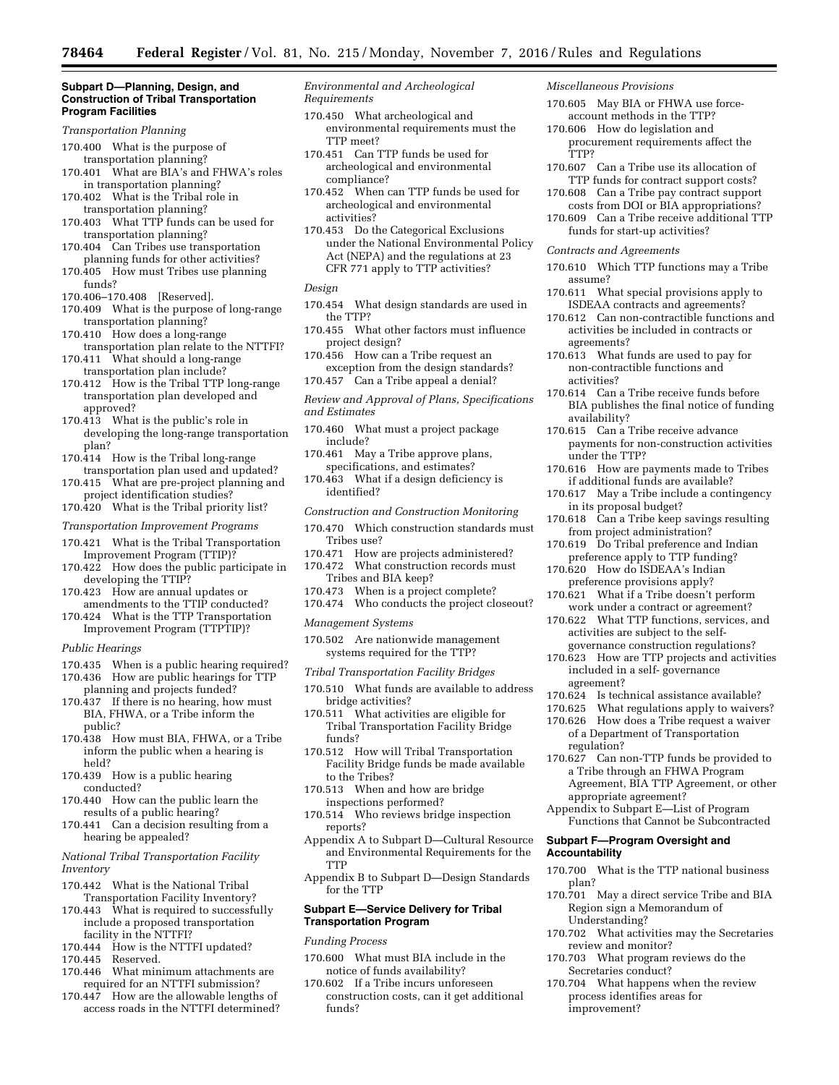#### **Subpart D—Planning, Design, and Construction of Tribal Transportation Program Facilities**

#### *Transportation Planning*

- 170.400 What is the purpose of transportation planning?
- 170.401 What are BIA's and FHWA's roles in transportation planning?
- 170.402 What is the Tribal role in transportation planning?
- 170.403 What TTP funds can be used for transportation planning?
- 170.404 Can Tribes use transportation planning funds for other activities?
- 170.405 How must Tribes use planning funds?
- 170.406–170.408 [Reserved].
- 170.409 What is the purpose of long-range transportation planning?
- 170.410 How does a long-range transportation plan relate to the NTTFI? 170.411 What should a long-range
- transportation plan include?
- 170.412 How is the Tribal TTP long-range transportation plan developed and approved?
- 170.413 What is the public's role in developing the long-range transportation plan?
- 170.414 How is the Tribal long-range transportation plan used and updated?
- 170.415 What are pre-project planning and project identification studies?
- 170.420 What is the Tribal priority list?

# *Transportation Improvement Programs*

- 170.421 What is the Tribal Transportation Improvement Program (TTIP)?
- 170.422 How does the public participate in developing the TTIP?
- 170.423 How are annual updates or amendments to the TTIP conducted?
- 170.424 What is the TTP Transportation Improvement Program (TTPTIP)?

# *Public Hearings*

- 170.435 When is a public hearing required?
- 170.436 How are public hearings for TTP planning and projects funded?
- 170.437 If there is no hearing, how must BIA, FHWA, or a Tribe inform the public?
- 170.438 How must BIA, FHWA, or a Tribe inform the public when a hearing is held?
- 170.439 How is a public hearing conducted?
- 170.440 How can the public learn the results of a public hearing?
- 170.441 Can a decision resulting from a hearing be appealed?
- *National Tribal Transportation Facility Inventory*
- 170.442 What is the National Tribal Transportation Facility Inventory?
- 170.443 What is required to successfully include a proposed transportation facility in the NTTFI?
- 170.444 How is the NTTFI updated?
- 170.445 Reserved.
- 170.446 What minimum attachments are required for an NTTFI submission?
- 170.447 How are the allowable lengths of access roads in the NTTFI determined?

*Environmental and Archeological Requirements* 

- 170.450 What archeological and environmental requirements must the TTP meet?
- 170.451 Can TTP funds be used for archeological and environmental compliance?
- 170.452 When can TTP funds be used for archeological and environmental activities?
- 170.453 Do the Categorical Exclusions under the National Environmental Policy Act (NEPA) and the regulations at 23 CFR 771 apply to TTP activities?

- 170.454 What design standards are used in the TTP?
- 170.455 What other factors must influence project design?
- 170.456 How can a Tribe request an exception from the design standards?
- 170.457 Can a Tribe appeal a denial? *Review and Approval of Plans, Specifications*
- *and Estimates*
- 170.460 What must a project package include?
- 170.461 May a Tribe approve plans, specifications, and estimates?
- 170.463 What if a design deficiency is identified?
- *Construction and Construction Monitoring*
- 170.470 Which construction standards must Tribes use?
- 170.471 How are projects administered?
- 170.472 What construction records must Tribes and BIA keep?
- 170.473 When is a project complete?
- 170.474 Who conducts the project closeout?
- *Management Systems*
- 170.502 Are nationwide management systems required for the TTP?
- *Tribal Transportation Facility Bridges*
- 170.510 What funds are available to address bridge activities?
- 170.511 What activities are eligible for Tribal Transportation Facility Bridge funds?
- 170.512 How will Tribal Transportation Facility Bridge funds be made available to the Tribes?
- 170.513 When and how are bridge inspections performed?
- 170.514 Who reviews bridge inspection reports?
- Appendix A to Subpart D—Cultural Resource and Environmental Requirements for the **TTP**
- Appendix B to Subpart D—Design Standards for the TTP

# **Subpart E—Service Delivery for Tribal Transportation Program**

#### *Funding Process*

- 170.600 What must BIA include in the notice of funds availability?
- 170.602 If a Tribe incurs unforeseen construction costs, can it get additional funds?

*Miscellaneous Provisions* 

- 170.605 May BIA or FHWA use forceaccount methods in the TTP?
- 170.606 How do legislation and procurement requirements affect the TTP?
- 170.607 Can a Tribe use its allocation of TTP funds for contract support costs?
- 170.608 Can a Tribe pay contract support costs from DOI or BIA appropriations?
- 170.609 Can a Tribe receive additional TTP funds for start-up activities?

#### *Contracts and Agreements*

- 170.610 Which TTP functions may a Tribe assume?
- 170.611 What special provisions apply to ISDEAA contracts and agreements?
- 170.612 Can non-contractible functions and activities be included in contracts or agreements?
- 170.613 What funds are used to pay for non-contractible functions and activities?
- 170.614 Can a Tribe receive funds before BIA publishes the final notice of funding availability?
- 170.615 Can a Tribe receive advance payments for non-construction activities under the TTP?
- 170.616 How are payments made to Tribes if additional funds are available?
- 170.617 May a Tribe include a contingency in its proposal budget?
- 170.618 Can a Tribe keep savings resulting from project administration?
- 170.619 Do Tribal preference and Indian preference apply to TTP funding?
- 170.620 How do ISDEAA's Indian preference provisions apply?
- 170.621 What if a Tribe doesn't perform work under a contract or agreement?
- 170.622 What TTP functions, services, and activities are subject to the selfgovernance construction regulations?
- 170.623 How are TTP projects and activities included in a self- governance
- agreement?<br>170.624 Is tech Is technical assistance available?
- 170.625 What regulations apply to waivers?
- 170.626 How does a Tribe request a waiver of a Department of Transportation regulation?
- 170.627 Can non-TTP funds be provided to a Tribe through an FHWA Program Agreement, BIA TTP Agreement, or other appropriate agreement?
- Appendix to Subpart E—List of Program
- Functions that Cannot be Subcontracted

170.700 What is the TTP national business

170.701 May a direct service Tribe and BIA Region sign a Memorandum of

170.702 What activities may the Secretaries

170.703 What program reviews do the

170.704 What happens when the review process identifies areas for

### **Subpart F—Program Oversight and Accountability**

plan?

Understanding?

improvement?

review and monitor?

Secretaries conduct?

*Design*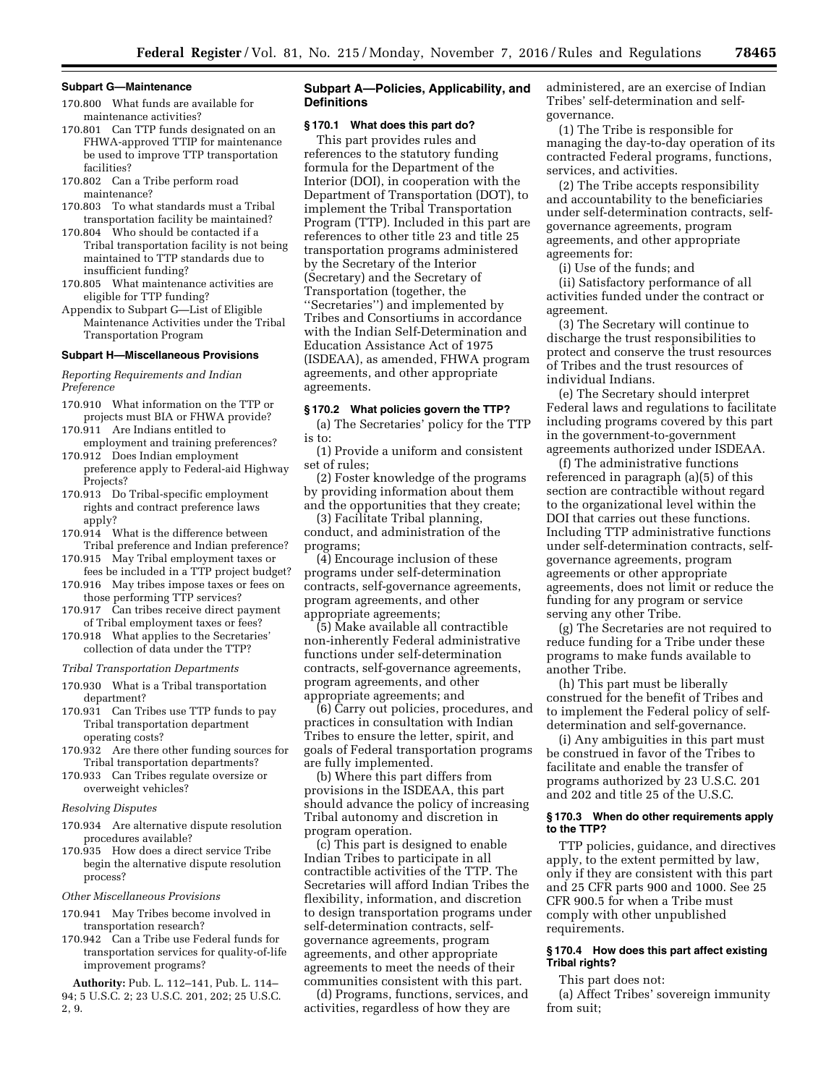### **Subpart G—Maintenance**

- 170.800 What funds are available for maintenance activities?
- 170.801 Can TTP funds designated on an FHWA-approved TTIP for maintenance be used to improve TTP transportation facilities?
- 170.802 Can a Tribe perform road maintenance?
- 170.803 To what standards must a Tribal transportation facility be maintained?
- 170.804 Who should be contacted if a Tribal transportation facility is not being maintained to TTP standards due to insufficient funding?
- 170.805 What maintenance activities are eligible for TTP funding?
- Appendix to Subpart G—List of Eligible Maintenance Activities under the Tribal Transportation Program

#### **Subpart H—Miscellaneous Provisions**

*Reporting Requirements and Indian Preference* 

- 170.910 What information on the TTP or projects must BIA or FHWA provide? 170.911 Are Indians entitled to
- employment and training preferences? 170.912 Does Indian employment
- preference apply to Federal-aid Highway Projects?
- 170.913 Do Tribal-specific employment rights and contract preference laws apply?

170.914 What is the difference between

- Tribal preference and Indian preference? 170.915 May Tribal employment taxes or
- fees be included in a TTP project budget? 170.916 May tribes impose taxes or fees on
- those performing TTP services? 170.917 Can tribes receive direct payment
- of Tribal employment taxes or fees? 170.918 What applies to the Secretaries'
- collection of data under the TTP?

# *Tribal Transportation Departments*

- 170.930 What is a Tribal transportation department?
- 170.931 Can Tribes use TTP funds to pay Tribal transportation department operating costs?
- 170.932 Are there other funding sources for Tribal transportation departments?
- 170.933 Can Tribes regulate oversize or overweight vehicles?

#### *Resolving Disputes*

- 170.934 Are alternative dispute resolution procedures available?
- 170.935 How does a direct service Tribe begin the alternative dispute resolution process?

### *Other Miscellaneous Provisions*

- 170.941 May Tribes become involved in transportation research?
- 170.942 Can a Tribe use Federal funds for transportation services for quality-of-life improvement programs?

**Authority:** Pub. L. 112–141, Pub. L. 114– 94; 5 U.S.C. 2; 23 U.S.C. 201, 202; 25 U.S.C. 2, 9.

# **Subpart A—Policies, Applicability, and Definitions**

#### **§ 170.1 What does this part do?**

This part provides rules and references to the statutory funding formula for the Department of the Interior (DOI), in cooperation with the Department of Transportation (DOT), to implement the Tribal Transportation Program (TTP). Included in this part are references to other title 23 and title 25 transportation programs administered by the Secretary of the Interior (Secretary) and the Secretary of Transportation (together, the ''Secretaries'') and implemented by Tribes and Consortiums in accordance with the Indian Self-Determination and Education Assistance Act of 1975 (ISDEAA), as amended, FHWA program agreements, and other appropriate agreements.

#### **§ 170.2 What policies govern the TTP?**

(a) The Secretaries' policy for the TTP is to:

(1) Provide a uniform and consistent set of rules;

(2) Foster knowledge of the programs by providing information about them and the opportunities that they create;

(3) Facilitate Tribal planning, conduct, and administration of the programs;

(4) Encourage inclusion of these programs under self-determination contracts, self-governance agreements, program agreements, and other appropriate agreements;

(5) Make available all contractible non-inherently Federal administrative functions under self-determination contracts, self-governance agreements, program agreements, and other appropriate agreements; and

(6) Carry out policies, procedures, and practices in consultation with Indian Tribes to ensure the letter, spirit, and goals of Federal transportation programs are fully implemented.

(b) Where this part differs from provisions in the ISDEAA, this part should advance the policy of increasing Tribal autonomy and discretion in program operation.

(c) This part is designed to enable Indian Tribes to participate in all contractible activities of the TTP. The Secretaries will afford Indian Tribes the flexibility, information, and discretion to design transportation programs under self-determination contracts, selfgovernance agreements, program agreements, and other appropriate agreements to meet the needs of their communities consistent with this part.

(d) Programs, functions, services, and activities, regardless of how they are

administered, are an exercise of Indian Tribes' self-determination and selfgovernance.

(1) The Tribe is responsible for managing the day-to-day operation of its contracted Federal programs, functions, services, and activities.

(2) The Tribe accepts responsibility and accountability to the beneficiaries under self-determination contracts, selfgovernance agreements, program agreements, and other appropriate agreements for:

(i) Use of the funds; and

(ii) Satisfactory performance of all activities funded under the contract or agreement.

(3) The Secretary will continue to discharge the trust responsibilities to protect and conserve the trust resources of Tribes and the trust resources of individual Indians.

(e) The Secretary should interpret Federal laws and regulations to facilitate including programs covered by this part in the government-to-government agreements authorized under ISDEAA.

(f) The administrative functions referenced in paragraph (a)(5) of this section are contractible without regard to the organizational level within the DOI that carries out these functions. Including TTP administrative functions under self-determination contracts, selfgovernance agreements, program agreements or other appropriate agreements, does not limit or reduce the funding for any program or service serving any other Tribe.

(g) The Secretaries are not required to reduce funding for a Tribe under these programs to make funds available to another Tribe.

(h) This part must be liberally construed for the benefit of Tribes and to implement the Federal policy of selfdetermination and self-governance.

(i) Any ambiguities in this part must be construed in favor of the Tribes to facilitate and enable the transfer of programs authorized by 23 U.S.C. 201 and 202 and title 25 of the U.S.C.

### **§ 170.3 When do other requirements apply to the TTP?**

TTP policies, guidance, and directives apply, to the extent permitted by law, only if they are consistent with this part and 25 CFR parts 900 and 1000. See 25 CFR 900.5 for when a Tribe must comply with other unpublished requirements.

# **§ 170.4 How does this part affect existing Tribal rights?**

This part does not:

(a) Affect Tribes' sovereign immunity from suit;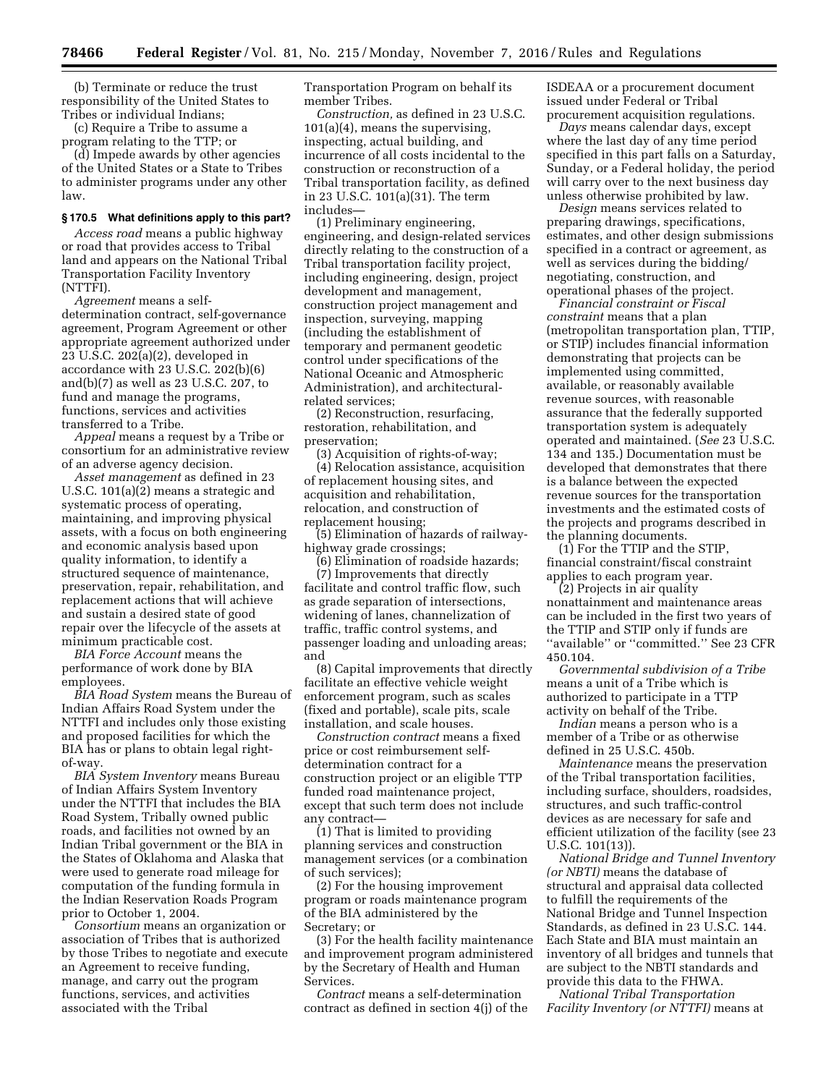(b) Terminate or reduce the trust responsibility of the United States to Tribes or individual Indians;

(c) Require a Tribe to assume a program relating to the TTP; or

(d) Impede awards by other agencies of the United States or a State to Tribes to administer programs under any other law.

# **§ 170.5 What definitions apply to this part?**

*Access road* means a public highway or road that provides access to Tribal land and appears on the National Tribal Transportation Facility Inventory (NTTFI).

*Agreement* means a selfdetermination contract, self-governance agreement, Program Agreement or other appropriate agreement authorized under 23 U.S.C. 202(a)(2), developed in accordance with 23 U.S.C. 202(b)(6) and(b)(7) as well as 23 U.S.C. 207, to fund and manage the programs, functions, services and activities transferred to a Tribe.

*Appeal* means a request by a Tribe or consortium for an administrative review of an adverse agency decision.

*Asset management* as defined in 23 U.S.C. 101(a)(2) means a strategic and systematic process of operating, maintaining, and improving physical assets, with a focus on both engineering and economic analysis based upon quality information, to identify a structured sequence of maintenance, preservation, repair, rehabilitation, and replacement actions that will achieve and sustain a desired state of good repair over the lifecycle of the assets at minimum practicable cost.

*BIA Force Account* means the performance of work done by BIA employees.

*BIA Road System* means the Bureau of Indian Affairs Road System under the NTTFI and includes only those existing and proposed facilities for which the BIA has or plans to obtain legal rightof-way.

*BIA System Inventory* means Bureau of Indian Affairs System Inventory under the NTTFI that includes the BIA Road System, Tribally owned public roads, and facilities not owned by an Indian Tribal government or the BIA in the States of Oklahoma and Alaska that were used to generate road mileage for computation of the funding formula in the Indian Reservation Roads Program prior to October 1, 2004.

*Consortium* means an organization or association of Tribes that is authorized by those Tribes to negotiate and execute an Agreement to receive funding, manage, and carry out the program functions, services, and activities associated with the Tribal

Transportation Program on behalf its member Tribes.

*Construction,* as defined in 23 U.S.C. 101(a)(4), means the supervising, inspecting, actual building, and incurrence of all costs incidental to the construction or reconstruction of a Tribal transportation facility, as defined in 23 U.S.C. 101(a)(31). The term includes—

(1) Preliminary engineering, engineering, and design-related services directly relating to the construction of a Tribal transportation facility project, including engineering, design, project development and management, construction project management and inspection, surveying, mapping (including the establishment of temporary and permanent geodetic control under specifications of the National Oceanic and Atmospheric Administration), and architecturalrelated services;

(2) Reconstruction, resurfacing, restoration, rehabilitation, and preservation;

(3) Acquisition of rights-of-way;

(4) Relocation assistance, acquisition of replacement housing sites, and acquisition and rehabilitation, relocation, and construction of replacement housing;

(5) Elimination of hazards of railwayhighway grade crossings;

(6) Elimination of roadside hazards;

(7) Improvements that directly facilitate and control traffic flow, such as grade separation of intersections, widening of lanes, channelization of traffic, traffic control systems, and passenger loading and unloading areas; and

(8) Capital improvements that directly facilitate an effective vehicle weight enforcement program, such as scales (fixed and portable), scale pits, scale installation, and scale houses.

*Construction contract* means a fixed price or cost reimbursement selfdetermination contract for a construction project or an eligible TTP funded road maintenance project, except that such term does not include any contract—

(1) That is limited to providing planning services and construction management services (or a combination of such services);

(2) For the housing improvement program or roads maintenance program of the BIA administered by the Secretary; or

(3) For the health facility maintenance and improvement program administered by the Secretary of Health and Human Services.

*Contract* means a self-determination contract as defined in section 4(j) of the ISDEAA or a procurement document issued under Federal or Tribal procurement acquisition regulations.

*Days* means calendar days, except where the last day of any time period specified in this part falls on a Saturday, Sunday, or a Federal holiday, the period will carry over to the next business day unless otherwise prohibited by law.

*Design* means services related to preparing drawings, specifications, estimates, and other design submissions specified in a contract or agreement, as well as services during the bidding/ negotiating, construction, and operational phases of the project.

*Financial constraint or Fiscal constraint* means that a plan (metropolitan transportation plan, TTIP, or STIP) includes financial information demonstrating that projects can be implemented using committed, available, or reasonably available revenue sources, with reasonable assurance that the federally supported transportation system is adequately operated and maintained. (*See* 23 U.S.C. 134 and 135.) Documentation must be developed that demonstrates that there is a balance between the expected revenue sources for the transportation investments and the estimated costs of the projects and programs described in the planning documents.

(1) For the TTIP and the STIP, financial constraint/fiscal constraint applies to each program year.

(2) Projects in air quality nonattainment and maintenance areas can be included in the first two years of the TTIP and STIP only if funds are ''available'' or ''committed.'' See 23 CFR 450.104.

*Governmental subdivision of a Tribe*  means a unit of a Tribe which is authorized to participate in a TTP activity on behalf of the Tribe.

*Indian* means a person who is a member of a Tribe or as otherwise defined in 25 U.S.C. 450b.

*Maintenance* means the preservation of the Tribal transportation facilities, including surface, shoulders, roadsides, structures, and such traffic-control devices as are necessary for safe and efficient utilization of the facility (see 23 U.S.C. 101(13)).

*National Bridge and Tunnel Inventory (or NBTI)* means the database of structural and appraisal data collected to fulfill the requirements of the National Bridge and Tunnel Inspection Standards, as defined in 23 U.S.C. 144. Each State and BIA must maintain an inventory of all bridges and tunnels that are subject to the NBTI standards and provide this data to the FHWA.

*National Tribal Transportation Facility Inventory (or NTTFI)* means at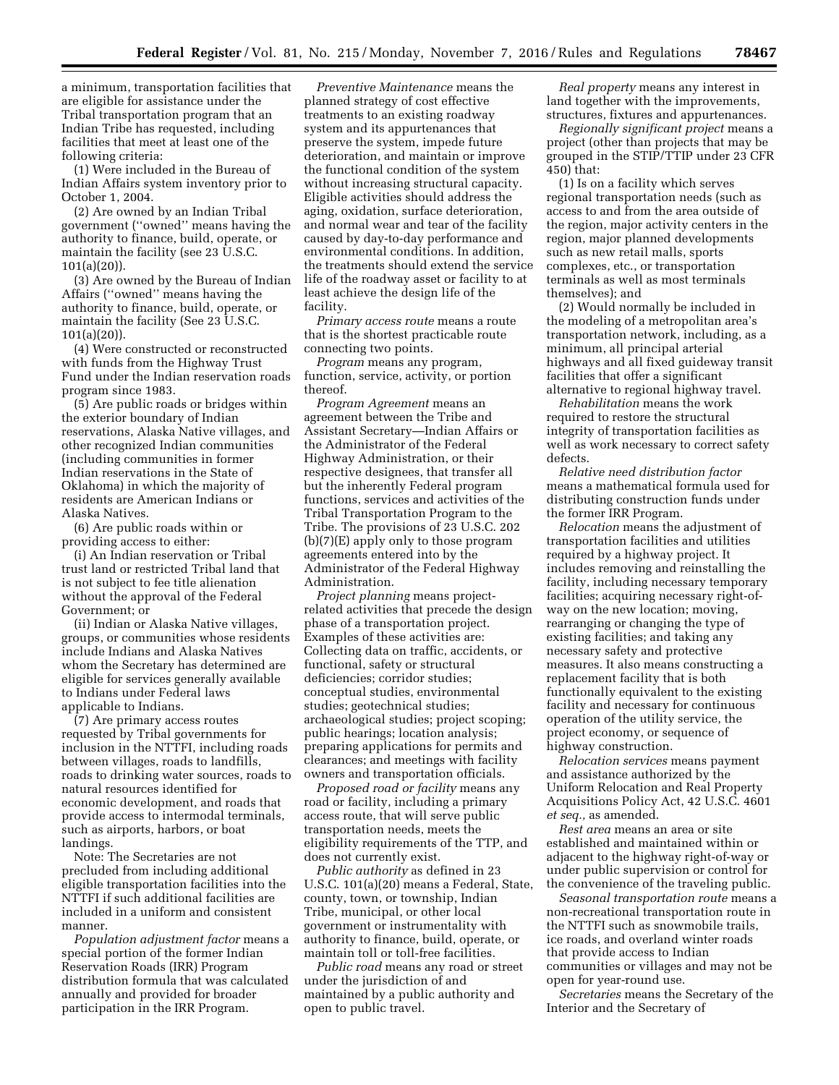a minimum, transportation facilities that are eligible for assistance under the Tribal transportation program that an Indian Tribe has requested, including facilities that meet at least one of the following criteria:

(1) Were included in the Bureau of Indian Affairs system inventory prior to October 1, 2004.

(2) Are owned by an Indian Tribal government (''owned'' means having the authority to finance, build, operate, or maintain the facility (see 23 U.S.C. 101(a)(20)).

(3) Are owned by the Bureau of Indian Affairs (''owned'' means having the authority to finance, build, operate, or maintain the facility (See 23 U.S.C. 101(a)(20)).

(4) Were constructed or reconstructed with funds from the Highway Trust Fund under the Indian reservation roads program since 1983.

(5) Are public roads or bridges within the exterior boundary of Indian reservations, Alaska Native villages, and other recognized Indian communities (including communities in former Indian reservations in the State of Oklahoma) in which the majority of residents are American Indians or Alaska Natives.

(6) Are public roads within or providing access to either:

(i) An Indian reservation or Tribal trust land or restricted Tribal land that is not subject to fee title alienation without the approval of the Federal Government; or

(ii) Indian or Alaska Native villages, groups, or communities whose residents include Indians and Alaska Natives whom the Secretary has determined are eligible for services generally available to Indians under Federal laws applicable to Indians.

(7) Are primary access routes requested by Tribal governments for inclusion in the NTTFI, including roads between villages, roads to landfills, roads to drinking water sources, roads to natural resources identified for economic development, and roads that provide access to intermodal terminals, such as airports, harbors, or boat landings.

Note: The Secretaries are not precluded from including additional eligible transportation facilities into the NTTFI if such additional facilities are included in a uniform and consistent manner.

*Population adjustment factor* means a special portion of the former Indian Reservation Roads (IRR) Program distribution formula that was calculated annually and provided for broader participation in the IRR Program.

*Preventive Maintenance* means the planned strategy of cost effective treatments to an existing roadway system and its appurtenances that preserve the system, impede future deterioration, and maintain or improve the functional condition of the system without increasing structural capacity. Eligible activities should address the aging, oxidation, surface deterioration, and normal wear and tear of the facility caused by day-to-day performance and environmental conditions. In addition, the treatments should extend the service life of the roadway asset or facility to at least achieve the design life of the facility.

*Primary access route* means a route that is the shortest practicable route connecting two points.

*Program* means any program, function, service, activity, or portion thereof.

*Program Agreement* means an agreement between the Tribe and Assistant Secretary—Indian Affairs or the Administrator of the Federal Highway Administration, or their respective designees, that transfer all but the inherently Federal program functions, services and activities of the Tribal Transportation Program to the Tribe. The provisions of 23 U.S.C. 202 (b)(7)(E) apply only to those program agreements entered into by the Administrator of the Federal Highway Administration.

*Project planning* means projectrelated activities that precede the design phase of a transportation project. Examples of these activities are: Collecting data on traffic, accidents, or functional, safety or structural deficiencies; corridor studies; conceptual studies, environmental studies; geotechnical studies; archaeological studies; project scoping; public hearings; location analysis; preparing applications for permits and clearances; and meetings with facility owners and transportation officials.

*Proposed road or facility* means any road or facility, including a primary access route, that will serve public transportation needs, meets the eligibility requirements of the TTP, and does not currently exist.

*Public authority* as defined in 23 U.S.C. 101(a)(20) means a Federal, State, county, town, or township, Indian Tribe, municipal, or other local government or instrumentality with authority to finance, build, operate, or maintain toll or toll-free facilities.

*Public road* means any road or street under the jurisdiction of and maintained by a public authority and open to public travel.

*Real property* means any interest in land together with the improvements, structures, fixtures and appurtenances.

*Regionally significant project* means a project (other than projects that may be grouped in the STIP/TTIP under 23 CFR 450) that:

(1) Is on a facility which serves regional transportation needs (such as access to and from the area outside of the region, major activity centers in the region, major planned developments such as new retail malls, sports complexes, etc., or transportation terminals as well as most terminals themselves); and

(2) Would normally be included in the modeling of a metropolitan area's transportation network, including, as a minimum, all principal arterial highways and all fixed guideway transit facilities that offer a significant alternative to regional highway travel.

*Rehabilitation* means the work required to restore the structural integrity of transportation facilities as well as work necessary to correct safety defects.

*Relative need distribution factor*  means a mathematical formula used for distributing construction funds under the former IRR Program.

*Relocation* means the adjustment of transportation facilities and utilities required by a highway project. It includes removing and reinstalling the facility, including necessary temporary facilities; acquiring necessary right-ofway on the new location; moving, rearranging or changing the type of existing facilities; and taking any necessary safety and protective measures. It also means constructing a replacement facility that is both functionally equivalent to the existing facility and necessary for continuous operation of the utility service, the project economy, or sequence of highway construction.

*Relocation services* means payment and assistance authorized by the Uniform Relocation and Real Property Acquisitions Policy Act, 42 U.S.C. 4601 *et seq.,* as amended.

*Rest area* means an area or site established and maintained within or adjacent to the highway right-of-way or under public supervision or control for the convenience of the traveling public.

*Seasonal transportation route* means a non-recreational transportation route in the NTTFI such as snowmobile trails, ice roads, and overland winter roads that provide access to Indian communities or villages and may not be open for year-round use.

*Secretaries* means the Secretary of the Interior and the Secretary of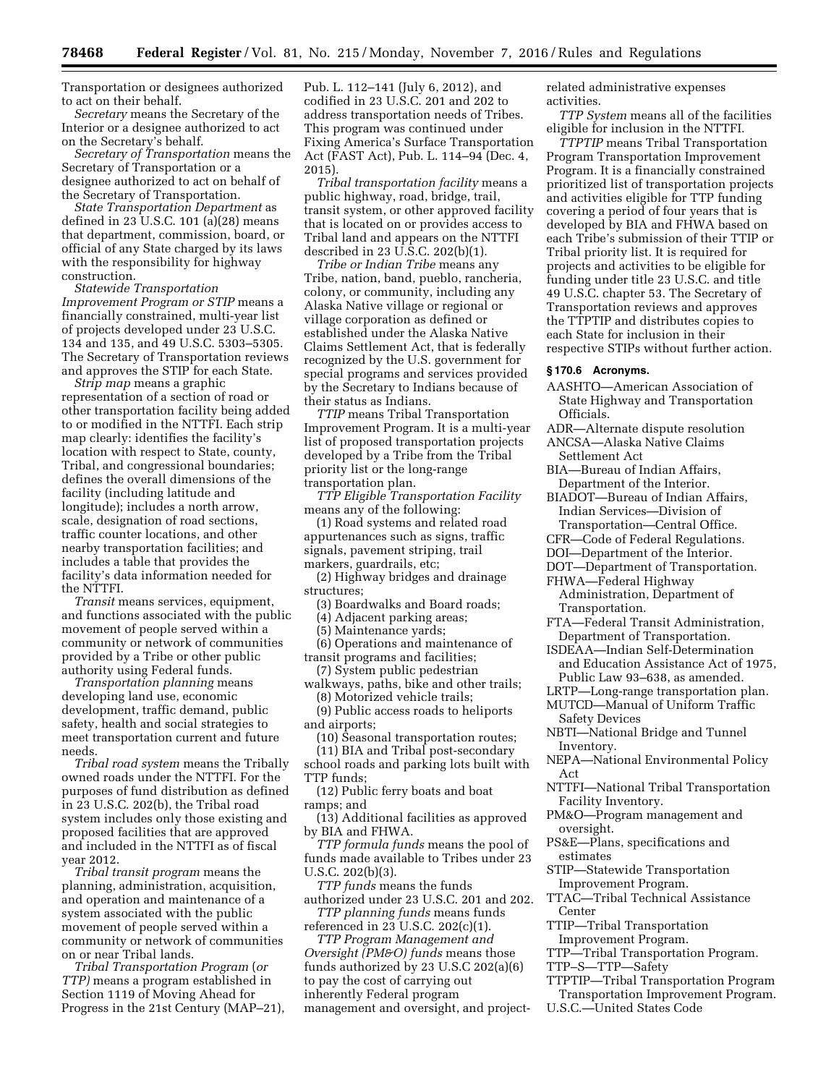Transportation or designees authorized to act on their behalf.

*Secretary* means the Secretary of the Interior or a designee authorized to act on the Secretary's behalf.

*Secretary of Transportation* means the Secretary of Transportation or a designee authorized to act on behalf of the Secretary of Transportation.

*State Transportation Department* as defined in 23 U.S.C. 101 (a)(28) means that department, commission, board, or official of any State charged by its laws with the responsibility for highway construction.

*Statewide Transportation Improvement Program or STIP* means a financially constrained, multi-year list of projects developed under 23 U.S.C. 134 and 135, and 49 U.S.C. 5303–5305. The Secretary of Transportation reviews and approves the STIP for each State.

*Strip map* means a graphic representation of a section of road or other transportation facility being added to or modified in the NTTFI. Each strip map clearly: identifies the facility's location with respect to State, county, Tribal, and congressional boundaries; defines the overall dimensions of the facility (including latitude and longitude); includes a north arrow, scale, designation of road sections, traffic counter locations, and other nearby transportation facilities; and includes a table that provides the facility's data information needed for the NTTFI.

*Transit* means services, equipment, and functions associated with the public movement of people served within a community or network of communities provided by a Tribe or other public authority using Federal funds.

*Transportation planning* means developing land use, economic development, traffic demand, public safety, health and social strategies to meet transportation current and future needs.

*Tribal road system* means the Tribally owned roads under the NTTFI. For the purposes of fund distribution as defined in 23 U.S.C. 202(b), the Tribal road system includes only those existing and proposed facilities that are approved and included in the NTTFI as of fiscal year 2012.

*Tribal transit program* means the planning, administration, acquisition, and operation and maintenance of a system associated with the public movement of people served within a community or network of communities on or near Tribal lands.

*Tribal Transportation Program* (*or TTP)* means a program established in Section 1119 of Moving Ahead for Progress in the 21st Century (MAP–21), Pub. L. 112–141 (July 6, 2012), and codified in 23 U.S.C. 201 and 202 to address transportation needs of Tribes. This program was continued under Fixing America's Surface Transportation Act (FAST Act), Pub. L. 114–94 (Dec. 4, 2015).

*Tribal transportation facility* means a public highway, road, bridge, trail, transit system, or other approved facility that is located on or provides access to Tribal land and appears on the NTTFI described in 23 U.S.C. 202(b)(1).

*Tribe or Indian Tribe* means any Tribe, nation, band, pueblo, rancheria, colony, or community, including any Alaska Native village or regional or village corporation as defined or established under the Alaska Native Claims Settlement Act, that is federally recognized by the U.S. government for special programs and services provided by the Secretary to Indians because of their status as Indians.

*TTIP* means Tribal Transportation Improvement Program. It is a multi-year list of proposed transportation projects developed by a Tribe from the Tribal priority list or the long-range transportation plan.

*TTP Eligible Transportation Facility*  means any of the following:

(1) Road systems and related road appurtenances such as signs, traffic signals, pavement striping, trail markers, guardrails, etc;

(2) Highway bridges and drainage structures;

(3) Boardwalks and Board roads;

(4) Adjacent parking areas;

(5) Maintenance yards;

(6) Operations and maintenance of transit programs and facilities;

(7) System public pedestrian walkways, paths, bike and other trails;

(8) Motorized vehicle trails; (9) Public access roads to heliports

and airports;

- (10) Seasonal transportation routes;
- (11) BIA and Tribal post-secondary school roads and parking lots built with TTP funds;
- (12) Public ferry boats and boat ramps; and

(13) Additional facilities as approved by BIA and FHWA.

*TTP formula funds* means the pool of funds made available to Tribes under 23 U.S.C. 202(b)(3).

*TTP funds* means the funds authorized under 23 U.S.C. 201 and 202. *TTP planning funds* means funds

referenced in 23 U.S.C. 202(c)(1).

*TTP Program Management and Oversight (PM&O) funds* means those funds authorized by 23 U.S.C 202(a)(6) to pay the cost of carrying out inherently Federal program management and oversight, and projectrelated administrative expenses activities.

*TTP System* means all of the facilities eligible for inclusion in the NTTFI.

*TTPTIP* means Tribal Transportation Program Transportation Improvement Program. It is a financially constrained prioritized list of transportation projects and activities eligible for TTP funding covering a period of four years that is developed by BIA and FHWA based on each Tribe's submission of their TTIP or Tribal priority list. It is required for projects and activities to be eligible for funding under title 23 U.S.C. and title 49 U.S.C. chapter 53. The Secretary of Transportation reviews and approves the TTPTIP and distributes copies to each State for inclusion in their respective STIPs without further action.

#### **§ 170.6 Acronyms.**

- AASHTO—American Association of State Highway and Transportation Officials.
- ADR—Alternate dispute resolution ANCSA—Alaska Native Claims

Settlement Act

- BIA—Bureau of Indian Affairs, Department of the Interior.
- BIADOT—Bureau of Indian Affairs, Indian Services—Division of
- Transportation—Central Office.
- CFR—Code of Federal Regulations.
- DOI—Department of the Interior.
- DOT—Department of Transportation.
- FHWA—Federal Highway Administration, Department of
- Transportation. FTA—Federal Transit Administration,
- Department of Transportation.
- ISDEAA—Indian Self-Determination and Education Assistance Act of 1975, Public Law 93–638, as amended.
- LRTP—Long-range transportation plan.
- MUTCD—Manual of Uniform Traffic Safety Devices
- NBTI—National Bridge and Tunnel Inventory.
- NEPA—National Environmental Policy Act
- NTTFI—National Tribal Transportation Facility Inventory.
- PM&O—Program management and oversight.
- PS&E—Plans, specifications and estimates
- STIP—Statewide Transportation Improvement Program.
- TTAC—Tribal Technical Assistance Center
- TTIP—Tribal Transportation Improvement Program.
- TTP—Tribal Transportation Program.
- TTP–S—TTP—Safety
- TTPTIP—Tribal Transportation Program Transportation Improvement Program.
- U.S.C.—United States Code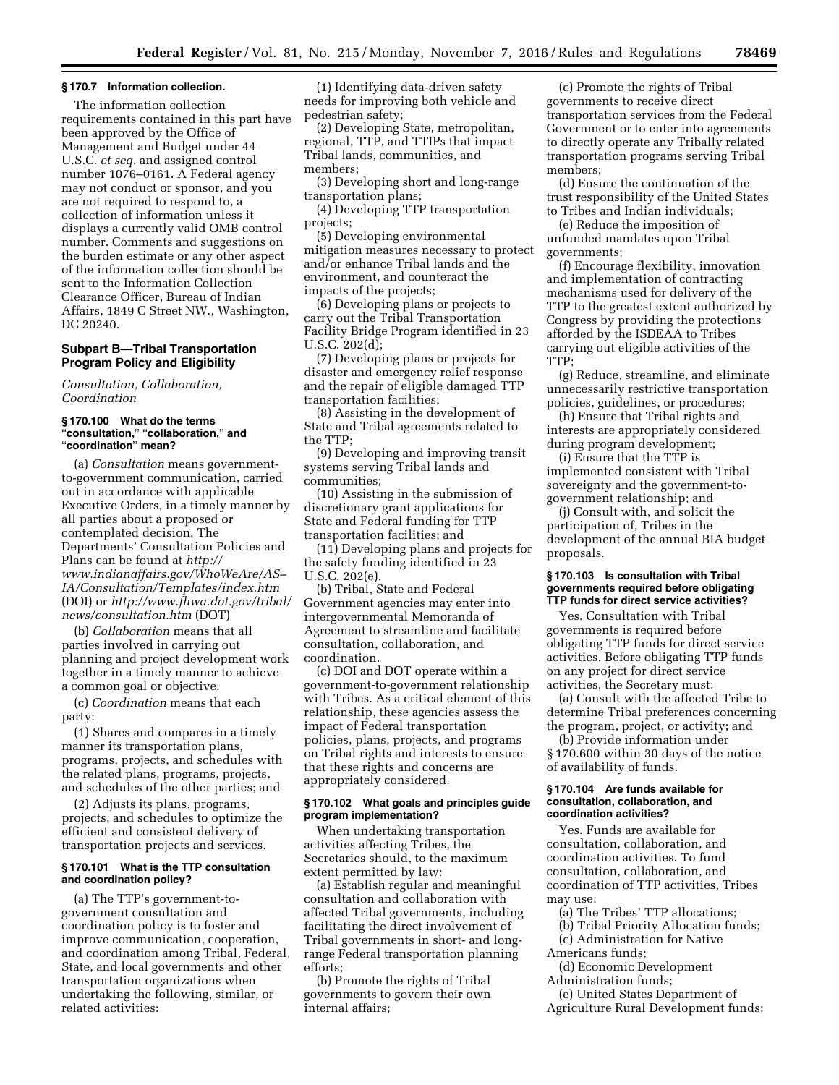# **§ 170.7 Information collection.**

The information collection requirements contained in this part have been approved by the Office of Management and Budget under 44 U.S.C. *et seq.* and assigned control number 1076–0161. A Federal agency may not conduct or sponsor, and you are not required to respond to, a collection of information unless it displays a currently valid OMB control number. Comments and suggestions on the burden estimate or any other aspect of the information collection should be sent to the Information Collection Clearance Officer, Bureau of Indian Affairs, 1849 C Street NW., Washington, DC 20240.

### **Subpart B—Tribal Transportation Program Policy and Eligibility**

*Consultation, Collaboration, Coordination* 

# **§ 170.100 What do the terms**  ''**consultation,**'' ''**collaboration,**'' **and**  ''**coordination**'' **mean?**

(a) *Consultation* means governmentto-government communication, carried out in accordance with applicable Executive Orders, in a timely manner by all parties about a proposed or contemplated decision. The Departments' Consultation Policies and Plans can be found at *[http://](http://www.indianaffairs.gov/WhoWeAre/AS-IA/Consultation/Templates/index.htm) [www.indianaffairs.gov/WhoWeAre/AS–](http://www.indianaffairs.gov/WhoWeAre/AS-IA/Consultation/Templates/index.htm)  [IA/Consultation/Templates/index.htm](http://www.indianaffairs.gov/WhoWeAre/AS-IA/Consultation/Templates/index.htm)*  (DOI) or *[http://www.fhwa.dot.gov/tribal/](http://www.fhwa.dot.gov/tribal/news/consultation.htm)  [news/consultation.htm](http://www.fhwa.dot.gov/tribal/news/consultation.htm)* (DOT)

(b) *Collaboration* means that all parties involved in carrying out planning and project development work together in a timely manner to achieve a common goal or objective.

(c) *Coordination* means that each party:

(1) Shares and compares in a timely manner its transportation plans, programs, projects, and schedules with the related plans, programs, projects, and schedules of the other parties; and

(2) Adjusts its plans, programs, projects, and schedules to optimize the efficient and consistent delivery of transportation projects and services.

### **§ 170.101 What is the TTP consultation and coordination policy?**

(a) The TTP's government-togovernment consultation and coordination policy is to foster and improve communication, cooperation, and coordination among Tribal, Federal, State, and local governments and other transportation organizations when undertaking the following, similar, or related activities:

(1) Identifying data-driven safety needs for improving both vehicle and pedestrian safety;

(2) Developing State, metropolitan, regional, TTP, and TTIPs that impact Tribal lands, communities, and members;

(3) Developing short and long-range transportation plans;

(4) Developing TTP transportation projects;

(5) Developing environmental mitigation measures necessary to protect and/or enhance Tribal lands and the environment, and counteract the impacts of the projects;

(6) Developing plans or projects to carry out the Tribal Transportation Facility Bridge Program identified in 23 U.S.C. 202(d);

(7) Developing plans or projects for disaster and emergency relief response and the repair of eligible damaged TTP transportation facilities;

(8) Assisting in the development of State and Tribal agreements related to the TTP;

(9) Developing and improving transit systems serving Tribal lands and communities;

(10) Assisting in the submission of discretionary grant applications for State and Federal funding for TTP transportation facilities; and

(11) Developing plans and projects for the safety funding identified in 23 U.S.C. 202(e).

(b) Tribal, State and Federal Government agencies may enter into intergovernmental Memoranda of Agreement to streamline and facilitate consultation, collaboration, and coordination.

(c) DOI and DOT operate within a government-to-government relationship with Tribes. As a critical element of this relationship, these agencies assess the impact of Federal transportation policies, plans, projects, and programs on Tribal rights and interests to ensure that these rights and concerns are appropriately considered.

### **§ 170.102 What goals and principles guide program implementation?**

When undertaking transportation activities affecting Tribes, the Secretaries should, to the maximum extent permitted by law:

(a) Establish regular and meaningful consultation and collaboration with affected Tribal governments, including facilitating the direct involvement of Tribal governments in short- and longrange Federal transportation planning efforts;

(b) Promote the rights of Tribal governments to govern their own internal affairs;

(c) Promote the rights of Tribal governments to receive direct transportation services from the Federal Government or to enter into agreements to directly operate any Tribally related transportation programs serving Tribal members;

(d) Ensure the continuation of the trust responsibility of the United States to Tribes and Indian individuals;

(e) Reduce the imposition of unfunded mandates upon Tribal governments;

(f) Encourage flexibility, innovation and implementation of contracting mechanisms used for delivery of the TTP to the greatest extent authorized by Congress by providing the protections afforded by the ISDEAA to Tribes carrying out eligible activities of the TTP;

(g) Reduce, streamline, and eliminate unnecessarily restrictive transportation policies, guidelines, or procedures;

(h) Ensure that Tribal rights and interests are appropriately considered during program development;

(i) Ensure that the TTP is implemented consistent with Tribal sovereignty and the government-togovernment relationship; and

(j) Consult with, and solicit the participation of, Tribes in the development of the annual BIA budget proposals.

### **§ 170.103 Is consultation with Tribal governments required before obligating TTP funds for direct service activities?**

Yes. Consultation with Tribal governments is required before obligating TTP funds for direct service activities. Before obligating TTP funds on any project for direct service activities, the Secretary must:

(a) Consult with the affected Tribe to determine Tribal preferences concerning the program, project, or activity; and

(b) Provide information under § 170.600 within 30 days of the notice of availability of funds.

#### **§ 170.104 Are funds available for consultation, collaboration, and coordination activities?**

Yes. Funds are available for consultation, collaboration, and coordination activities. To fund consultation, collaboration, and coordination of TTP activities, Tribes may use:

(a) The Tribes' TTP allocations;

- (b) Tribal Priority Allocation funds;
- (c) Administration for Native

Americans funds;

(d) Economic Development Administration funds;

(e) United States Department of

Agriculture Rural Development funds;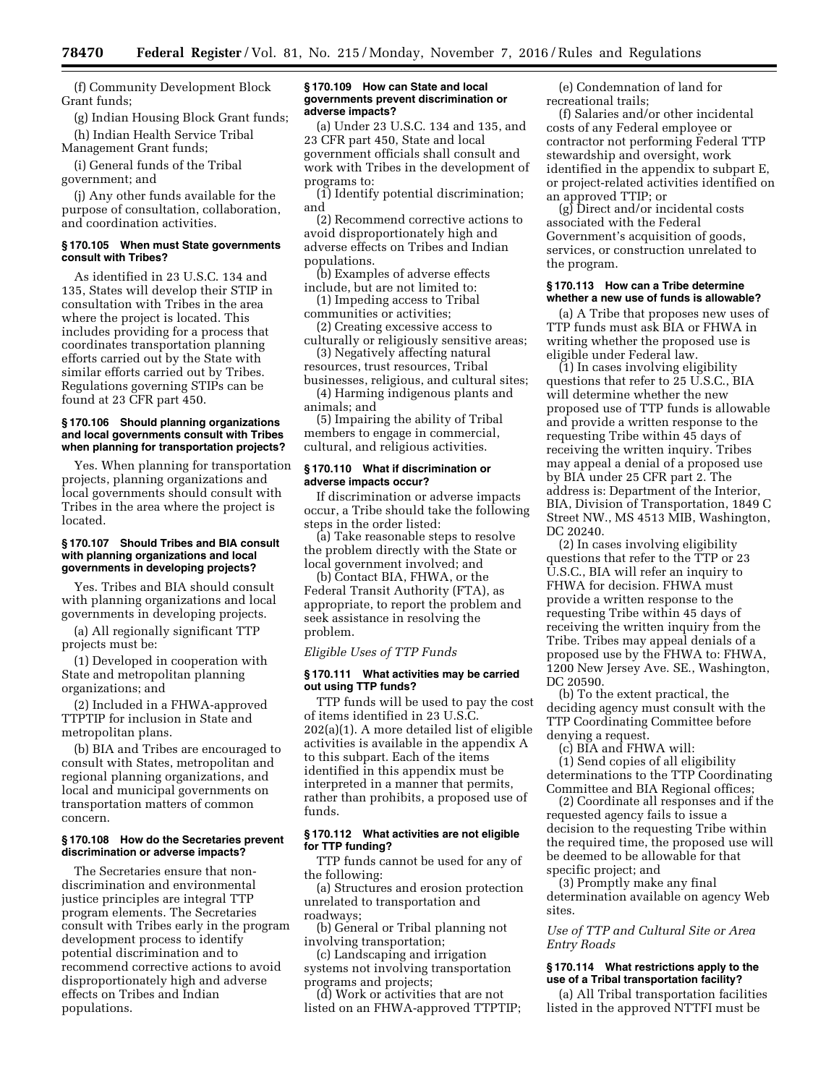(f) Community Development Block Grant funds;

(g) Indian Housing Block Grant funds; (h) Indian Health Service Tribal

Management Grant funds;

(i) General funds of the Tribal government; and

(j) Any other funds available for the purpose of consultation, collaboration, and coordination activities.

#### **§ 170.105 When must State governments consult with Tribes?**

As identified in 23 U.S.C. 134 and 135, States will develop their STIP in consultation with Tribes in the area where the project is located. This includes providing for a process that coordinates transportation planning efforts carried out by the State with similar efforts carried out by Tribes. Regulations governing STIPs can be found at 23 CFR part 450.

### **§ 170.106 Should planning organizations and local governments consult with Tribes when planning for transportation projects?**

Yes. When planning for transportation projects, planning organizations and local governments should consult with Tribes in the area where the project is located.

#### **§ 170.107 Should Tribes and BIA consult with planning organizations and local governments in developing projects?**

Yes. Tribes and BIA should consult with planning organizations and local governments in developing projects.

(a) All regionally significant TTP projects must be:

(1) Developed in cooperation with State and metropolitan planning organizations; and

(2) Included in a FHWA-approved TTPTIP for inclusion in State and metropolitan plans.

(b) BIA and Tribes are encouraged to consult with States, metropolitan and regional planning organizations, and local and municipal governments on transportation matters of common concern.

### **§ 170.108 How do the Secretaries prevent discrimination or adverse impacts?**

The Secretaries ensure that nondiscrimination and environmental justice principles are integral TTP program elements. The Secretaries consult with Tribes early in the program development process to identify potential discrimination and to recommend corrective actions to avoid disproportionately high and adverse effects on Tribes and Indian populations.

### **§ 170.109 How can State and local governments prevent discrimination or adverse impacts?**

(a) Under 23 U.S.C. 134 and 135, and 23 CFR part 450, State and local government officials shall consult and work with Tribes in the development of programs to:

(1) Identify potential discrimination; and

(2) Recommend corrective actions to avoid disproportionately high and adverse effects on Tribes and Indian populations.

(b) Examples of adverse effects include, but are not limited to:

(1) Impeding access to Tribal communities or activities;

(2) Creating excessive access to

culturally or religiously sensitive areas; (3) Negatively affecting natural

resources, trust resources, Tribal businesses, religious, and cultural sites;

(4) Harming indigenous plants and animals; and

(5) Impairing the ability of Tribal members to engage in commercial, cultural, and religious activities.

### **§ 170.110 What if discrimination or adverse impacts occur?**

If discrimination or adverse impacts occur, a Tribe should take the following steps in the order listed:

(a) Take reasonable steps to resolve the problem directly with the State or local government involved; and

(b) Contact BIA, FHWA, or the Federal Transit Authority (FTA), as appropriate, to report the problem and seek assistance in resolving the problem.

#### *Eligible Uses of TTP Funds*

# **§ 170.111 What activities may be carried out using TTP funds?**

TTP funds will be used to pay the cost of items identified in 23 U.S.C. 202(a)(1). A more detailed list of eligible activities is available in the appendix A to this subpart. Each of the items identified in this appendix must be interpreted in a manner that permits, rather than prohibits, a proposed use of funds.

### **§ 170.112 What activities are not eligible for TTP funding?**

TTP funds cannot be used for any of the following:

(a) Structures and erosion protection unrelated to transportation and roadways;

(b) General or Tribal planning not involving transportation;

(c) Landscaping and irrigation systems not involving transportation programs and projects;

(d) Work or activities that are not listed on an FHWA-approved TTPTIP;

(e) Condemnation of land for recreational trails;

(f) Salaries and/or other incidental costs of any Federal employee or contractor not performing Federal TTP stewardship and oversight, work identified in the appendix to subpart E, or project-related activities identified on an approved TTIP; or

(g) Direct and/or incidental costs associated with the Federal Government's acquisition of goods, services, or construction unrelated to the program.

#### **§ 170.113 How can a Tribe determine whether a new use of funds is allowable?**

(a) A Tribe that proposes new uses of TTP funds must ask BIA or FHWA in writing whether the proposed use is eligible under Federal law.

(1) In cases involving eligibility questions that refer to 25 U.S.C., BIA will determine whether the new proposed use of TTP funds is allowable and provide a written response to the requesting Tribe within 45 days of receiving the written inquiry. Tribes may appeal a denial of a proposed use by BIA under 25 CFR part 2. The address is: Department of the Interior, BIA, Division of Transportation, 1849 C Street NW., MS 4513 MIB, Washington, DC 20240.

(2) In cases involving eligibility questions that refer to the TTP or 23 U.S.C., BIA will refer an inquiry to FHWA for decision. FHWA must provide a written response to the requesting Tribe within 45 days of receiving the written inquiry from the Tribe. Tribes may appeal denials of a proposed use by the FHWA to: FHWA, 1200 New Jersey Ave. SE., Washington, DC 20590.

(b) To the extent practical, the deciding agency must consult with the TTP Coordinating Committee before denying a request.

(c) BIA and FHWA will:

(1) Send copies of all eligibility determinations to the TTP Coordinating Committee and BIA Regional offices;

(2) Coordinate all responses and if the requested agency fails to issue a decision to the requesting Tribe within the required time, the proposed use will be deemed to be allowable for that specific project; and

(3) Promptly make any final determination available on agency Web sites.

*Use of TTP and Cultural Site or Area Entry Roads* 

# **§ 170.114 What restrictions apply to the use of a Tribal transportation facility?**

(a) All Tribal transportation facilities listed in the approved NTTFI must be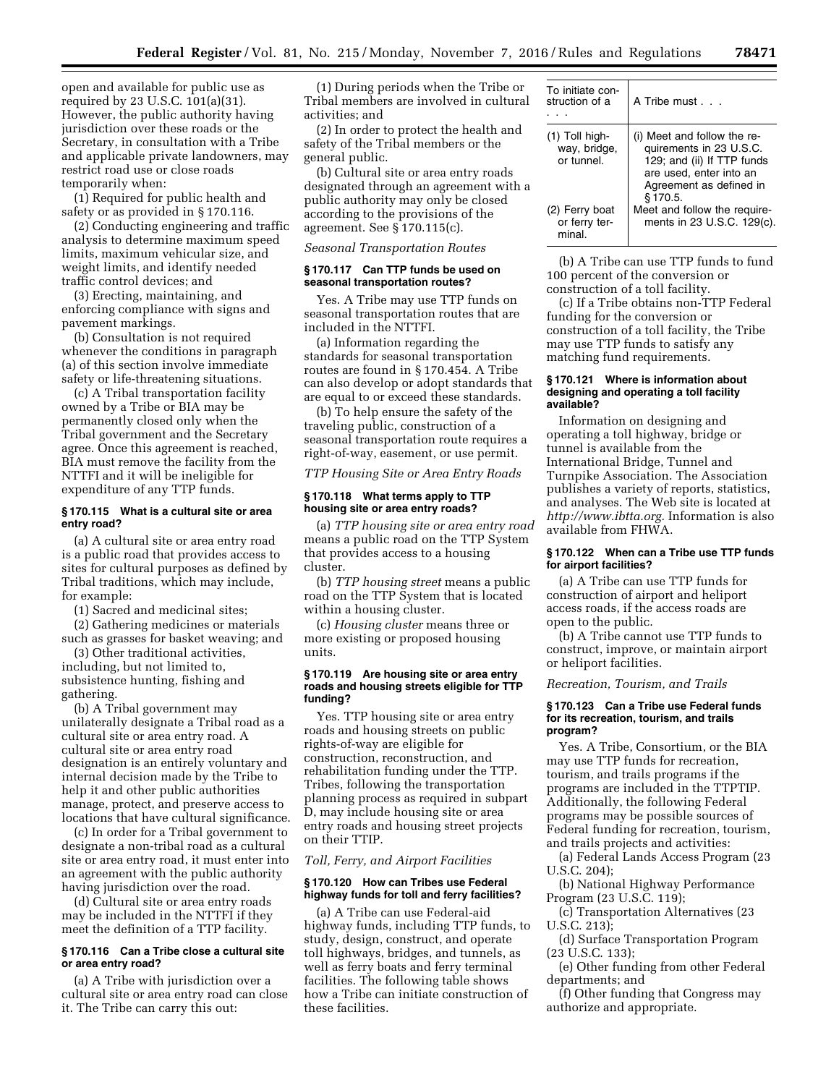open and available for public use as required by 23 U.S.C. 101(a)(31). However, the public authority having jurisdiction over these roads or the Secretary, in consultation with a Tribe and applicable private landowners, may restrict road use or close roads temporarily when:

(1) Required for public health and safety or as provided in § 170.116.

(2) Conducting engineering and traffic analysis to determine maximum speed limits, maximum vehicular size, and weight limits, and identify needed traffic control devices; and

(3) Erecting, maintaining, and enforcing compliance with signs and pavement markings.

(b) Consultation is not required whenever the conditions in paragraph (a) of this section involve immediate safety or life-threatening situations.

(c) A Tribal transportation facility owned by a Tribe or BIA may be permanently closed only when the Tribal government and the Secretary agree. Once this agreement is reached, BIA must remove the facility from the NTTFI and it will be ineligible for expenditure of any TTP funds.

### **§ 170.115 What is a cultural site or area entry road?**

(a) A cultural site or area entry road is a public road that provides access to sites for cultural purposes as defined by Tribal traditions, which may include, for example:

(1) Sacred and medicinal sites;

(2) Gathering medicines or materials such as grasses for basket weaving; and

(3) Other traditional activities, including, but not limited to, subsistence hunting, fishing and gathering.

(b) A Tribal government may unilaterally designate a Tribal road as a cultural site or area entry road. A cultural site or area entry road designation is an entirely voluntary and internal decision made by the Tribe to help it and other public authorities manage, protect, and preserve access to locations that have cultural significance.

(c) In order for a Tribal government to designate a non-tribal road as a cultural site or area entry road, it must enter into an agreement with the public authority having jurisdiction over the road.

(d) Cultural site or area entry roads may be included in the NTTFI if they meet the definition of a TTP facility.

### **§ 170.116 Can a Tribe close a cultural site or area entry road?**

(a) A Tribe with jurisdiction over a cultural site or area entry road can close it. The Tribe can carry this out:

(1) During periods when the Tribe or Tribal members are involved in cultural activities; and

(2) In order to protect the health and safety of the Tribal members or the general public.

(b) Cultural site or area entry roads designated through an agreement with a public authority may only be closed according to the provisions of the agreement. See § 170.115(c).

*Seasonal Transportation Routes* 

### **§ 170.117 Can TTP funds be used on seasonal transportation routes?**

Yes. A Tribe may use TTP funds on seasonal transportation routes that are included in the NTTFI.

(a) Information regarding the standards for seasonal transportation routes are found in § 170.454. A Tribe can also develop or adopt standards that are equal to or exceed these standards.

(b) To help ensure the safety of the traveling public, construction of a seasonal transportation route requires a right-of-way, easement, or use permit.

*TTP Housing Site or Area Entry Roads* 

# **§ 170.118 What terms apply to TTP housing site or area entry roads?**

(a) *TTP housing site or area entry road*  means a public road on the TTP System that provides access to a housing cluster.

(b) *TTP housing street* means a public road on the TTP System that is located within a housing cluster.

(c) *Housing cluster* means three or more existing or proposed housing units.

#### **§ 170.119 Are housing site or area entry roads and housing streets eligible for TTP funding?**

Yes. TTP housing site or area entry roads and housing streets on public rights-of-way are eligible for construction, reconstruction, and rehabilitation funding under the TTP. Tribes, following the transportation planning process as required in subpart D, may include housing site or area entry roads and housing street projects on their TTIP.

#### *Toll, Ferry, and Airport Facilities*

#### **§ 170.120 How can Tribes use Federal highway funds for toll and ferry facilities?**

(a) A Tribe can use Federal-aid highway funds, including TTP funds, to study, design, construct, and operate toll highways, bridges, and tunnels, as well as ferry boats and ferry terminal facilities. The following table shows how a Tribe can initiate construction of these facilities.

| To initiate con-<br>struction of a             | A Tribe must                                                                                                                                           |
|------------------------------------------------|--------------------------------------------------------------------------------------------------------------------------------------------------------|
| $(1)$ Toll high-<br>way, bridge,<br>or tunnel. | (i) Meet and follow the re-<br>quirements in 23 U.S.C.<br>129; and (ii) If TTP funds<br>are used, enter into an<br>Agreement as defined in<br>\$170.5. |
| (2) Ferry boat<br>or ferry ter-<br>minal.      | Meet and follow the require-<br>ments in 23 U.S.C. 129(c).                                                                                             |

(b) A Tribe can use TTP funds to fund 100 percent of the conversion or construction of a toll facility.

(c) If a Tribe obtains non-TTP Federal funding for the conversion or construction of a toll facility, the Tribe may use TTP funds to satisfy any matching fund requirements.

### **§ 170.121 Where is information about designing and operating a toll facility available?**

Information on designing and operating a toll highway, bridge or tunnel is available from the International Bridge, Tunnel and Turnpike Association. The Association publishes a variety of reports, statistics, and analyses. The Web site is located at *[http://www.ibtta.org.](http://www.ibtta.org)* Information is also available from FHWA.

### **§ 170.122 When can a Tribe use TTP funds for airport facilities?**

(a) A Tribe can use TTP funds for construction of airport and heliport access roads, if the access roads are open to the public.

(b) A Tribe cannot use TTP funds to construct, improve, or maintain airport or heliport facilities.

# *Recreation, Tourism, and Trails*

### **§ 170.123 Can a Tribe use Federal funds for its recreation, tourism, and trails program?**

Yes. A Tribe, Consortium, or the BIA may use TTP funds for recreation, tourism, and trails programs if the programs are included in the TTPTIP. Additionally, the following Federal programs may be possible sources of Federal funding for recreation, tourism, and trails projects and activities:

(a) Federal Lands Access Program (23 U.S.C. 204);

(b) National Highway Performance Program (23 U.S.C. 119);

(c) Transportation Alternatives (23 U.S.C. 213);

(d) Surface Transportation Program (23 U.S.C. 133);

(e) Other funding from other Federal departments; and

(f) Other funding that Congress may authorize and appropriate.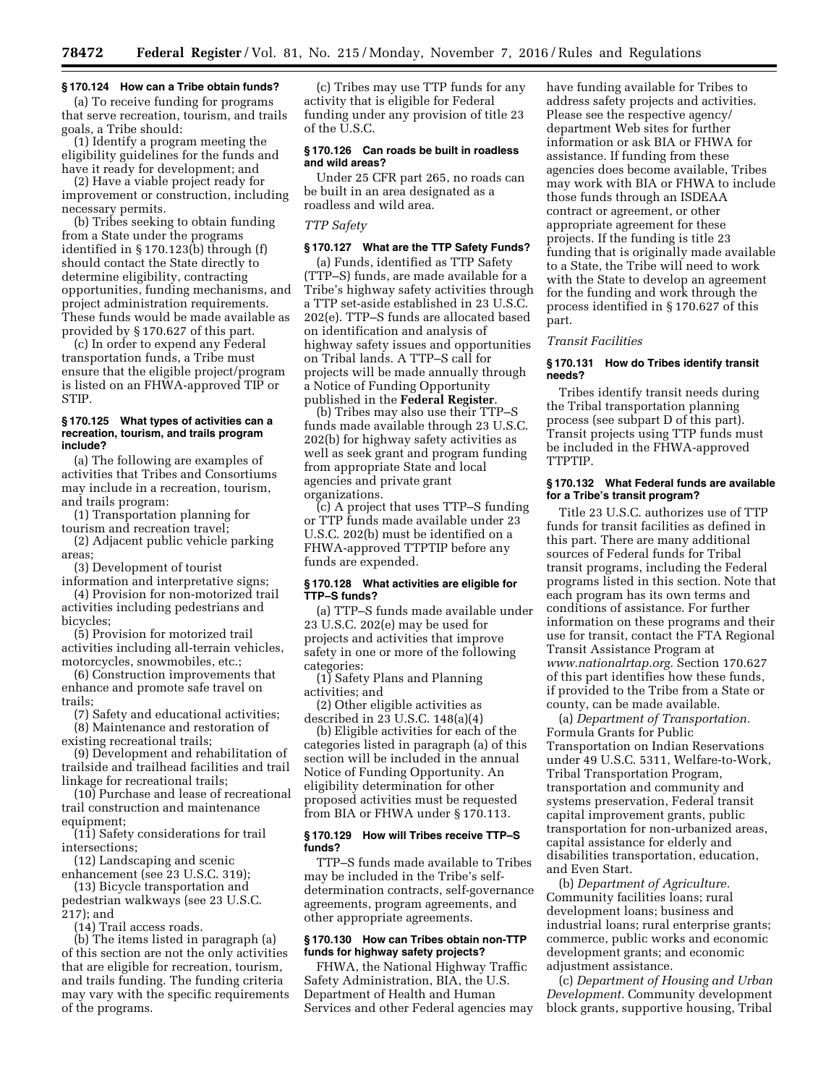# **§ 170.124 How can a Tribe obtain funds?**

(a) To receive funding for programs that serve recreation, tourism, and trails goals, a Tribe should:

(1) Identify a program meeting the eligibility guidelines for the funds and have it ready for development; and

(2) Have a viable project ready for improvement or construction, including necessary permits.

(b) Tribes seeking to obtain funding from a State under the programs identified in § 170.123(b) through (f) should contact the State directly to determine eligibility, contracting opportunities, funding mechanisms, and project administration requirements. These funds would be made available as provided by § 170.627 of this part.

(c) In order to expend any Federal transportation funds, a Tribe must ensure that the eligible project/program is listed on an FHWA-approved TIP or STIP.

#### **§ 170.125 What types of activities can a recreation, tourism, and trails program include?**

(a) The following are examples of activities that Tribes and Consortiums may include in a recreation, tourism, and trails program:

(1) Transportation planning for tourism and recreation travel;

(2) Adjacent public vehicle parking areas;

(3) Development of tourist

information and interpretative signs; (4) Provision for non-motorized trail activities including pedestrians and

bicycles;

(5) Provision for motorized trail activities including all-terrain vehicles, motorcycles, snowmobiles, etc.;

(6) Construction improvements that enhance and promote safe travel on trails;

(7) Safety and educational activities; (8) Maintenance and restoration of

existing recreational trails; (9) Development and rehabilitation of

trailside and trailhead facilities and trail linkage for recreational trails;

(10) Purchase and lease of recreational trail construction and maintenance equipment;

(11) Safety considerations for trail intersections;

(12) Landscaping and scenic

enhancement (see 23 U.S.C. 319); (13) Bicycle transportation and pedestrian walkways (see 23 U.S.C. 217); and

(14) Trail access roads.

(b) The items listed in paragraph (a) of this section are not the only activities that are eligible for recreation, tourism, and trails funding. The funding criteria may vary with the specific requirements of the programs.

(c) Tribes may use TTP funds for any activity that is eligible for Federal funding under any provision of title 23 of the U.S.C.

### **§ 170.126 Can roads be built in roadless and wild areas?**

Under 25 CFR part 265, no roads can be built in an area designated as a roadless and wild area.

# *TTP Safety*

#### **§ 170.127 What are the TTP Safety Funds?**

(a) Funds, identified as TTP Safety (TTP–S) funds, are made available for a Tribe's highway safety activities through a TTP set-aside established in 23 U.S.C. 202(e). TTP–S funds are allocated based on identification and analysis of highway safety issues and opportunities on Tribal lands. A TTP–S call for projects will be made annually through a Notice of Funding Opportunity published in the **Federal Register**.

(b) Tribes may also use their TTP–S funds made available through 23 U.S.C. 202(b) for highway safety activities as well as seek grant and program funding from appropriate State and local agencies and private grant organizations.

(c) A project that uses TTP–S funding or TTP funds made available under 23 U.S.C. 202(b) must be identified on a FHWA-approved TTPTIP before any funds are expended.

# **§ 170.128 What activities are eligible for TTP–S funds?**

(a) TTP–S funds made available under 23 U.S.C. 202(e) may be used for projects and activities that improve safety in one or more of the following categories:

(1) Safety Plans and Planning activities; and

(2) Other eligible activities as described in 23 U.S.C. 148(a)(4)

(b) Eligible activities for each of the categories listed in paragraph (a) of this section will be included in the annual Notice of Funding Opportunity. An eligibility determination for other proposed activities must be requested from BIA or FHWA under § 170.113.

#### **§ 170.129 How will Tribes receive TTP–S funds?**

TTP–S funds made available to Tribes may be included in the Tribe's selfdetermination contracts, self-governance agreements, program agreements, and other appropriate agreements.

# **§ 170.130 How can Tribes obtain non-TTP funds for highway safety projects?**

FHWA, the National Highway Traffic Safety Administration, BIA, the U.S. Department of Health and Human Services and other Federal agencies may have funding available for Tribes to address safety projects and activities. Please see the respective agency/ department Web sites for further information or ask BIA or FHWA for assistance. If funding from these agencies does become available, Tribes may work with BIA or FHWA to include those funds through an ISDEAA contract or agreement, or other appropriate agreement for these projects. If the funding is title 23 funding that is originally made available to a State, the Tribe will need to work with the State to develop an agreement for the funding and work through the process identified in § 170.627 of this part.

#### *Transit Facilities*

#### **§ 170.131 How do Tribes identify transit needs?**

Tribes identify transit needs during the Tribal transportation planning process (see subpart D of this part). Transit projects using TTP funds must be included in the FHWA-approved TTPTIP.

#### **§ 170.132 What Federal funds are available for a Tribe's transit program?**

Title 23 U.S.C. authorizes use of TTP funds for transit facilities as defined in this part. There are many additional sources of Federal funds for Tribal transit programs, including the Federal programs listed in this section. Note that each program has its own terms and conditions of assistance. For further information on these programs and their use for transit, contact the FTA Regional Transit Assistance Program at *[www.nationalrtap.org.](http://www.nationalrtap.org)* Section 170.627 of this part identifies how these funds, if provided to the Tribe from a State or county, can be made available.

(a) *Department of Transportation.*  Formula Grants for Public Transportation on Indian Reservations under 49 U.S.C. 5311, Welfare-to-Work, Tribal Transportation Program, transportation and community and systems preservation, Federal transit capital improvement grants, public transportation for non-urbanized areas, capital assistance for elderly and disabilities transportation, education, and Even Start.

(b) *Department of Agriculture.*  Community facilities loans; rural development loans; business and industrial loans; rural enterprise grants; commerce, public works and economic development grants; and economic adjustment assistance.

(c) *Department of Housing and Urban Development.* Community development block grants, supportive housing, Tribal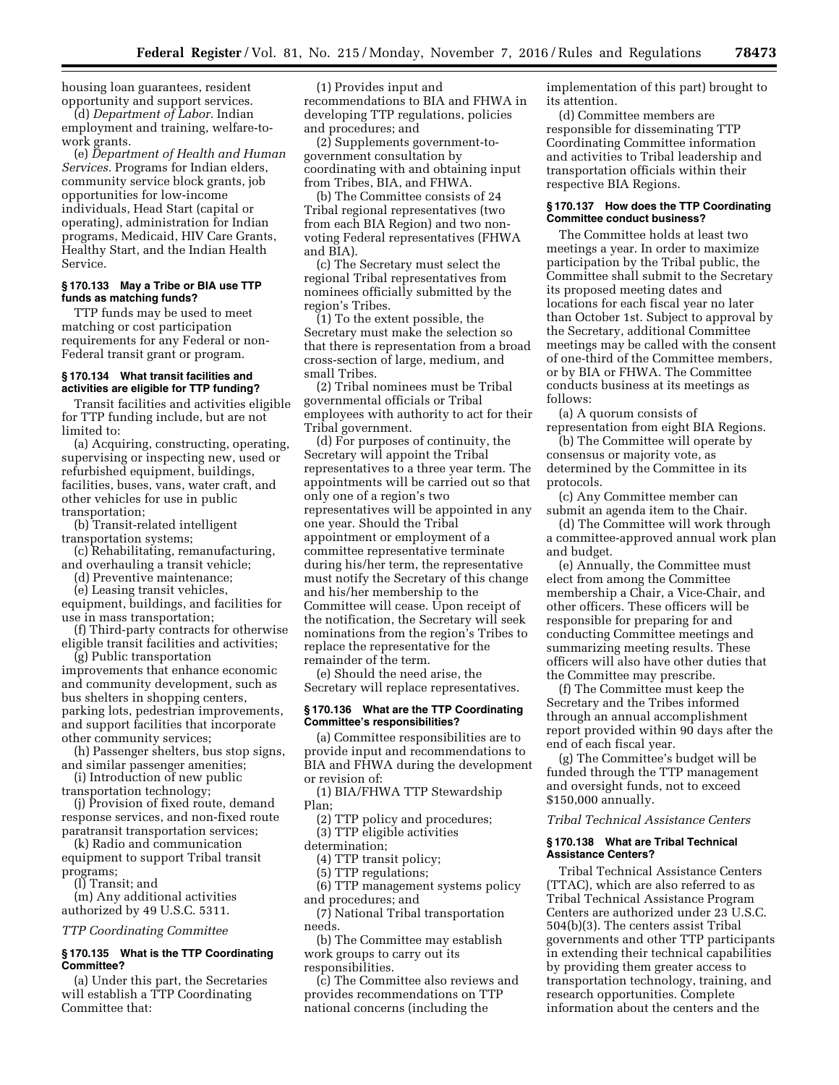housing loan guarantees, resident opportunity and support services.

(d) *Department of Labor.* Indian employment and training, welfare-towork grants.

(e) *Department of Health and Human Services.* Programs for Indian elders, community service block grants, job opportunities for low-income individuals, Head Start (capital or operating), administration for Indian programs, Medicaid, HIV Care Grants, Healthy Start, and the Indian Health Service.

#### **§ 170.133 May a Tribe or BIA use TTP funds as matching funds?**

TTP funds may be used to meet matching or cost participation requirements for any Federal or non-Federal transit grant or program.

### **§ 170.134 What transit facilities and activities are eligible for TTP funding?**

Transit facilities and activities eligible for TTP funding include, but are not limited to:

(a) Acquiring, constructing, operating, supervising or inspecting new, used or refurbished equipment, buildings, facilities, buses, vans, water craft, and other vehicles for use in public transportation;

(b) Transit-related intelligent transportation systems;

(c) Rehabilitating, remanufacturing, and overhauling a transit vehicle;

(d) Preventive maintenance; (e) Leasing transit vehicles,

equipment, buildings, and facilities for use in mass transportation;

(f) Third-party contracts for otherwise eligible transit facilities and activities;

(g) Public transportation improvements that enhance economic and community development, such as bus shelters in shopping centers, parking lots, pedestrian improvements, and support facilities that incorporate other community services;

(h) Passenger shelters, bus stop signs, and similar passenger amenities;

(i) Introduction of new public transportation technology;

(j) Provision of fixed route, demand response services, and non-fixed route paratransit transportation services;

(k) Radio and communication equipment to support Tribal transit programs;

(l) Transit; and

(m) Any additional activities authorized by 49 U.S.C. 5311.

# *TTP Coordinating Committee*

# **§ 170.135 What is the TTP Coordinating Committee?**

(a) Under this part, the Secretaries will establish a TTP Coordinating Committee that:

(1) Provides input and recommendations to BIA and FHWA in developing TTP regulations, policies and procedures; and

(2) Supplements government-togovernment consultation by coordinating with and obtaining input from Tribes, BIA, and FHWA.

(b) The Committee consists of 24 Tribal regional representatives (two from each BIA Region) and two nonvoting Federal representatives (FHWA and BIA).

(c) The Secretary must select the regional Tribal representatives from nominees officially submitted by the region's Tribes.

(1) To the extent possible, the Secretary must make the selection so that there is representation from a broad cross-section of large, medium, and small Tribes.

(2) Tribal nominees must be Tribal governmental officials or Tribal employees with authority to act for their Tribal government.

(d) For purposes of continuity, the Secretary will appoint the Tribal representatives to a three year term. The appointments will be carried out so that only one of a region's two representatives will be appointed in any one year. Should the Tribal appointment or employment of a committee representative terminate during his/her term, the representative must notify the Secretary of this change and his/her membership to the Committee will cease. Upon receipt of the notification, the Secretary will seek nominations from the region's Tribes to replace the representative for the remainder of the term.

(e) Should the need arise, the Secretary will replace representatives.

# **§ 170.136 What are the TTP Coordinating Committee's responsibilities?**

(a) Committee responsibilities are to provide input and recommendations to BIA and FHWA during the development or revision of:

(1) BIA/FHWA TTP Stewardship Plan;

(2) TTP policy and procedures;

(3) TTP eligible activities

determination;

(4) TTP transit policy;

(5) TTP regulations;

(6) TTP management systems policy and procedures; and

(7) National Tribal transportation needs.

(b) The Committee may establish work groups to carry out its responsibilities.

(c) The Committee also reviews and provides recommendations on TTP national concerns (including the

implementation of this part) brought to its attention.

(d) Committee members are responsible for disseminating TTP Coordinating Committee information and activities to Tribal leadership and transportation officials within their respective BIA Regions.

### **§ 170.137 How does the TTP Coordinating Committee conduct business?**

The Committee holds at least two meetings a year. In order to maximize participation by the Tribal public, the Committee shall submit to the Secretary its proposed meeting dates and locations for each fiscal year no later than October 1st. Subject to approval by the Secretary, additional Committee meetings may be called with the consent of one-third of the Committee members, or by BIA or FHWA. The Committee conducts business at its meetings as follows:

(a) A quorum consists of representation from eight BIA Regions.

(b) The Committee will operate by consensus or majority vote, as determined by the Committee in its protocols.

(c) Any Committee member can submit an agenda item to the Chair.

(d) The Committee will work through a committee-approved annual work plan and budget.

(e) Annually, the Committee must elect from among the Committee membership a Chair, a Vice-Chair, and other officers. These officers will be responsible for preparing for and conducting Committee meetings and summarizing meeting results. These officers will also have other duties that the Committee may prescribe.

(f) The Committee must keep the Secretary and the Tribes informed through an annual accomplishment report provided within 90 days after the end of each fiscal year.

(g) The Committee's budget will be funded through the TTP management and oversight funds, not to exceed \$150,000 annually.

# *Tribal Technical Assistance Centers*

### **§ 170.138 What are Tribal Technical Assistance Centers?**

Tribal Technical Assistance Centers (TTAC), which are also referred to as Tribal Technical Assistance Program Centers are authorized under 23 U.S.C. 504(b)(3). The centers assist Tribal governments and other TTP participants in extending their technical capabilities by providing them greater access to transportation technology, training, and research opportunities. Complete information about the centers and the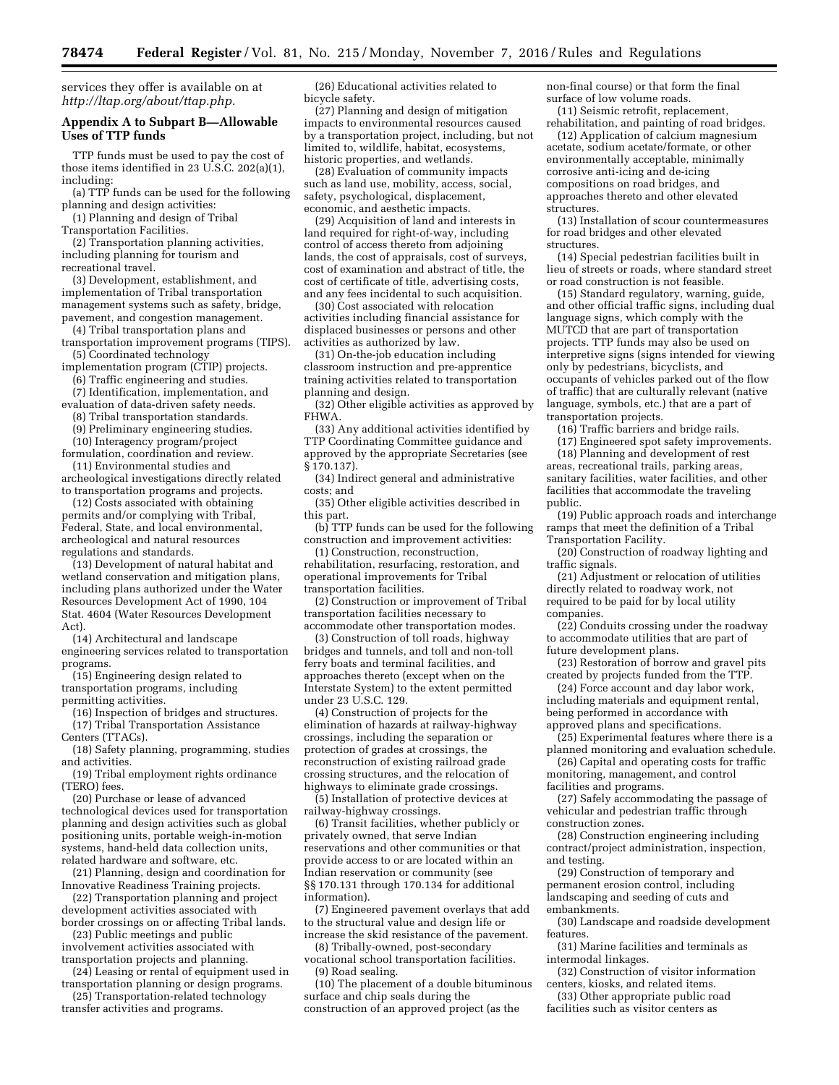services they offer is available on at *[http://ltap.org/about/ttap.php.](http://ltap.org/about/ttap.php)* 

### **Appendix A to Subpart B—Allowable Uses of TTP funds**

TTP funds must be used to pay the cost of those items identified in 23 U.S.C. 202(a)(1), including:

(a) TTP funds can be used for the following planning and design activities:

(1) Planning and design of Tribal Transportation Facilities.

(2) Transportation planning activities, including planning for tourism and recreational travel.

(3) Development, establishment, and implementation of Tribal transportation management systems such as safety, bridge, pavement, and congestion management.

(4) Tribal transportation plans and

transportation improvement programs (TIPS). (5) Coordinated technology

implementation program (CTIP) projects. (6) Traffic engineering and studies.

(7) Identification, implementation, and evaluation of data-driven safety needs.

(8) Tribal transportation standards.

(9) Preliminary engineering studies.

(10) Interagency program/project formulation, coordination and review.

(11) Environmental studies and archeological investigations directly related to transportation programs and projects.

(12) Costs associated with obtaining permits and/or complying with Tribal, Federal, State, and local environmental, archeological and natural resources regulations and standards.

(13) Development of natural habitat and wetland conservation and mitigation plans, including plans authorized under the Water Resources Development Act of 1990, 104 Stat. 4604 (Water Resources Development Act).

(14) Architectural and landscape engineering services related to transportation programs.

(15) Engineering design related to transportation programs, including permitting activities.

(16) Inspection of bridges and structures. (17) Tribal Transportation Assistance

Centers (TTACs).

(18) Safety planning, programming, studies and activities.

(19) Tribal employment rights ordinance (TERO) fees.

(20) Purchase or lease of advanced technological devices used for transportation planning and design activities such as global positioning units, portable weigh-in-motion systems, hand-held data collection units, related hardware and software, etc.

(21) Planning, design and coordination for Innovative Readiness Training projects.

(22) Transportation planning and project development activities associated with border crossings on or affecting Tribal lands.

(23) Public meetings and public involvement activities associated with

transportation projects and planning. (24) Leasing or rental of equipment used in

transportation planning or design programs. (25) Transportation-related technology

transfer activities and programs.

(26) Educational activities related to bicycle safety.

(27) Planning and design of mitigation impacts to environmental resources caused by a transportation project, including, but not limited to, wildlife, habitat, ecosystems, historic properties, and wetlands.

(28) Evaluation of community impacts such as land use, mobility, access, social, safety, psychological, displacement, economic, and aesthetic impacts.

(29) Acquisition of land and interests in land required for right-of-way, including control of access thereto from adjoining lands, the cost of appraisals, cost of surveys, cost of examination and abstract of title, the cost of certificate of title, advertising costs, and any fees incidental to such acquisition.

(30) Cost associated with relocation activities including financial assistance for displaced businesses or persons and other activities as authorized by law.

(31) On-the-job education including classroom instruction and pre-apprentice training activities related to transportation planning and design.

(32) Other eligible activities as approved by FHWA.

(33) Any additional activities identified by TTP Coordinating Committee guidance and approved by the appropriate Secretaries (see § 170.137).

(34) Indirect general and administrative costs; and

(35) Other eligible activities described in this part.

(b) TTP funds can be used for the following construction and improvement activities:

(1) Construction, reconstruction, rehabilitation, resurfacing, restoration, and operational improvements for Tribal transportation facilities.

(2) Construction or improvement of Tribal transportation facilities necessary to accommodate other transportation modes.

(3) Construction of toll roads, highway bridges and tunnels, and toll and non-toll ferry boats and terminal facilities, and approaches thereto (except when on the Interstate System) to the extent permitted under 23 U.S.C. 129.

(4) Construction of projects for the elimination of hazards at railway-highway crossings, including the separation or protection of grades at crossings, the reconstruction of existing railroad grade crossing structures, and the relocation of highways to eliminate grade crossings.

(5) Installation of protective devices at railway-highway crossings.

(6) Transit facilities, whether publicly or privately owned, that serve Indian reservations and other communities or that provide access to or are located within an Indian reservation or community (see §§ 170.131 through 170.134 for additional information).

(7) Engineered pavement overlays that add to the structural value and design life or increase the skid resistance of the pavement.

(8) Tribally-owned, post-secondary

vocational school transportation facilities. (9) Road sealing.

(10) The placement of a double bituminous surface and chip seals during the construction of an approved project (as the

non-final course) or that form the final surface of low volume roads. (11) Seismic retrofit, replacement,

rehabilitation, and painting of road bridges.

(12) Application of calcium magnesium acetate, sodium acetate/formate, or other environmentally acceptable, minimally corrosive anti-icing and de-icing compositions on road bridges, and approaches thereto and other elevated structures.

(13) Installation of scour countermeasures for road bridges and other elevated structures.

(14) Special pedestrian facilities built in lieu of streets or roads, where standard street or road construction is not feasible.

(15) Standard regulatory, warning, guide, and other official traffic signs, including dual language signs, which comply with the MUTCD that are part of transportation projects. TTP funds may also be used on interpretive signs (signs intended for viewing only by pedestrians, bicyclists, and occupants of vehicles parked out of the flow of traffic) that are culturally relevant (native language, symbols, etc.) that are a part of transportation projects.

(16) Traffic barriers and bridge rails.

(17) Engineered spot safety improvements.

(18) Planning and development of rest areas, recreational trails, parking areas, sanitary facilities, water facilities, and other facilities that accommodate the traveling public.

(19) Public approach roads and interchange ramps that meet the definition of a Tribal Transportation Facility.

(20) Construction of roadway lighting and traffic signals.

(21) Adjustment or relocation of utilities directly related to roadway work, not required to be paid for by local utility companies.

(22) Conduits crossing under the roadway to accommodate utilities that are part of future development plans.

(23) Restoration of borrow and gravel pits created by projects funded from the TTP.

(24) Force account and day labor work, including materials and equipment rental, being performed in accordance with approved plans and specifications.

(25) Experimental features where there is a planned monitoring and evaluation schedule.

(26) Capital and operating costs for traffic monitoring, management, and control facilities and programs.

(27) Safely accommodating the passage of vehicular and pedestrian traffic through construction zones.

(28) Construction engineering including contract/project administration, inspection, and testing.

(29) Construction of temporary and permanent erosion control, including landscaping and seeding of cuts and embankments.

(30) Landscape and roadside development features.

(31) Marine facilities and terminals as intermodal linkages.

(32) Construction of visitor information centers, kiosks, and related items.

(33) Other appropriate public road facilities such as visitor centers as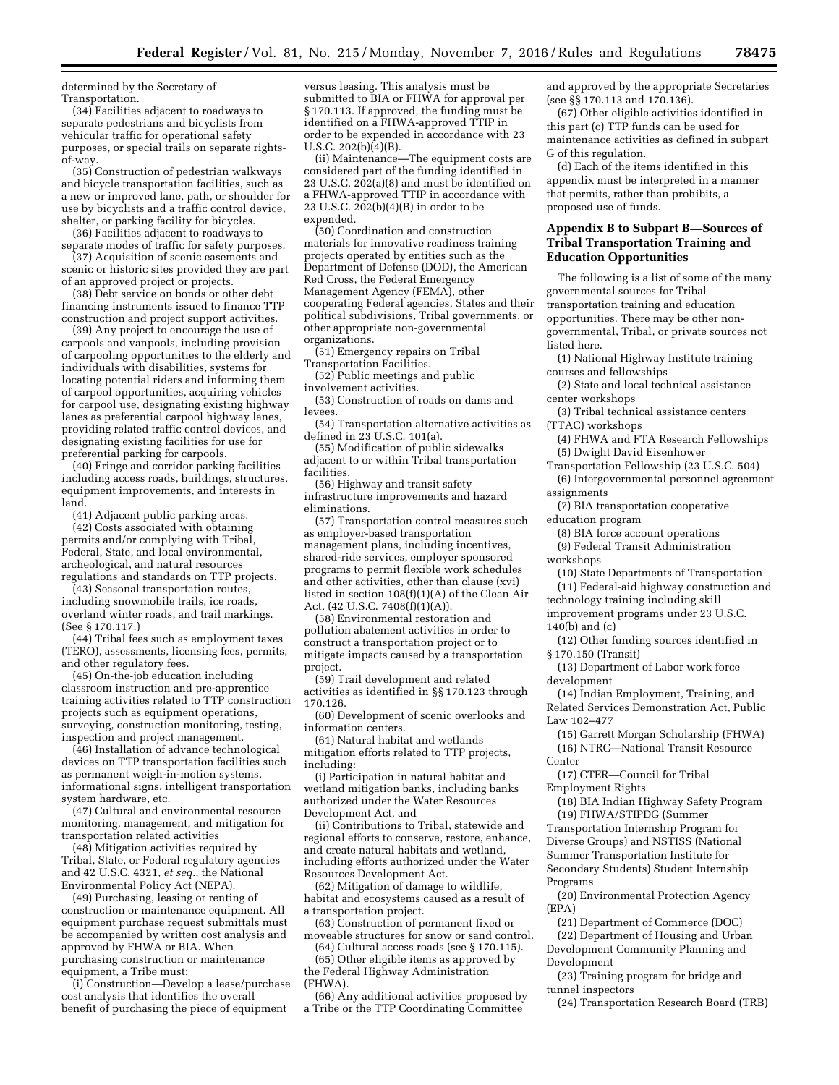determined by the Secretary of Transportation.

(34) Facilities adjacent to roadways to separate pedestrians and bicyclists from vehicular traffic for operational safety purposes, or special trails on separate rightsof-way.

(35) Construction of pedestrian walkways and bicycle transportation facilities, such as a new or improved lane, path, or shoulder for use by bicyclists and a traffic control device, shelter, or parking facility for bicycles.

(36) Facilities adjacent to roadways to separate modes of traffic for safety purposes.

(37) Acquisition of scenic easements and scenic or historic sites provided they are part of an approved project or projects.

(38) Debt service on bonds or other debt financing instruments issued to finance TTP construction and project support activities.

(39) Any project to encourage the use of carpools and vanpools, including provision of carpooling opportunities to the elderly and individuals with disabilities, systems for locating potential riders and informing them of carpool opportunities, acquiring vehicles for carpool use, designating existing highway lanes as preferential carpool highway lanes, providing related traffic control devices, and designating existing facilities for use for preferential parking for carpools.

(40) Fringe and corridor parking facilities including access roads, buildings, structures, equipment improvements, and interests in land.

(41) Adjacent public parking areas.

(42) Costs associated with obtaining permits and/or complying with Tribal, Federal, State, and local environmental, archeological, and natural resources regulations and standards on TTP projects.

(43) Seasonal transportation routes, including snowmobile trails, ice roads, overland winter roads, and trail markings. (See § 170.117.)

(44) Tribal fees such as employment taxes (TERO), assessments, licensing fees, permits, and other regulatory fees.

(45) On-the-job education including classroom instruction and pre-apprentice training activities related to TTP construction projects such as equipment operations, surveying, construction monitoring, testing, inspection and project management.

(46) Installation of advance technological devices on TTP transportation facilities such as permanent weigh-in-motion systems, informational signs, intelligent transportation system hardware, etc.

(47) Cultural and environmental resource monitoring, management, and mitigation for transportation related activities

(48) Mitigation activities required by Tribal, State, or Federal regulatory agencies and 42 U.S.C. 4321, *et seq.,* the National Environmental Policy Act (NEPA).

(49) Purchasing, leasing or renting of construction or maintenance equipment. All equipment purchase request submittals must be accompanied by written cost analysis and approved by FHWA or BIA. When purchasing construction or maintenance equipment, a Tribe must:

(i) Construction—Develop a lease/purchase cost analysis that identifies the overall benefit of purchasing the piece of equipment

versus leasing. This analysis must be submitted to BIA or FHWA for approval per § 170.113. If approved, the funding must be identified on a FHWA-approved TTIP in order to be expended in accordance with 23 U.S.C. 202(b)(4)(B).

(ii) Maintenance—The equipment costs are considered part of the funding identified in 23 U.S.C. 202(a)(8) and must be identified on a FHWA-approved TTIP in accordance with 23 U.S.C.  $202(b)(4)(B)$  in order to be expended.

(50) Coordination and construction materials for innovative readiness training projects operated by entities such as the Department of Defense (DOD), the American Red Cross, the Federal Emergency Management Agency (FEMA), other cooperating Federal agencies, States and their political subdivisions, Tribal governments, or other appropriate non-governmental organizations.

(51) Emergency repairs on Tribal Transportation Facilities.

(52) Public meetings and public involvement activities.

(53) Construction of roads on dams and levees.

(54) Transportation alternative activities as defined in 23 U.S.C. 101(a).

(55) Modification of public sidewalks adjacent to or within Tribal transportation facilities.

(56) Highway and transit safety infrastructure improvements and hazard eliminations.

(57) Transportation control measures such as employer-based transportation management plans, including incentives, shared-ride services, employer sponsored programs to permit flexible work schedules and other activities, other than clause (xvi) listed in section 108(f)(1)(A) of the Clean Air Act, (42 U.S.C. 7408(f)(1)(A)).

(58) Environmental restoration and pollution abatement activities in order to construct a transportation project or to mitigate impacts caused by a transportation project.

(59) Trail development and related activities as identified in §§ 170.123 through 170.126.

(60) Development of scenic overlooks and information centers.

(61) Natural habitat and wetlands mitigation efforts related to TTP projects, including:

(i) Participation in natural habitat and wetland mitigation banks, including banks authorized under the Water Resources Development Act, and

(ii) Contributions to Tribal, statewide and regional efforts to conserve, restore, enhance, and create natural habitats and wetland, including efforts authorized under the Water Resources Development Act.

(62) Mitigation of damage to wildlife, habitat and ecosystems caused as a result of a transportation project.

(63) Construction of permanent fixed or moveable structures for snow or sand control.

(64) Cultural access roads (see § 170.115). (65) Other eligible items as approved by the Federal Highway Administration (FHWA).

(66) Any additional activities proposed by a Tribe or the TTP Coordinating Committee

and approved by the appropriate Secretaries (see §§ 170.113 and 170.136).

(67) Other eligible activities identified in this part (c) TTP funds can be used for maintenance activities as defined in subpart G of this regulation.

(d) Each of the items identified in this appendix must be interpreted in a manner that permits, rather than prohibits, a proposed use of funds.

# **Appendix B to Subpart B—Sources of Tribal Transportation Training and Education Opportunities**

The following is a list of some of the many governmental sources for Tribal transportation training and education opportunities. There may be other nongovernmental, Tribal, or private sources not listed here.

(1) National Highway Institute training courses and fellowships

(2) State and local technical assistance center workshops

(3) Tribal technical assistance centers (TTAC) workshops

(4) FHWA and FTA Research Fellowships (5) Dwight David Eisenhower

Transportation Fellowship (23 U.S.C. 504) (6) Intergovernmental personnel agreement assignments

(7) BIA transportation cooperative education program

(8) BIA force account operations

(9) Federal Transit Administration workshops

(10) State Departments of Transportation (11) Federal-aid highway construction and

technology training including skill improvement programs under 23 U.S.C.

140(b) and (c)

(12) Other funding sources identified in § 170.150 (Transit)

(13) Department of Labor work force development

(14) Indian Employment, Training, and Related Services Demonstration Act, Public Law 102–477

(15) Garrett Morgan Scholarship (FHWA) (16) NTRC—National Transit Resource Center

(17) CTER—Council for Tribal Employment Rights

(18) BIA Indian Highway Safety Program (19) FHWA/STIPDG (Summer Transportation Internship Program for

Diverse Groups) and NSTISS (National Summer Transportation Institute for Secondary Students) Student Internship

Programs

(20) Environmental Protection Agency (EPA)

(21) Department of Commerce (DOC)

(22) Department of Housing and Urban Development Community Planning and Development

(23) Training program for bridge and tunnel inspectors

(24) Transportation Research Board (TRB)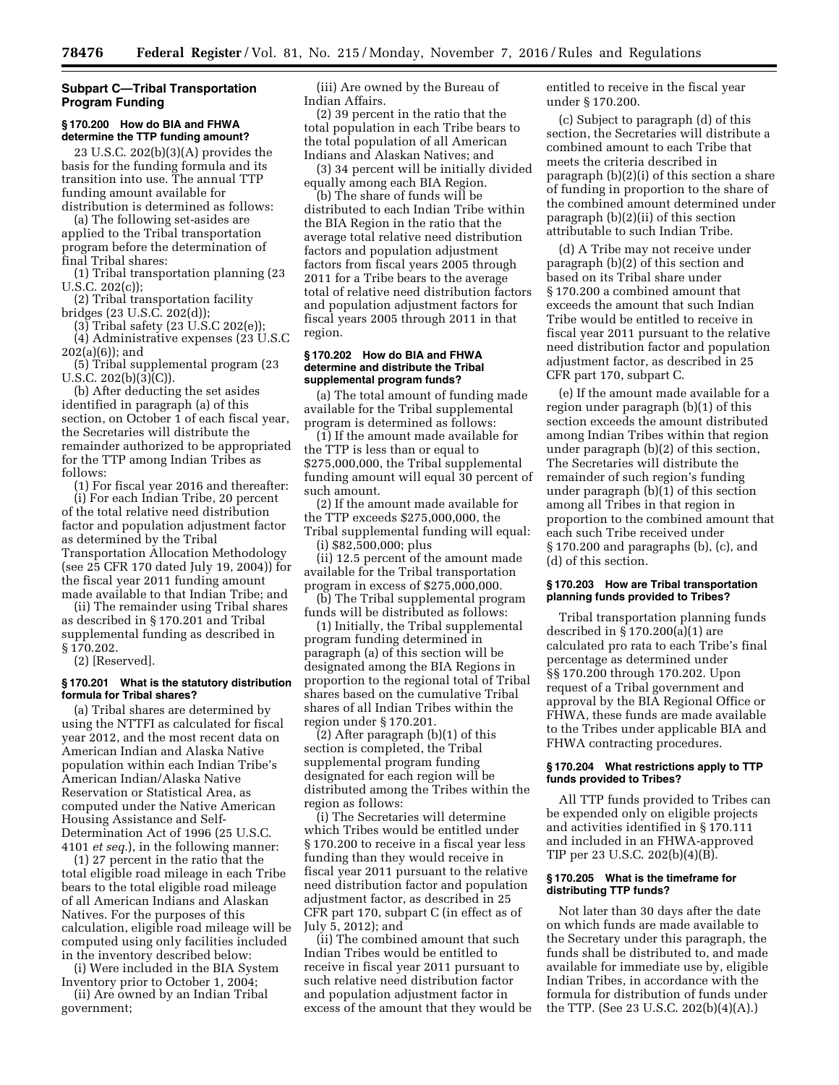# **Subpart C—Tribal Transportation Program Funding**

### **§ 170.200 How do BIA and FHWA determine the TTP funding amount?**

23 U.S.C. 202(b)(3)(A) provides the basis for the funding formula and its transition into use. The annual TTP funding amount available for distribution is determined as follows:

(a) The following set-asides are applied to the Tribal transportation program before the determination of final Tribal shares:

(1) Tribal transportation planning (23 U.S.C. 202(c));

(2) Tribal transportation facility bridges (23 U.S.C. 202(d));

(3) Tribal safety (23 U.S.C 202(e)); (4) Administrative expenses (23 U.S.C 202(a)(6)); and

(5) Tribal supplemental program (23 U.S.C. 202(b)(3)(C)).

(b) After deducting the set asides identified in paragraph (a) of this section, on October 1 of each fiscal year, the Secretaries will distribute the remainder authorized to be appropriated for the TTP among Indian Tribes as follows:

(1) For fiscal year 2016 and thereafter: (i) For each Indian Tribe, 20 percent of the total relative need distribution factor and population adjustment factor as determined by the Tribal Transportation Allocation Methodology (see 25 CFR 170 dated July 19, 2004)) for the fiscal year 2011 funding amount made available to that Indian Tribe; and

(ii) The remainder using Tribal shares as described in § 170.201 and Tribal supplemental funding as described in § 170.202.

(2) [Reserved].

### **§ 170.201 What is the statutory distribution formula for Tribal shares?**

(a) Tribal shares are determined by using the NTTFI as calculated for fiscal year 2012, and the most recent data on American Indian and Alaska Native population within each Indian Tribe's American Indian/Alaska Native Reservation or Statistical Area, as computed under the Native American Housing Assistance and Self-Determination Act of 1996 (25 U.S.C. 4101 *et seq.*), in the following manner:

(1) 27 percent in the ratio that the total eligible road mileage in each Tribe bears to the total eligible road mileage of all American Indians and Alaskan Natives. For the purposes of this calculation, eligible road mileage will be computed using only facilities included in the inventory described below:

(i) Were included in the BIA System

Inventory prior to October 1, 2004; (ii) Are owned by an Indian Tribal government;

(iii) Are owned by the Bureau of Indian Affairs.

(2) 39 percent in the ratio that the total population in each Tribe bears to the total population of all American Indians and Alaskan Natives; and

(3) 34 percent will be initially divided equally among each BIA Region.

(b) The share of funds will be distributed to each Indian Tribe within the BIA Region in the ratio that the average total relative need distribution factors and population adjustment factors from fiscal years 2005 through 2011 for a Tribe bears to the average total of relative need distribution factors and population adjustment factors for fiscal years 2005 through 2011 in that region.

#### **§ 170.202 How do BIA and FHWA determine and distribute the Tribal supplemental program funds?**

(a) The total amount of funding made available for the Tribal supplemental program is determined as follows:

(1) If the amount made available for the TTP is less than or equal to \$275,000,000, the Tribal supplemental funding amount will equal 30 percent of such amount.

(2) If the amount made available for the TTP exceeds \$275,000,000, the Tribal supplemental funding will equal:

(i) \$82,500,000; plus

(ii) 12.5 percent of the amount made available for the Tribal transportation program in excess of \$275,000,000.

(b) The Tribal supplemental program funds will be distributed as follows:

(1) Initially, the Tribal supplemental program funding determined in paragraph (a) of this section will be designated among the BIA Regions in proportion to the regional total of Tribal shares based on the cumulative Tribal shares of all Indian Tribes within the region under § 170.201.

 $(2)$  After paragraph  $(b)(1)$  of this section is completed, the Tribal supplemental program funding designated for each region will be distributed among the Tribes within the region as follows:

(i) The Secretaries will determine which Tribes would be entitled under § 170.200 to receive in a fiscal year less funding than they would receive in fiscal year 2011 pursuant to the relative need distribution factor and population adjustment factor, as described in 25 CFR part 170, subpart C (in effect as of July 5, 2012); and

(ii) The combined amount that such Indian Tribes would be entitled to receive in fiscal year 2011 pursuant to such relative need distribution factor and population adjustment factor in excess of the amount that they would be entitled to receive in the fiscal year under § 170.200.

(c) Subject to paragraph (d) of this section, the Secretaries will distribute a combined amount to each Tribe that meets the criteria described in paragraph (b)(2)(i) of this section a share of funding in proportion to the share of the combined amount determined under paragraph (b)(2)(ii) of this section attributable to such Indian Tribe.

(d) A Tribe may not receive under paragraph (b)(2) of this section and based on its Tribal share under § 170.200 a combined amount that exceeds the amount that such Indian Tribe would be entitled to receive in fiscal year 2011 pursuant to the relative need distribution factor and population adjustment factor, as described in 25 CFR part 170, subpart C.

(e) If the amount made available for a region under paragraph (b)(1) of this section exceeds the amount distributed among Indian Tribes within that region under paragraph (b)(2) of this section, The Secretaries will distribute the remainder of such region's funding under paragraph (b)(1) of this section among all Tribes in that region in proportion to the combined amount that each such Tribe received under § 170.200 and paragraphs (b), (c), and (d) of this section.

### **§ 170.203 How are Tribal transportation planning funds provided to Tribes?**

Tribal transportation planning funds described in § 170.200(a)(1) are calculated pro rata to each Tribe's final percentage as determined under §§ 170.200 through 170.202. Upon request of a Tribal government and approval by the BIA Regional Office or FHWA, these funds are made available to the Tribes under applicable BIA and FHWA contracting procedures.

### **§ 170.204 What restrictions apply to TTP funds provided to Tribes?**

All TTP funds provided to Tribes can be expended only on eligible projects and activities identified in § 170.111 and included in an FHWA-approved TIP per 23 U.S.C. 202(b)(4)(B).

### **§ 170.205 What is the timeframe for distributing TTP funds?**

Not later than 30 days after the date on which funds are made available to the Secretary under this paragraph, the funds shall be distributed to, and made available for immediate use by, eligible Indian Tribes, in accordance with the formula for distribution of funds under the TTP. (See 23 U.S.C. 202(b)(4)(A).)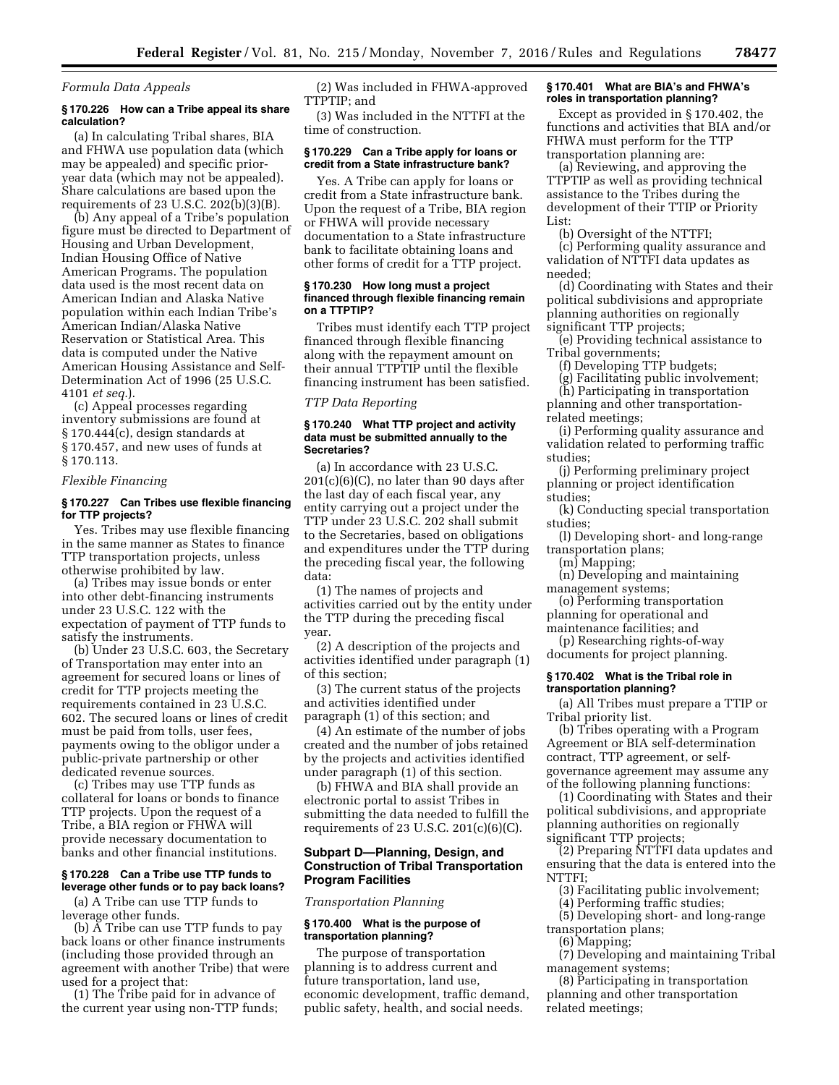#### *Formula Data Appeals*

# **§ 170.226 How can a Tribe appeal its share calculation?**

(a) In calculating Tribal shares, BIA and FHWA use population data (which may be appealed) and specific prioryear data (which may not be appealed). Share calculations are based upon the requirements of 23 U.S.C. 202(b)(3)(B).

(b) Any appeal of a Tribe's population figure must be directed to Department of Housing and Urban Development, Indian Housing Office of Native American Programs. The population data used is the most recent data on American Indian and Alaska Native population within each Indian Tribe's American Indian/Alaska Native Reservation or Statistical Area. This data is computed under the Native American Housing Assistance and Self-Determination Act of 1996 (25 U.S.C. 4101 *et seq.*).

(c) Appeal processes regarding inventory submissions are found at § 170.444(c), design standards at § 170.457, and new uses of funds at § 170.113.

### *Flexible Financing*

# **§ 170.227 Can Tribes use flexible financing for TTP projects?**

Yes. Tribes may use flexible financing in the same manner as States to finance TTP transportation projects, unless otherwise prohibited by law.

(a) Tribes may issue bonds or enter into other debt-financing instruments under 23 U.S.C. 122 with the expectation of payment of TTP funds to satisfy the instruments.

(b) Under 23 U.S.C. 603, the Secretary of Transportation may enter into an agreement for secured loans or lines of credit for TTP projects meeting the requirements contained in 23 U.S.C. 602. The secured loans or lines of credit must be paid from tolls, user fees, payments owing to the obligor under a public-private partnership or other dedicated revenue sources.

(c) Tribes may use TTP funds as collateral for loans or bonds to finance TTP projects. Upon the request of a Tribe, a BIA region or FHWA will provide necessary documentation to banks and other financial institutions.

# **§ 170.228 Can a Tribe use TTP funds to leverage other funds or to pay back loans?**

(a) A Tribe can use TTP funds to leverage other funds.

(b) A Tribe can use TTP funds to pay back loans or other finance instruments (including those provided through an agreement with another Tribe) that were used for a project that:

(1) The Tribe paid for in advance of the current year using non-TTP funds;

(2) Was included in FHWA-approved TTPTIP; and

(3) Was included in the NTTFI at the time of construction.

#### **§ 170.229 Can a Tribe apply for loans or credit from a State infrastructure bank?**

Yes. A Tribe can apply for loans or credit from a State infrastructure bank. Upon the request of a Tribe, BIA region or FHWA will provide necessary documentation to a State infrastructure bank to facilitate obtaining loans and other forms of credit for a TTP project.

### **§ 170.230 How long must a project financed through flexible financing remain on a TTPTIP?**

Tribes must identify each TTP project financed through flexible financing along with the repayment amount on their annual TTPTIP until the flexible financing instrument has been satisfied.

#### *TTP Data Reporting*

### **§ 170.240 What TTP project and activity data must be submitted annually to the Secretaries?**

(a) In accordance with 23 U.S.C.  $201(c)(6)(C)$ , no later than 90 days after the last day of each fiscal year, any entity carrying out a project under the TTP under 23 U.S.C. 202 shall submit to the Secretaries, based on obligations and expenditures under the TTP during the preceding fiscal year, the following data:

(1) The names of projects and activities carried out by the entity under the TTP during the preceding fiscal year.

(2) A description of the projects and activities identified under paragraph (1) of this section;

(3) The current status of the projects and activities identified under paragraph (1) of this section; and

(4) An estimate of the number of jobs created and the number of jobs retained by the projects and activities identified under paragraph (1) of this section.

(b) FHWA and BIA shall provide an electronic portal to assist Tribes in submitting the data needed to fulfill the requirements of 23 U.S.C.  $201(c)(6)(C)$ .

### **Subpart D—Planning, Design, and Construction of Tribal Transportation Program Facilities**

#### *Transportation Planning*

### **§ 170.400 What is the purpose of transportation planning?**

The purpose of transportation planning is to address current and future transportation, land use, economic development, traffic demand, public safety, health, and social needs.

### **§ 170.401 What are BIA's and FHWA's roles in transportation planning?**

Except as provided in § 170.402, the functions and activities that BIA and/or FHWA must perform for the TTP transportation planning are:

(a) Reviewing, and approving the TTPTIP as well as providing technical assistance to the Tribes during the development of their TTIP or Priority List:

(b) Oversight of the NTTFI;

(c) Performing quality assurance and validation of NTTFI data updates as needed;

(d) Coordinating with States and their political subdivisions and appropriate planning authorities on regionally significant TTP projects;

(e) Providing technical assistance to Tribal governments;

(f) Developing TTP budgets;

- (g) Facilitating public involvement;
- (h) Participating in transportation

planning and other transportationrelated meetings;

(i) Performing quality assurance and validation related to performing traffic studies;

(j) Performing preliminary project planning or project identification studies;

(k) Conducting special transportation studies;

(l) Developing short- and long-range transportation plans;

(m) Mapping;

(n) Developing and maintaining management systems;

(o) Performing transportation planning for operational and

maintenance facilities; and

(p) Researching rights-of-way documents for project planning.

### **§ 170.402 What is the Tribal role in transportation planning?**

(a) All Tribes must prepare a TTIP or Tribal priority list.

(b) Tribes operating with a Program Agreement or BIA self-determination contract, TTP agreement, or selfgovernance agreement may assume any of the following planning functions:

(1) Coordinating with States and their political subdivisions, and appropriate planning authorities on regionally significant TTP projects;

(2) Preparing NTTFI data updates and ensuring that the data is entered into the NTTFI;

(3) Facilitating public involvement;

(4) Performing traffic studies;

(5) Developing short- and long-range transportation plans;

(6) Mapping;

(7) Developing and maintaining Tribal management systems;

(8) Participating in transportation planning and other transportation related meetings;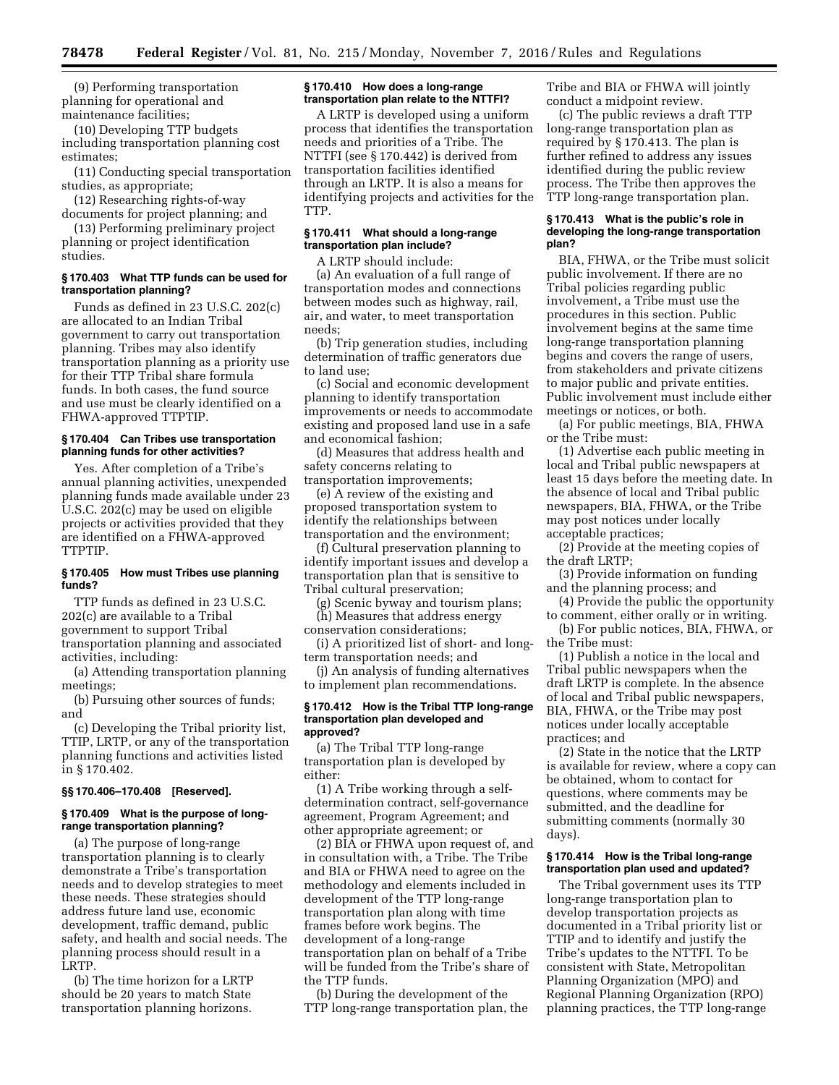(9) Performing transportation planning for operational and maintenance facilities;

(10) Developing TTP budgets including transportation planning cost estimates;

(11) Conducting special transportation studies, as appropriate;

(12) Researching rights-of-way documents for project planning; and

(13) Performing preliminary project planning or project identification studies.

### **§ 170.403 What TTP funds can be used for transportation planning?**

Funds as defined in 23 U.S.C. 202(c) are allocated to an Indian Tribal government to carry out transportation planning. Tribes may also identify transportation planning as a priority use for their TTP Tribal share formula funds. In both cases, the fund source and use must be clearly identified on a FHWA-approved TTPTIP.

### **§ 170.404 Can Tribes use transportation planning funds for other activities?**

Yes. After completion of a Tribe's annual planning activities, unexpended planning funds made available under 23 U.S.C. 202(c) may be used on eligible projects or activities provided that they are identified on a FHWA-approved TTPTIP.

# **§ 170.405 How must Tribes use planning funds?**

TTP funds as defined in 23 U.S.C. 202(c) are available to a Tribal government to support Tribal transportation planning and associated activities, including:

(a) Attending transportation planning meetings;

(b) Pursuing other sources of funds; and

(c) Developing the Tribal priority list, TTIP, LRTP, or any of the transportation planning functions and activities listed in § 170.402.

#### **§§ 170.406–170.408 [Reserved].**

### **§ 170.409 What is the purpose of longrange transportation planning?**

(a) The purpose of long-range transportation planning is to clearly demonstrate a Tribe's transportation needs and to develop strategies to meet these needs. These strategies should address future land use, economic development, traffic demand, public safety, and health and social needs. The planning process should result in a LRTP.

(b) The time horizon for a LRTP should be 20 years to match State transportation planning horizons.

### **§ 170.410 How does a long-range transportation plan relate to the NTTFI?**

A LRTP is developed using a uniform process that identifies the transportation needs and priorities of a Tribe. The NTTFI (see § 170.442) is derived from transportation facilities identified through an LRTP. It is also a means for identifying projects and activities for the TTP.

# **§ 170.411 What should a long-range transportation plan include?**

A LRTP should include:

(a) An evaluation of a full range of transportation modes and connections between modes such as highway, rail, air, and water, to meet transportation needs;

(b) Trip generation studies, including determination of traffic generators due to land use;

(c) Social and economic development planning to identify transportation improvements or needs to accommodate existing and proposed land use in a safe and economical fashion;

(d) Measures that address health and safety concerns relating to transportation improvements;

(e) A review of the existing and proposed transportation system to identify the relationships between transportation and the environment;

(f) Cultural preservation planning to identify important issues and develop a transportation plan that is sensitive to Tribal cultural preservation;

(g) Scenic byway and tourism plans; (h) Measures that address energy

conservation considerations; (i) A prioritized list of short- and long-

term transportation needs; and (j) An analysis of funding alternatives

to implement plan recommendations.

#### **§ 170.412 How is the Tribal TTP long-range transportation plan developed and approved?**

(a) The Tribal TTP long-range transportation plan is developed by either:

(1) A Tribe working through a selfdetermination contract, self-governance agreement, Program Agreement; and other appropriate agreement; or

(2) BIA or FHWA upon request of, and in consultation with, a Tribe. The Tribe and BIA or FHWA need to agree on the methodology and elements included in development of the TTP long-range transportation plan along with time frames before work begins. The development of a long-range transportation plan on behalf of a Tribe will be funded from the Tribe's share of the TTP funds.

(b) During the development of the TTP long-range transportation plan, the Tribe and BIA or FHWA will jointly conduct a midpoint review.

(c) The public reviews a draft TTP long-range transportation plan as required by § 170.413. The plan is further refined to address any issues identified during the public review process. The Tribe then approves the TTP long-range transportation plan.

#### **§ 170.413 What is the public's role in developing the long-range transportation plan?**

BIA, FHWA, or the Tribe must solicit public involvement. If there are no Tribal policies regarding public involvement, a Tribe must use the procedures in this section. Public involvement begins at the same time long-range transportation planning begins and covers the range of users, from stakeholders and private citizens to major public and private entities. Public involvement must include either meetings or notices, or both.

(a) For public meetings, BIA, FHWA or the Tribe must:

(1) Advertise each public meeting in local and Tribal public newspapers at least 15 days before the meeting date. In the absence of local and Tribal public newspapers, BIA, FHWA, or the Tribe may post notices under locally acceptable practices;

(2) Provide at the meeting copies of the draft LRTP;

(3) Provide information on funding and the planning process; and

(4) Provide the public the opportunity to comment, either orally or in writing.

(b) For public notices, BIA, FHWA, or the Tribe must:

(1) Publish a notice in the local and Tribal public newspapers when the draft LRTP is complete. In the absence of local and Tribal public newspapers, BIA, FHWA, or the Tribe may post notices under locally acceptable practices; and

(2) State in the notice that the LRTP is available for review, where a copy can be obtained, whom to contact for questions, where comments may be submitted, and the deadline for submitting comments (normally 30 days).

### **§ 170.414 How is the Tribal long-range transportation plan used and updated?**

The Tribal government uses its TTP long-range transportation plan to develop transportation projects as documented in a Tribal priority list or TTIP and to identify and justify the Tribe's updates to the NTTFI. To be consistent with State, Metropolitan Planning Organization (MPO) and Regional Planning Organization (RPO) planning practices, the TTP long-range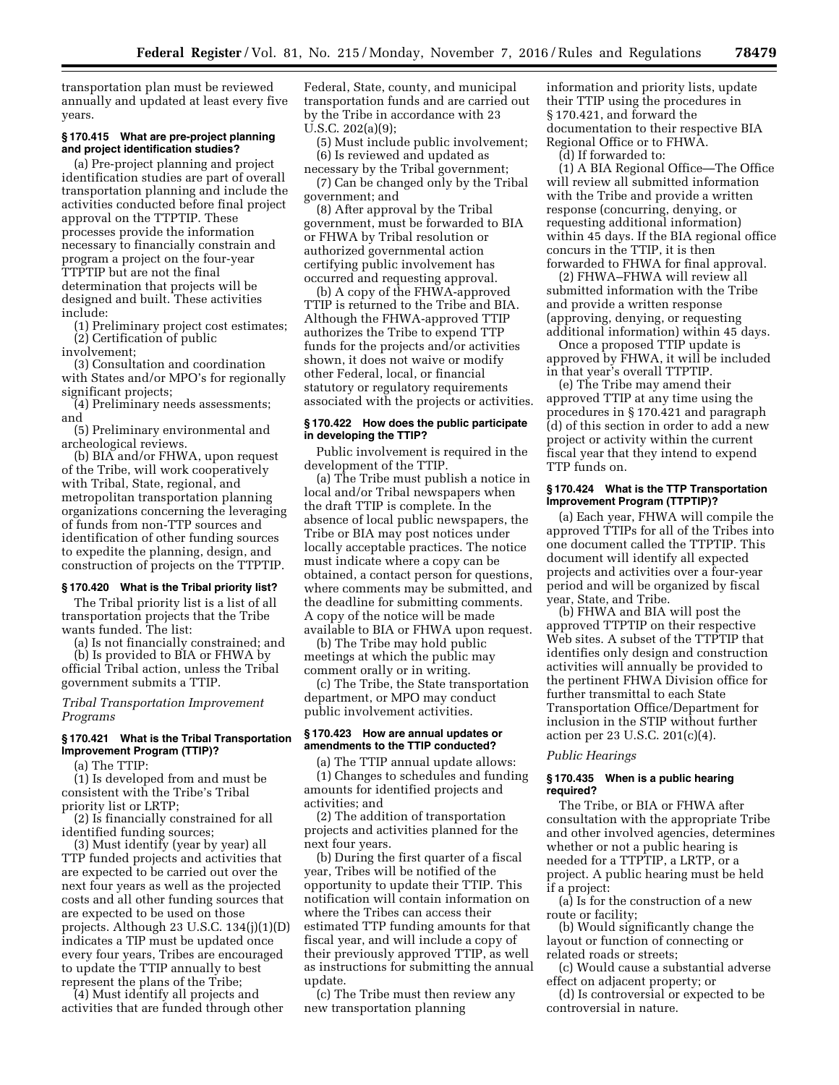transportation plan must be reviewed annually and updated at least every five years.

### **§ 170.415 What are pre-project planning and project identification studies?**

(a) Pre-project planning and project identification studies are part of overall transportation planning and include the activities conducted before final project approval on the TTPTIP. These processes provide the information necessary to financially constrain and program a project on the four-year TTPTIP but are not the final determination that projects will be designed and built. These activities include:

(1) Preliminary project cost estimates; (2) Certification of public

involvement;

(3) Consultation and coordination with States and/or MPO's for regionally significant projects;

(4) Preliminary needs assessments; and

(5) Preliminary environmental and archeological reviews.

(b) BIA and/or FHWA, upon request of the Tribe, will work cooperatively with Tribal, State, regional, and metropolitan transportation planning organizations concerning the leveraging of funds from non-TTP sources and identification of other funding sources to expedite the planning, design, and construction of projects on the TTPTIP.

#### **§ 170.420 What is the Tribal priority list?**

The Tribal priority list is a list of all transportation projects that the Tribe wants funded. The list:

(a) Is not financially constrained; and

(b) Is provided to BIA or FHWA by official Tribal action, unless the Tribal government submits a TTIP.

### *Tribal Transportation Improvement Programs*

# **§ 170.421 What is the Tribal Transportation Improvement Program (TTIP)?**

(a) The TTIP:

(1) Is developed from and must be consistent with the Tribe's Tribal priority list or LRTP;

(2) Is financially constrained for all identified funding sources;

(3) Must identify (year by year) all TTP funded projects and activities that are expected to be carried out over the next four years as well as the projected costs and all other funding sources that are expected to be used on those projects. Although 23 U.S.C. 134(j)(1)(D) indicates a TIP must be updated once every four years, Tribes are encouraged to update the TTIP annually to best represent the plans of the Tribe;

(4) Must identify all projects and activities that are funded through other Federal, State, county, and municipal transportation funds and are carried out by the Tribe in accordance with 23 U.S.C. 202(a)(9);

(5) Must include public involvement; (6) Is reviewed and updated as

necessary by the Tribal government; (7) Can be changed only by the Tribal government; and

(8) After approval by the Tribal government, must be forwarded to BIA or FHWA by Tribal resolution or authorized governmental action certifying public involvement has occurred and requesting approval.

(b) A copy of the FHWA-approved TTIP is returned to the Tribe and BIA. Although the FHWA-approved TTIP authorizes the Tribe to expend TTP funds for the projects and/or activities shown, it does not waive or modify other Federal, local, or financial statutory or regulatory requirements associated with the projects or activities.

### **§ 170.422 How does the public participate in developing the TTIP?**

Public involvement is required in the development of the TTIP.

(a) The Tribe must publish a notice in local and/or Tribal newspapers when the draft TTIP is complete. In the absence of local public newspapers, the Tribe or BIA may post notices under locally acceptable practices. The notice must indicate where a copy can be obtained, a contact person for questions, where comments may be submitted, and the deadline for submitting comments. A copy of the notice will be made available to BIA or FHWA upon request.

(b) The Tribe may hold public meetings at which the public may comment orally or in writing.

(c) The Tribe, the State transportation department, or MPO may conduct public involvement activities.

### **§ 170.423 How are annual updates or amendments to the TTIP conducted?**

(a) The TTIP annual update allows: (1) Changes to schedules and funding amounts for identified projects and activities; and

(2) The addition of transportation projects and activities planned for the next four years.

(b) During the first quarter of a fiscal year, Tribes will be notified of the opportunity to update their TTIP. This notification will contain information on where the Tribes can access their estimated TTP funding amounts for that fiscal year, and will include a copy of their previously approved TTIP, as well as instructions for submitting the annual update.

(c) The Tribe must then review any new transportation planning

information and priority lists, update their TTIP using the procedures in § 170.421, and forward the documentation to their respective BIA Regional Office or to FHWA.

(d) If forwarded to:

(1) A BIA Regional Office—The Office will review all submitted information with the Tribe and provide a written response (concurring, denying, or requesting additional information) within 45 days. If the BIA regional office concurs in the TTIP, it is then forwarded to FHWA for final approval.

(2) FHWA–FHWA will review all submitted information with the Tribe and provide a written response (approving, denying, or requesting additional information) within 45 days.

Once a proposed TTIP update is approved by FHWA, it will be included in that year's overall TTPTIP.

(e) The Tribe may amend their approved TTIP at any time using the procedures in § 170.421 and paragraph (d) of this section in order to add a new project or activity within the current fiscal year that they intend to expend TTP funds on.

# **§ 170.424 What is the TTP Transportation Improvement Program (TTPTIP)?**

(a) Each year, FHWA will compile the approved TTIPs for all of the Tribes into one document called the TTPTIP. This document will identify all expected projects and activities over a four-year period and will be organized by fiscal year, State, and Tribe.

(b) FHWA and BIA will post the approved TTPTIP on their respective Web sites. A subset of the TTPTIP that identifies only design and construction activities will annually be provided to the pertinent FHWA Division office for further transmittal to each State Transportation Office/Department for inclusion in the STIP without further action per 23 U.S.C. 201(c)(4).

#### *Public Hearings*

### **§ 170.435 When is a public hearing required?**

The Tribe, or BIA or FHWA after consultation with the appropriate Tribe and other involved agencies, determines whether or not a public hearing is needed for a TTPTIP, a LRTP, or a project. A public hearing must be held if a project:

(a) Is for the construction of a new route or facility;

(b) Would significantly change the layout or function of connecting or related roads or streets;

(c) Would cause a substantial adverse effect on adjacent property; or

(d) Is controversial or expected to be controversial in nature.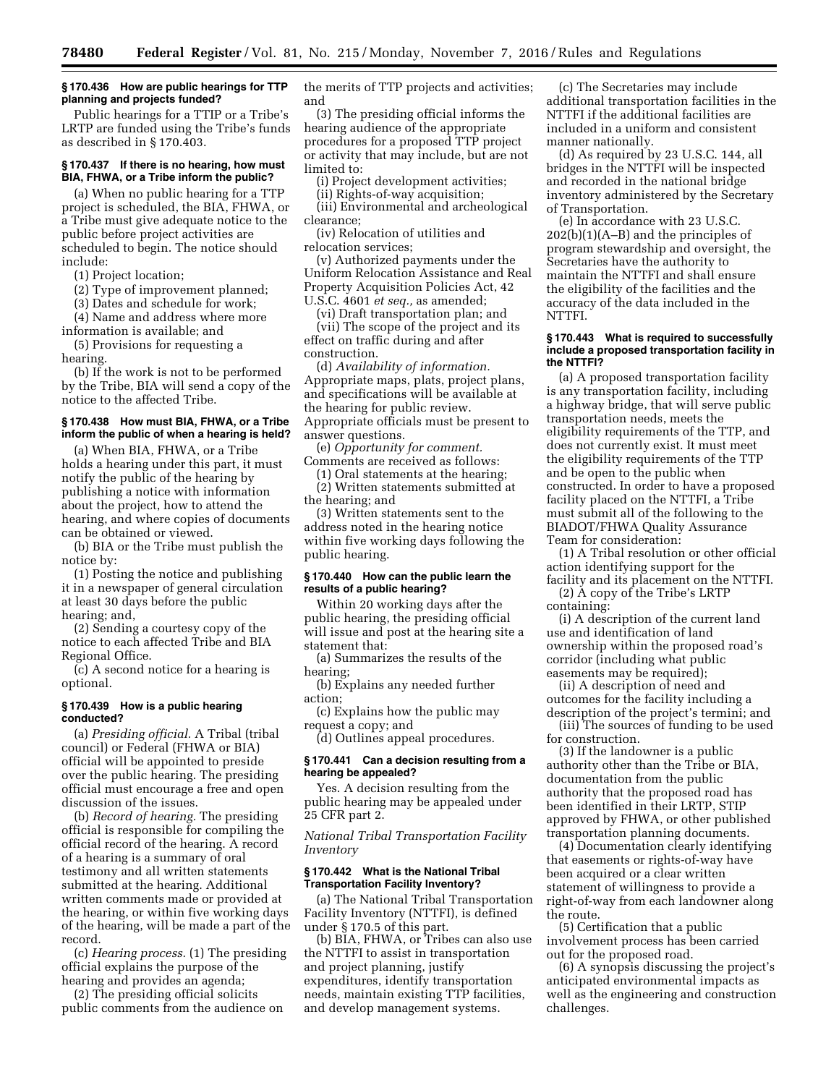### **§ 170.436 How are public hearings for TTP planning and projects funded?**

Public hearings for a TTIP or a Tribe's LRTP are funded using the Tribe's funds as described in § 170.403.

### **§ 170.437 If there is no hearing, how must BIA, FHWA, or a Tribe inform the public?**

(a) When no public hearing for a TTP project is scheduled, the BIA, FHWA, or a Tribe must give adequate notice to the public before project activities are scheduled to begin. The notice should include:

(1) Project location;

(2) Type of improvement planned;

(3) Dates and schedule for work;

(4) Name and address where more information is available; and

(5) Provisions for requesting a hearing.

(b) If the work is not to be performed by the Tribe, BIA will send a copy of the notice to the affected Tribe.

### **§ 170.438 How must BIA, FHWA, or a Tribe inform the public of when a hearing is held?**

(a) When BIA, FHWA, or a Tribe holds a hearing under this part, it must notify the public of the hearing by publishing a notice with information about the project, how to attend the hearing, and where copies of documents can be obtained or viewed.

(b) BIA or the Tribe must publish the notice by:

(1) Posting the notice and publishing it in a newspaper of general circulation at least 30 days before the public hearing; and,

(2) Sending a courtesy copy of the notice to each affected Tribe and BIA Regional Office.

(c) A second notice for a hearing is optional.

### **§ 170.439 How is a public hearing conducted?**

(a) *Presiding official.* A Tribal (tribal council) or Federal (FHWA or BIA) official will be appointed to preside over the public hearing. The presiding official must encourage a free and open discussion of the issues.

(b) *Record of hearing.* The presiding official is responsible for compiling the official record of the hearing. A record of a hearing is a summary of oral testimony and all written statements submitted at the hearing. Additional written comments made or provided at the hearing, or within five working days of the hearing, will be made a part of the record.

(c) *Hearing process.* (1) The presiding official explains the purpose of the hearing and provides an agenda;

(2) The presiding official solicits public comments from the audience on the merits of TTP projects and activities; and

(3) The presiding official informs the hearing audience of the appropriate procedures for a proposed TTP project or activity that may include, but are not limited to:

(i) Project development activities;

(ii) Rights-of-way acquisition; (iii) Environmental and archeological clearance;

(iv) Relocation of utilities and relocation services;

(v) Authorized payments under the Uniform Relocation Assistance and Real Property Acquisition Policies Act, 42 U.S.C. 4601 *et seq.,* as amended;

(vi) Draft transportation plan; and

(vii) The scope of the project and its effect on traffic during and after construction.

(d) *Availability of information.*  Appropriate maps, plats, project plans, and specifications will be available at the hearing for public review. Appropriate officials must be present to answer questions.

(e) *Opportunity for comment.*  Comments are received as follows:

(1) Oral statements at the hearing; (2) Written statements submitted at the hearing; and

(3) Written statements sent to the address noted in the hearing notice within five working days following the public hearing.

# **§ 170.440 How can the public learn the results of a public hearing?**

Within 20 working days after the public hearing, the presiding official will issue and post at the hearing site a statement that:

(a) Summarizes the results of the hearing;

(b) Explains any needed further action;

(c) Explains how the public may request a copy; and

(d) Outlines appeal procedures.

### **§ 170.441 Can a decision resulting from a hearing be appealed?**

Yes. A decision resulting from the public hearing may be appealed under 25 CFR part 2.

*National Tribal Transportation Facility Inventory* 

### **§ 170.442 What is the National Tribal Transportation Facility Inventory?**

(a) The National Tribal Transportation Facility Inventory (NTTFI), is defined under § 170.5 of this part.

(b) BIA, FHWA, or Tribes can also use the NTTFI to assist in transportation and project planning, justify expenditures, identify transportation needs, maintain existing TTP facilities, and develop management systems.

(c) The Secretaries may include additional transportation facilities in the NTTFI if the additional facilities are included in a uniform and consistent manner nationally.

(d) As required by 23 U.S.C. 144, all bridges in the NTTFI will be inspected and recorded in the national bridge inventory administered by the Secretary of Transportation.

(e) In accordance with 23 U.S.C. 202(b)(1)(A–B) and the principles of program stewardship and oversight, the Secretaries have the authority to maintain the NTTFI and shall ensure the eligibility of the facilities and the accuracy of the data included in the NTTFI.

### **§ 170.443 What is required to successfully include a proposed transportation facility in the NTTFI?**

(a) A proposed transportation facility is any transportation facility, including a highway bridge, that will serve public transportation needs, meets the eligibility requirements of the TTP, and does not currently exist. It must meet the eligibility requirements of the TTP and be open to the public when constructed. In order to have a proposed facility placed on the NTTFI, a Tribe must submit all of the following to the BIADOT/FHWA Quality Assurance Team for consideration:

(1) A Tribal resolution or other official action identifying support for the facility and its placement on the NTTFI.

(2) A copy of the Tribe's LRTP containing:

(i) A description of the current land use and identification of land ownership within the proposed road's corridor (including what public easements may be required);

(ii) A description of need and outcomes for the facility including a description of the project's termini; and (iii) The sources of funding to be used

for construction.

(3) If the landowner is a public authority other than the Tribe or BIA, documentation from the public authority that the proposed road has been identified in their LRTP, STIP approved by FHWA, or other published transportation planning documents.

(4) Documentation clearly identifying that easements or rights-of-way have been acquired or a clear written statement of willingness to provide a right-of-way from each landowner along the route.

(5) Certification that a public involvement process has been carried out for the proposed road.

(6) A synopsis discussing the project's anticipated environmental impacts as well as the engineering and construction challenges.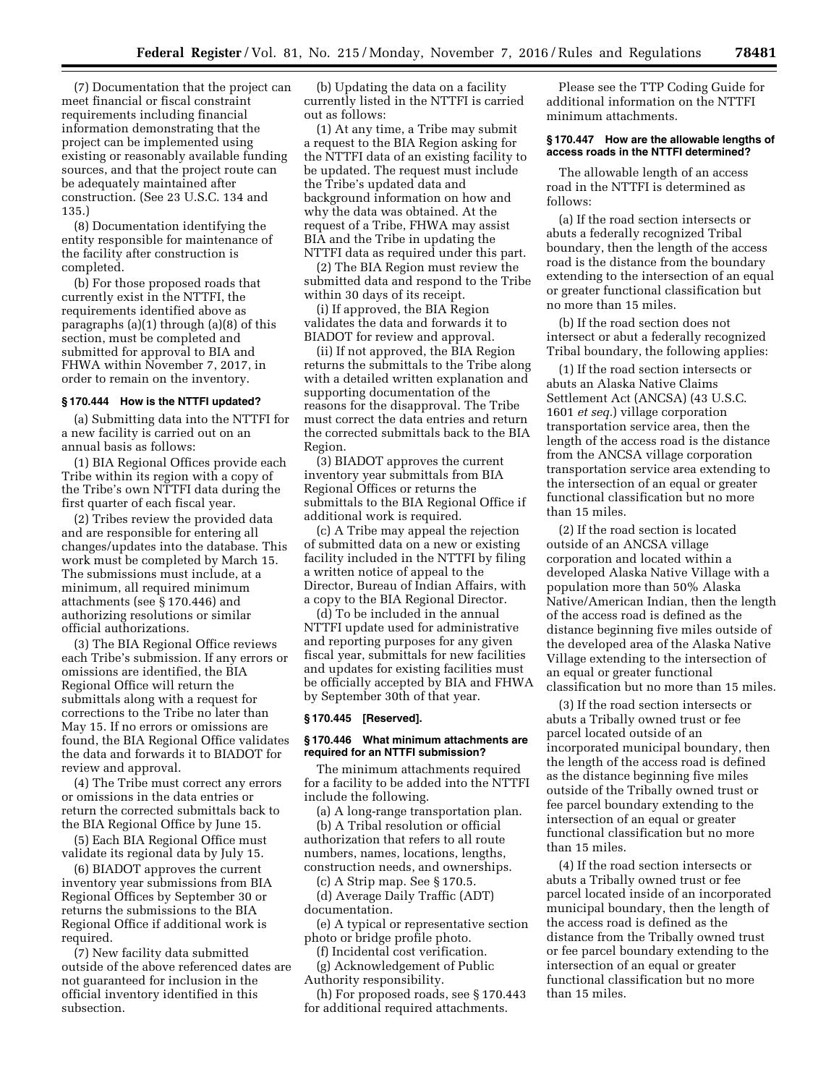(7) Documentation that the project can meet financial or fiscal constraint requirements including financial information demonstrating that the project can be implemented using existing or reasonably available funding sources, and that the project route can be adequately maintained after construction. (See 23 U.S.C. 134 and 135.)

(8) Documentation identifying the entity responsible for maintenance of the facility after construction is completed.

(b) For those proposed roads that currently exist in the NTTFI, the requirements identified above as paragraphs (a)(1) through (a)(8) of this section, must be completed and submitted for approval to BIA and FHWA within November 7, 2017, in order to remain on the inventory.

#### **§ 170.444 How is the NTTFI updated?**

(a) Submitting data into the NTTFI for a new facility is carried out on an annual basis as follows:

(1) BIA Regional Offices provide each Tribe within its region with a copy of the Tribe's own NTTFI data during the first quarter of each fiscal year.

(2) Tribes review the provided data and are responsible for entering all changes/updates into the database. This work must be completed by March 15. The submissions must include, at a minimum, all required minimum attachments (see § 170.446) and authorizing resolutions or similar official authorizations.

(3) The BIA Regional Office reviews each Tribe's submission. If any errors or omissions are identified, the BIA Regional Office will return the submittals along with a request for corrections to the Tribe no later than May 15. If no errors or omissions are found, the BIA Regional Office validates the data and forwards it to BIADOT for review and approval.

(4) The Tribe must correct any errors or omissions in the data entries or return the corrected submittals back to the BIA Regional Office by June 15.

(5) Each BIA Regional Office must validate its regional data by July 15.

(6) BIADOT approves the current inventory year submissions from BIA Regional Offices by September 30 or returns the submissions to the BIA Regional Office if additional work is required.

(7) New facility data submitted outside of the above referenced dates are not guaranteed for inclusion in the official inventory identified in this subsection.

(b) Updating the data on a facility currently listed in the NTTFI is carried out as follows:

(1) At any time, a Tribe may submit a request to the BIA Region asking for the NTTFI data of an existing facility to be updated. The request must include the Tribe's updated data and background information on how and why the data was obtained. At the request of a Tribe, FHWA may assist BIA and the Tribe in updating the NTTFI data as required under this part.

(2) The BIA Region must review the submitted data and respond to the Tribe within 30 days of its receipt.

(i) If approved, the BIA Region validates the data and forwards it to BIADOT for review and approval.

(ii) If not approved, the BIA Region returns the submittals to the Tribe along with a detailed written explanation and supporting documentation of the reasons for the disapproval. The Tribe must correct the data entries and return the corrected submittals back to the BIA Region.

(3) BIADOT approves the current inventory year submittals from BIA Regional Offices or returns the submittals to the BIA Regional Office if additional work is required.

(c) A Tribe may appeal the rejection of submitted data on a new or existing facility included in the NTTFI by filing a written notice of appeal to the Director, Bureau of Indian Affairs, with a copy to the BIA Regional Director.

(d) To be included in the annual NTTFI update used for administrative and reporting purposes for any given fiscal year, submittals for new facilities and updates for existing facilities must be officially accepted by BIA and FHWA by September 30th of that year.

#### **§ 170.445 [Reserved].**

#### **§ 170.446 What minimum attachments are required for an NTTFI submission?**

The minimum attachments required for a facility to be added into the NTTFI include the following.

(a) A long-range transportation plan.

(b) A Tribal resolution or official authorization that refers to all route numbers, names, locations, lengths, construction needs, and ownerships.

(c) A Strip map. See § 170.5. (d) Average Daily Traffic (ADT) documentation.

(e) A typical or representative section photo or bridge profile photo.

(f) Incidental cost verification.

(g) Acknowledgement of Public Authority responsibility.

(h) For proposed roads, see § 170.443 for additional required attachments.

Please see the TTP Coding Guide for additional information on the NTTFI minimum attachments.

### **§ 170.447 How are the allowable lengths of access roads in the NTTFI determined?**

The allowable length of an access road in the NTTFI is determined as follows:

(a) If the road section intersects or abuts a federally recognized Tribal boundary, then the length of the access road is the distance from the boundary extending to the intersection of an equal or greater functional classification but no more than 15 miles.

(b) If the road section does not intersect or abut a federally recognized Tribal boundary, the following applies:

(1) If the road section intersects or abuts an Alaska Native Claims Settlement Act (ANCSA) (43 U.S.C. 1601 *et seq.*) village corporation transportation service area, then the length of the access road is the distance from the ANCSA village corporation transportation service area extending to the intersection of an equal or greater functional classification but no more than 15 miles.

(2) If the road section is located outside of an ANCSA village corporation and located within a developed Alaska Native Village with a population more than 50% Alaska Native/American Indian, then the length of the access road is defined as the distance beginning five miles outside of the developed area of the Alaska Native Village extending to the intersection of an equal or greater functional classification but no more than 15 miles.

(3) If the road section intersects or abuts a Tribally owned trust or fee parcel located outside of an incorporated municipal boundary, then the length of the access road is defined as the distance beginning five miles outside of the Tribally owned trust or fee parcel boundary extending to the intersection of an equal or greater functional classification but no more than 15 miles.

(4) If the road section intersects or abuts a Tribally owned trust or fee parcel located inside of an incorporated municipal boundary, then the length of the access road is defined as the distance from the Tribally owned trust or fee parcel boundary extending to the intersection of an equal or greater functional classification but no more than 15 miles.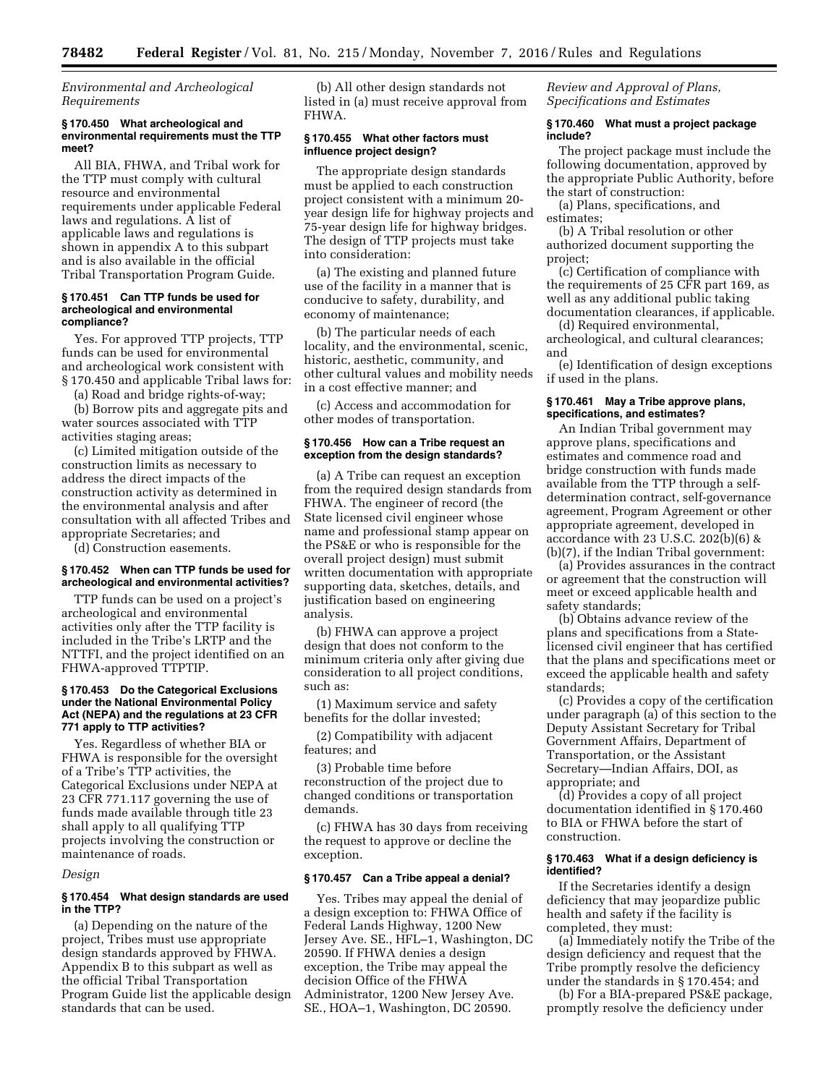# *Environmental and Archeological Requirements*

#### **§ 170.450 What archeological and environmental requirements must the TTP meet?**

All BIA, FHWA, and Tribal work for the TTP must comply with cultural resource and environmental requirements under applicable Federal laws and regulations. A list of applicable laws and regulations is shown in appendix A to this subpart and is also available in the official Tribal Transportation Program Guide.

#### **§ 170.451 Can TTP funds be used for archeological and environmental compliance?**

Yes. For approved TTP projects, TTP funds can be used for environmental and archeological work consistent with § 170.450 and applicable Tribal laws for:

(a) Road and bridge rights-of-way;

(b) Borrow pits and aggregate pits and water sources associated with TTP activities staging areas;

(c) Limited mitigation outside of the construction limits as necessary to address the direct impacts of the construction activity as determined in the environmental analysis and after consultation with all affected Tribes and appropriate Secretaries; and

(d) Construction easements.

#### **§ 170.452 When can TTP funds be used for archeological and environmental activities?**

TTP funds can be used on a project's archeological and environmental activities only after the TTP facility is included in the Tribe's LRTP and the NTTFI, and the project identified on an FHWA-approved TTPTIP.

### **§ 170.453 Do the Categorical Exclusions under the National Environmental Policy Act (NEPA) and the regulations at 23 CFR 771 apply to TTP activities?**

Yes. Regardless of whether BIA or FHWA is responsible for the oversight of a Tribe's TTP activities, the Categorical Exclusions under NEPA at 23 CFR 771.117 governing the use of funds made available through title 23 shall apply to all qualifying TTP projects involving the construction or maintenance of roads.

#### *Design*

### **§ 170.454 What design standards are used in the TTP?**

(a) Depending on the nature of the project, Tribes must use appropriate design standards approved by FHWA. Appendix B to this subpart as well as the official Tribal Transportation Program Guide list the applicable design standards that can be used.

(b) All other design standards not listed in (a) must receive approval from FHWA.

#### **§ 170.455 What other factors must influence project design?**

The appropriate design standards must be applied to each construction project consistent with a minimum 20 year design life for highway projects and 75-year design life for highway bridges. The design of TTP projects must take into consideration:

(a) The existing and planned future use of the facility in a manner that is conducive to safety, durability, and economy of maintenance;

(b) The particular needs of each locality, and the environmental, scenic, historic, aesthetic, community, and other cultural values and mobility needs in a cost effective manner; and

(c) Access and accommodation for other modes of transportation.

### **§ 170.456 How can a Tribe request an exception from the design standards?**

(a) A Tribe can request an exception from the required design standards from FHWA. The engineer of record (the State licensed civil engineer whose name and professional stamp appear on the PS&E or who is responsible for the overall project design) must submit written documentation with appropriate supporting data, sketches, details, and justification based on engineering analysis.

(b) FHWA can approve a project design that does not conform to the minimum criteria only after giving due consideration to all project conditions, such as:

(1) Maximum service and safety benefits for the dollar invested;

(2) Compatibility with adjacent features; and

(3) Probable time before reconstruction of the project due to changed conditions or transportation demands.

(c) FHWA has 30 days from receiving the request to approve or decline the exception.

#### **§ 170.457 Can a Tribe appeal a denial?**

Yes. Tribes may appeal the denial of a design exception to: FHWA Office of Federal Lands Highway, 1200 New Jersey Ave. SE., HFL–1, Washington, DC 20590. If FHWA denies a design exception, the Tribe may appeal the decision Office of the FHWA Administrator, 1200 New Jersey Ave. SE., HOA–1, Washington, DC 20590.

*Review and Approval of Plans, Specifications and Estimates* 

### **§ 170.460 What must a project package include?**

The project package must include the following documentation, approved by the appropriate Public Authority, before the start of construction:

(a) Plans, specifications, and estimates;

(b) A Tribal resolution or other authorized document supporting the project;

(c) Certification of compliance with the requirements of 25 CFR part 169, as well as any additional public taking documentation clearances, if applicable.

(d) Required environmental, archeological, and cultural clearances; and

(e) Identification of design exceptions if used in the plans.

# **§ 170.461 May a Tribe approve plans, specifications, and estimates?**

An Indian Tribal government may approve plans, specifications and estimates and commence road and bridge construction with funds made available from the TTP through a selfdetermination contract, self-governance agreement, Program Agreement or other appropriate agreement, developed in accordance with 23 U.S.C. 202 $(b)(6)$  & (b)(7), if the Indian Tribal government:

(a) Provides assurances in the contract or agreement that the construction will meet or exceed applicable health and safety standards;

(b) Obtains advance review of the plans and specifications from a Statelicensed civil engineer that has certified that the plans and specifications meet or exceed the applicable health and safety standards;

(c) Provides a copy of the certification under paragraph (a) of this section to the Deputy Assistant Secretary for Tribal Government Affairs, Department of Transportation, or the Assistant Secretary—Indian Affairs, DOI, as appropriate; and

(d) Provides a copy of all project documentation identified in § 170.460 to BIA or FHWA before the start of construction.

### **§ 170.463 What if a design deficiency is identified?**

If the Secretaries identify a design deficiency that may jeopardize public health and safety if the facility is completed, they must:

(a) Immediately notify the Tribe of the design deficiency and request that the Tribe promptly resolve the deficiency under the standards in § 170.454; and

(b) For a BIA-prepared PS&E package, promptly resolve the deficiency under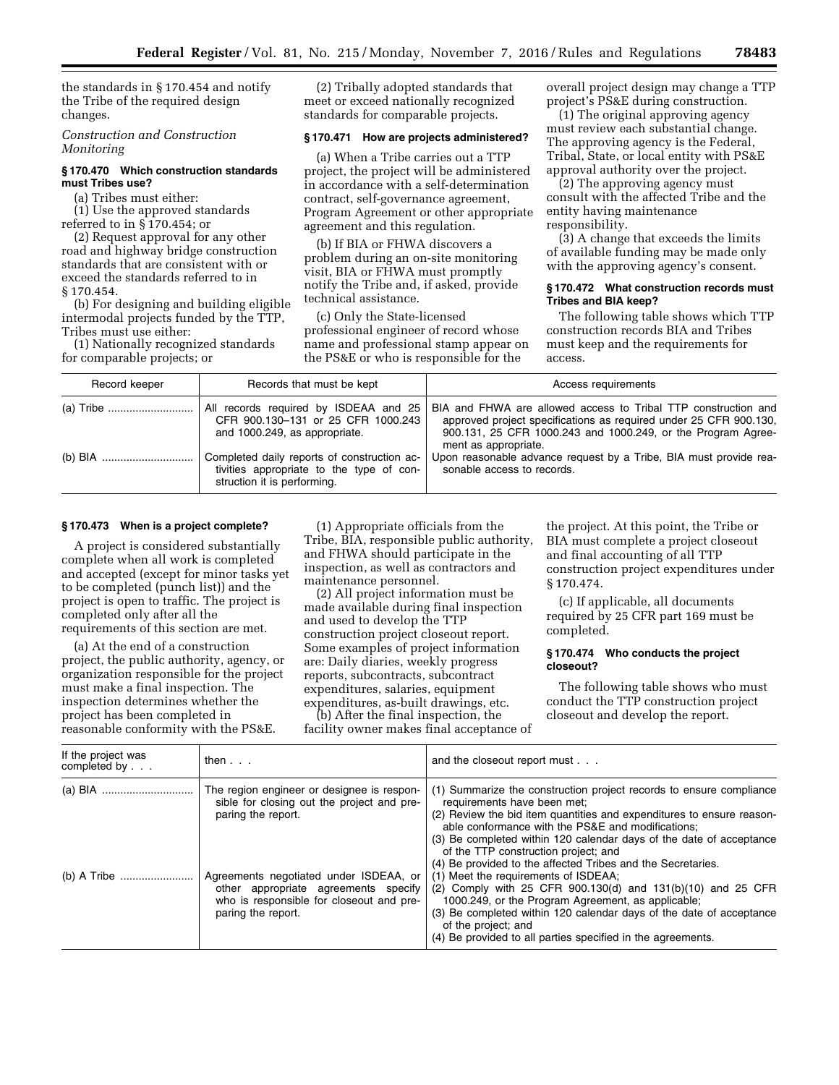the standards in § 170.454 and notify the Tribe of the required design changes.

*Construction and Construction Monitoring* 

# **§ 170.470 Which construction standards must Tribes use?**

(a) Tribes must either:

(1) Use the approved standards referred to in § 170.454; or

(2) Request approval for any other road and highway bridge construction standards that are consistent with or exceed the standards referred to in § 170.454.

(b) For designing and building eligible intermodal projects funded by the TTP, Tribes must use either:

(1) Nationally recognized standards for comparable projects; or

(2) Tribally adopted standards that meet or exceed nationally recognized standards for comparable projects.

### **§ 170.471 How are projects administered?**

(a) When a Tribe carries out a TTP project, the project will be administered in accordance with a self-determination contract, self-governance agreement, Program Agreement or other appropriate agreement and this regulation.

(b) If BIA or FHWA discovers a problem during an on-site monitoring visit, BIA or FHWA must promptly notify the Tribe and, if asked, provide technical assistance.

(c) Only the State-licensed professional engineer of record whose name and professional stamp appear on the PS&E or who is responsible for the

overall project design may change a TTP project's PS&E during construction.

(1) The original approving agency must review each substantial change. The approving agency is the Federal, Tribal, State, or local entity with PS&E approval authority over the project.

(2) The approving agency must consult with the affected Tribe and the entity having maintenance responsibility.

(3) A change that exceeds the limits of available funding may be made only with the approving agency's consent.

### **§ 170.472 What construction records must Tribes and BIA keep?**

The following table shows which TTP construction records BIA and Tribes must keep and the requirements for access.

| Record keeper | Records that must be kept                                                                                              | Access requirements                                                                                                                                                                                                         |
|---------------|------------------------------------------------------------------------------------------------------------------------|-----------------------------------------------------------------------------------------------------------------------------------------------------------------------------------------------------------------------------|
|               | All records required by ISDEAA and 25<br>CFR 900.130-131 or 25 CFR 1000.243<br>and 1000.249, as appropriate.           | BIA and FHWA are allowed access to Tribal TTP construction and<br>approved project specifications as required under 25 CFR 900.130.<br>900.131, 25 CFR 1000.243 and 1000.249, or the Program Agree-<br>ment as appropriate. |
|               | Completed daily reports of construction ac-<br>tivities appropriate to the type of con-<br>struction it is performing. | Upon reasonable advance request by a Tribe, BIA must provide rea-<br>sonable access to records.                                                                                                                             |

# **§ 170.473 When is a project complete?**

A project is considered substantially complete when all work is completed and accepted (except for minor tasks yet to be completed (punch list)) and the project is open to traffic. The project is completed only after all the requirements of this section are met.

(a) At the end of a construction project, the public authority, agency, or organization responsible for the project must make a final inspection. The inspection determines whether the project has been completed in reasonable conformity with the PS&E.

(1) Appropriate officials from the Tribe, BIA, responsible public authority, and FHWA should participate in the inspection, as well as contractors and maintenance personnel.

(2) All project information must be made available during final inspection and used to develop the TTP construction project closeout report. Some examples of project information are: Daily diaries, weekly progress reports, subcontracts, subcontract expenditures, salaries, equipment expenditures, as-built drawings, etc.

(b) After the final inspection, the facility owner makes final acceptance of

the project. At this point, the Tribe or BIA must complete a project closeout and final accounting of all TTP construction project expenditures under § 170.474.

(c) If applicable, all documents required by 25 CFR part 169 must be completed.

#### **§ 170.474 Who conducts the project closeout?**

The following table shows who must conduct the TTP construction project closeout and develop the report.

| If the project was<br>completed by | then $\ldots$                                                                                                                                                                                                                                                      | and the closeout report must                                                                                                                                                                                                                                                                                                                                                                                                                                                                                                                                                                                                                                                                                                               |
|------------------------------------|--------------------------------------------------------------------------------------------------------------------------------------------------------------------------------------------------------------------------------------------------------------------|--------------------------------------------------------------------------------------------------------------------------------------------------------------------------------------------------------------------------------------------------------------------------------------------------------------------------------------------------------------------------------------------------------------------------------------------------------------------------------------------------------------------------------------------------------------------------------------------------------------------------------------------------------------------------------------------------------------------------------------------|
|                                    | The region engineer or designee is respon-<br>sible for closing out the project and pre-<br>paring the report.<br>Agreements negotiated under ISDEAA, or<br>other appropriate agreements specify<br>who is responsible for closeout and pre-<br>paring the report. | (1) Summarize the construction project records to ensure compliance<br>requirements have been met:<br>(2) Review the bid item quantities and expenditures to ensure reason-<br>able conformance with the PS&E and modifications:<br>(3) Be completed within 120 calendar days of the date of acceptance<br>of the TTP construction project; and<br>(4) Be provided to the affected Tribes and the Secretaries.<br>(1) Meet the requirements of ISDEAA;<br>(2) Comply with 25 CFR 900.130(d) and $131(b)(10)$ and 25 CFR<br>1000.249, or the Program Agreement, as applicable;<br>(3) Be completed within 120 calendar days of the date of acceptance<br>of the project; and<br>(4) Be provided to all parties specified in the agreements. |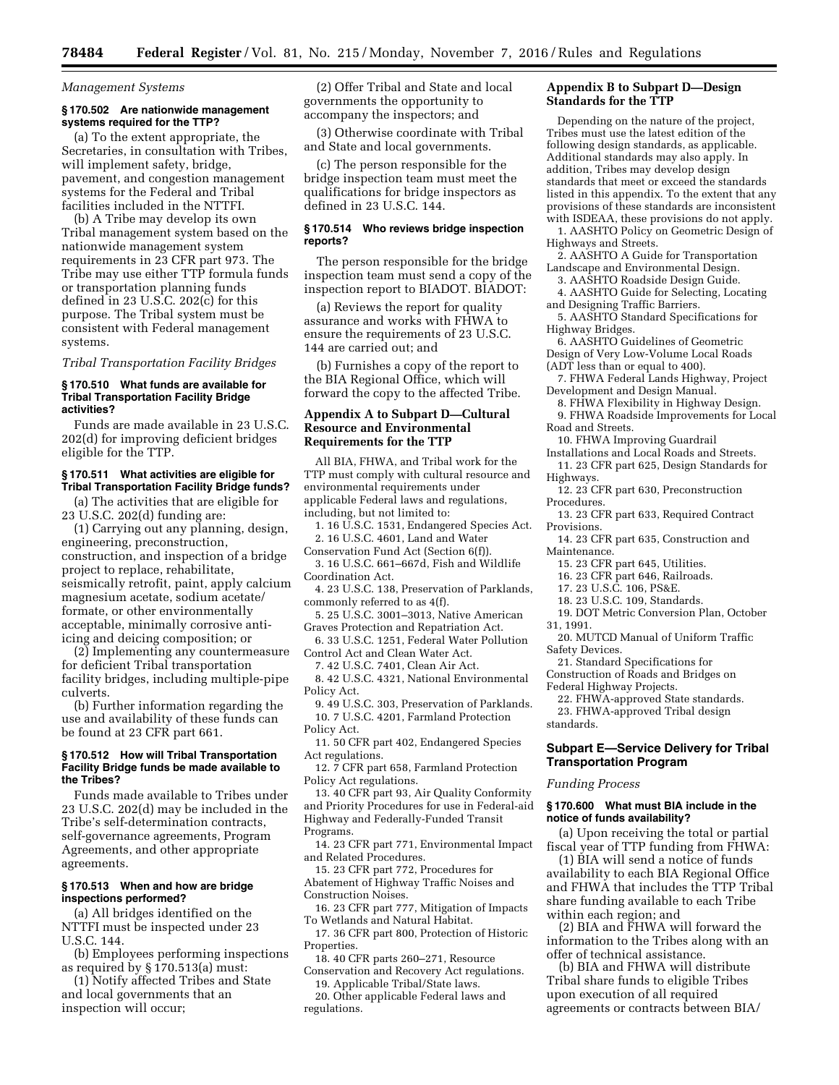*Management Systems* 

### **§ 170.502 Are nationwide management systems required for the TTP?**

(a) To the extent appropriate, the Secretaries, in consultation with Tribes, will implement safety, bridge, pavement, and congestion management systems for the Federal and Tribal facilities included in the NTTFI.

(b) A Tribe may develop its own Tribal management system based on the nationwide management system requirements in 23 CFR part 973. The Tribe may use either TTP formula funds or transportation planning funds defined in 23 U.S.C. 202(c) for this purpose. The Tribal system must be consistent with Federal management systems.

*Tribal Transportation Facility Bridges* 

### **§ 170.510 What funds are available for Tribal Transportation Facility Bridge activities?**

Funds are made available in 23 U.S.C. 202(d) for improving deficient bridges eligible for the TTP.

# **§ 170.511 What activities are eligible for Tribal Transportation Facility Bridge funds?**

(a) The activities that are eligible for 23 U.S.C. 202(d) funding are:

(1) Carrying out any planning, design, engineering, preconstruction, construction, and inspection of a bridge project to replace, rehabilitate, seismically retrofit, paint, apply calcium magnesium acetate, sodium acetate/ formate, or other environmentally acceptable, minimally corrosive antiicing and deicing composition; or

(2) Implementing any countermeasure for deficient Tribal transportation facility bridges, including multiple-pipe culverts.

(b) Further information regarding the use and availability of these funds can be found at 23 CFR part 661.

### **§ 170.512 How will Tribal Transportation Facility Bridge funds be made available to the Tribes?**

Funds made available to Tribes under 23 U.S.C. 202(d) may be included in the Tribe's self-determination contracts, self-governance agreements, Program Agreements, and other appropriate agreements.

### **§ 170.513 When and how are bridge inspections performed?**

(a) All bridges identified on the NTTFI must be inspected under 23 U.S.C. 144.

(b) Employees performing inspections as required by § 170.513(a) must:

(1) Notify affected Tribes and State and local governments that an inspection will occur;

(2) Offer Tribal and State and local governments the opportunity to accompany the inspectors; and

(3) Otherwise coordinate with Tribal and State and local governments.

(c) The person responsible for the bridge inspection team must meet the qualifications for bridge inspectors as defined in 23 U.S.C. 144.

### **§ 170.514 Who reviews bridge inspection reports?**

The person responsible for the bridge inspection team must send a copy of the inspection report to BIADOT. BIADOT:

(a) Reviews the report for quality assurance and works with FHWA to ensure the requirements of 23 U.S.C. 144 are carried out; and

(b) Furnishes a copy of the report to the BIA Regional Office, which will forward the copy to the affected Tribe.

# **Appendix A to Subpart D—Cultural Resource and Environmental Requirements for the TTP**

All BIA, FHWA, and Tribal work for the TTP must comply with cultural resource and environmental requirements under applicable Federal laws and regulations, including, but not limited to:

- 1. 16 U.S.C. 1531, Endangered Species Act. 2. 16 U.S.C. 4601, Land and Water
- Conservation Fund Act (Section 6(f)).

3. 16 U.S.C. 661–667d, Fish and Wildlife Coordination Act.

- 4. 23 U.S.C. 138, Preservation of Parklands, commonly referred to as 4(f).
- 5. 25 U.S.C. 3001–3013, Native American Graves Protection and Repatriation Act.

6. 33 U.S.C. 1251, Federal Water Pollution Control Act and Clean Water Act.

7. 42 U.S.C. 7401, Clean Air Act.

8. 42 U.S.C. 4321, National Environmental Policy Act.

9. 49 U.S.C. 303, Preservation of Parklands. 10. 7 U.S.C. 4201, Farmland Protection Policy Act.

11. 50 CFR part 402, Endangered Species Act regulations.

12. 7 CFR part 658, Farmland Protection Policy Act regulations.

13. 40 CFR part 93, Air Quality Conformity and Priority Procedures for use in Federal-aid Highway and Federally-Funded Transit Programs.

14. 23 CFR part 771, Environmental Impact and Related Procedures.

15. 23 CFR part 772, Procedures for Abatement of Highway Traffic Noises and Construction Noises.

16. 23 CFR part 777, Mitigation of Impacts To Wetlands and Natural Habitat.

17. 36 CFR part 800, Protection of Historic Properties.

18. 40 CFR parts 260–271, Resource Conservation and Recovery Act regulations.

19. Applicable Tribal/State laws.

20. Other applicable Federal laws and regulations.

# **Appendix B to Subpart D—Design Standards for the TTP**

Depending on the nature of the project, Tribes must use the latest edition of the following design standards, as applicable. Additional standards may also apply. In addition, Tribes may develop design standards that meet or exceed the standards listed in this appendix. To the extent that any provisions of these standards are inconsistent with ISDEAA, these provisions do not apply.

1. AASHTO Policy on Geometric Design of Highways and Streets.

2. AASHTO A Guide for Transportation Landscape and Environmental Design.

3. AASHTO Roadside Design Guide.

4. AASHTO Guide for Selecting, Locating and Designing Traffic Barriers.

5. AASHTO Standard Specifications for Highway Bridges.

6. AASHTO Guidelines of Geometric Design of Very Low-Volume Local Roads (ADT less than or equal to 400).

7. FHWA Federal Lands Highway, Project Development and Design Manual.

8. FHWA Flexibility in Highway Design.

9. FHWA Roadside Improvements for Local Road and Streets.

10. FHWA Improving Guardrail

Installations and Local Roads and Streets. 11. 23 CFR part 625, Design Standards for Highways.

12. 23 CFR part 630, Preconstruction Procedures.

- 13. 23 CFR part 633, Required Contract **Provisions**
- 14. 23 CFR part 635, Construction and Maintenance.

15. 23 CFR part 645, Utilities.

- 16. 23 CFR part 646, Railroads.
- 17. 23 U.S.C. 106, PS&E.
- 18. 23 U.S.C. 109, Standards.
- 19. DOT Metric Conversion Plan, October 31, 1991.

20. MUTCD Manual of Uniform Traffic Safety Devices.

21. Standard Specifications for Construction of Roads and Bridges on

Federal Highway Projects.

22. FHWA-approved State standards. 23. FHWA-approved Tribal design

standards.

# **Subpart E—Service Delivery for Tribal Transportation Program**

#### *Funding Process*

### **§ 170.600 What must BIA include in the notice of funds availability?**

(a) Upon receiving the total or partial fiscal year of TTP funding from FHWA:

(1) BIA will send a notice of funds availability to each BIA Regional Office and FHWA that includes the TTP Tribal share funding available to each Tribe within each region; and

(2) BIA and FHWA will forward the information to the Tribes along with an offer of technical assistance.

(b) BIA and FHWA will distribute Tribal share funds to eligible Tribes upon execution of all required agreements or contracts between BIA/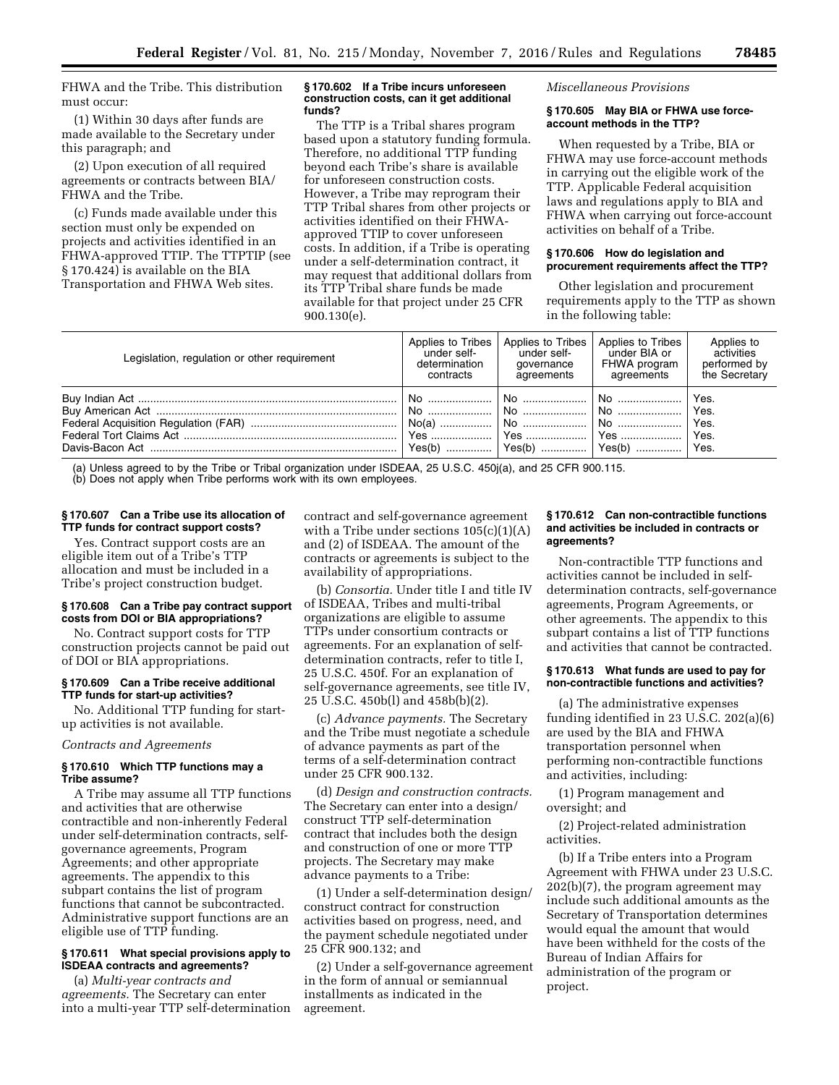FHWA and the Tribe. This distribution must occur:

(1) Within 30 days after funds are made available to the Secretary under this paragraph; and

(2) Upon execution of all required agreements or contracts between BIA/ FHWA and the Tribe.

(c) Funds made available under this section must only be expended on projects and activities identified in an FHWA-approved TTIP. The TTPTIP (see § 170.424) is available on the BIA Transportation and FHWA Web sites.

#### **§ 170.602 If a Tribe incurs unforeseen construction costs, can it get additional funds?**

The TTP is a Tribal shares program based upon a statutory funding formula. Therefore, no additional TTP funding beyond each Tribe's share is available for unforeseen construction costs. However, a Tribe may reprogram their TTP Tribal shares from other projects or activities identified on their FHWAapproved TTIP to cover unforeseen costs. In addition, if a Tribe is operating under a self-determination contract, it may request that additional dollars from its TTP Tribal share funds be made available for that project under 25 CFR 900.130(e).

*Miscellaneous Provisions* 

#### **§ 170.605 May BIA or FHWA use forceaccount methods in the TTP?**

When requested by a Tribe, BIA or FHWA may use force-account methods in carrying out the eligible work of the TTP. Applicable Federal acquisition laws and regulations apply to BIA and FHWA when carrying out force-account activities on behalf of a Tribe.

### **§ 170.606 How do legislation and procurement requirements affect the TTP?**

Other legislation and procurement requirements apply to the TTP as shown in the following table:

| Legislation, regulation or other reguirement | Applies to Tribes | Applies to Tribes | Applies to Tribes | Applies to                           |
|----------------------------------------------|-------------------|-------------------|-------------------|--------------------------------------|
|                                              | under self-       | under self-       | under BIA or      | activities                           |
|                                              | determination     | governance        | FHWA program      | performed by                         |
|                                              | contracts         | agreements        | agreements        | the Secretary                        |
|                                              |                   |                   | <u>I</u> No       | Yes.<br>Yes.<br>Yes.<br>Yes.<br>Yes. |

(a) Unless agreed to by the Tribe or Tribal organization under ISDEAA, 25 U.S.C. 450j(a), and 25 CFR 900.115.

(b) Does not apply when Tribe performs work with its own employees.

# **§ 170.607 Can a Tribe use its allocation of TTP funds for contract support costs?**

Yes. Contract support costs are an eligible item out of a Tribe's TTP allocation and must be included in a Tribe's project construction budget.

#### **§ 170.608 Can a Tribe pay contract support costs from DOI or BIA appropriations?**

No. Contract support costs for TTP construction projects cannot be paid out of DOI or BIA appropriations.

# **§ 170.609 Can a Tribe receive additional TTP funds for start-up activities?**

No. Additional TTP funding for startup activities is not available.

### *Contracts and Agreements*

# **§ 170.610 Which TTP functions may a Tribe assume?**

A Tribe may assume all TTP functions and activities that are otherwise contractible and non-inherently Federal under self-determination contracts, selfgovernance agreements, Program Agreements; and other appropriate agreements. The appendix to this subpart contains the list of program functions that cannot be subcontracted. Administrative support functions are an eligible use of TTP funding.

### **§ 170.611 What special provisions apply to ISDEAA contracts and agreements?**

(a) *Multi-year contracts and agreements.* The Secretary can enter into a multi-year TTP self-determination contract and self-governance agreement with a Tribe under sections  $105(c)(1)(A)$ and (2) of ISDEAA. The amount of the contracts or agreements is subject to the availability of appropriations.

(b) *Consortia.* Under title I and title IV of ISDEAA, Tribes and multi-tribal organizations are eligible to assume TTPs under consortium contracts or agreements. For an explanation of selfdetermination contracts, refer to title I, 25 U.S.C. 450f. For an explanation of self-governance agreements, see title IV, 25 U.S.C. 450b(l) and 458b(b)(2).

(c) *Advance payments.* The Secretary and the Tribe must negotiate a schedule of advance payments as part of the terms of a self-determination contract under 25 CFR 900.132.

(d) *Design and construction contracts.*  The Secretary can enter into a design/ construct TTP self-determination contract that includes both the design and construction of one or more TTP projects. The Secretary may make advance payments to a Tribe:

(1) Under a self-determination design/ construct contract for construction activities based on progress, need, and the payment schedule negotiated under 25 CFR 900.132; and

(2) Under a self-governance agreement in the form of annual or semiannual installments as indicated in the agreement.

# **§ 170.612 Can non-contractible functions and activities be included in contracts or agreements?**

Non-contractible TTP functions and activities cannot be included in selfdetermination contracts, self-governance agreements, Program Agreements, or other agreements. The appendix to this subpart contains a list of TTP functions and activities that cannot be contracted.

# **§ 170.613 What funds are used to pay for non-contractible functions and activities?**

(a) The administrative expenses funding identified in 23 U.S.C. 202(a)(6) are used by the BIA and FHWA transportation personnel when performing non-contractible functions and activities, including:

(1) Program management and oversight; and

(2) Project-related administration activities.

(b) If a Tribe enters into a Program Agreement with FHWA under 23 U.S.C. 202(b)(7), the program agreement may include such additional amounts as the Secretary of Transportation determines would equal the amount that would have been withheld for the costs of the Bureau of Indian Affairs for administration of the program or project.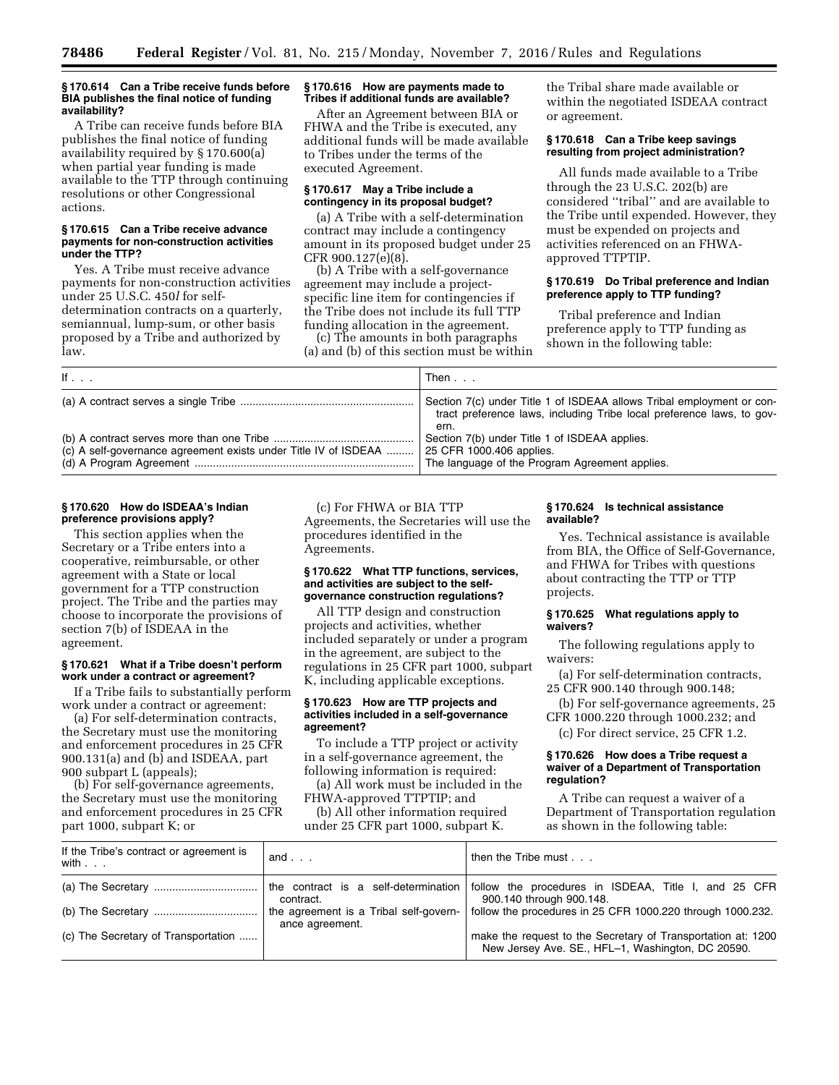#### **§ 170.614 Can a Tribe receive funds before BIA publishes the final notice of funding availability?**

A Tribe can receive funds before BIA publishes the final notice of funding availability required by § 170.600(a) when partial year funding is made available to the TTP through continuing resolutions or other Congressional actions.

### **§ 170.615 Can a Tribe receive advance payments for non-construction activities under the TTP?**

Yes. A Tribe must receive advance payments for non-construction activities under 25 U.S.C. 450*l* for selfdetermination contracts on a quarterly, semiannual, lump-sum, or other basis proposed by a Tribe and authorized by law.

### **§ 170.616 How are payments made to Tribes if additional funds are available?**

After an Agreement between BIA or FHWA and the Tribe is executed, any additional funds will be made available to Tribes under the terms of the executed Agreement.

### **§ 170.617 May a Tribe include a contingency in its proposal budget?**

(a) A Tribe with a self-determination contract may include a contingency amount in its proposed budget under 25 CFR 900.127(e)(8).

(b) A Tribe with a self-governance agreement may include a projectspecific line item for contingencies if the Tribe does not include its full TTP funding allocation in the agreement.

(c) The amounts in both paragraphs (a) and (b) of this section must be within the Tribal share made available or within the negotiated ISDEAA contract or agreement.

# **§ 170.618 Can a Tribe keep savings resulting from project administration?**

All funds made available to a Tribe through the 23 U.S.C. 202(b) are considered ''tribal'' and are available to the Tribe until expended. However, they must be expended on projects and activities referenced on an FHWAapproved TTPTIP.

### **§ 170.619 Do Tribal preference and Indian preference apply to TTP funding?**

Tribal preference and Indian preference apply to TTP funding as shown in the following table:

| If $\ldots$                                                     | Then                                                                                                                                                   |
|-----------------------------------------------------------------|--------------------------------------------------------------------------------------------------------------------------------------------------------|
|                                                                 | Section 7(c) under Title 1 of ISDEAA allows Tribal employment or con-<br>tract preference laws, including Tribe local preference laws, to gov-<br>ern. |
| (c) A self-governance agreement exists under Title IV of ISDEAA | Section 7(b) under Title 1 of ISDEAA applies.<br>25 CFR 1000.406 applies.<br>The language of the Program Agreement applies.                            |

# **§ 170.620 How do ISDEAA's Indian preference provisions apply?**

This section applies when the Secretary or a Tribe enters into a cooperative, reimbursable, or other agreement with a State or local government for a TTP construction project. The Tribe and the parties may choose to incorporate the provisions of section 7(b) of ISDEAA in the agreement.

### **§ 170.621 What if a Tribe doesn't perform work under a contract or agreement?**

If a Tribe fails to substantially perform work under a contract or agreement:

(a) For self-determination contracts, the Secretary must use the monitoring and enforcement procedures in 25 CFR 900.131(a) and (b) and ISDEAA, part 900 subpart L (appeals);

(b) For self-governance agreements, the Secretary must use the monitoring and enforcement procedures in 25 CFR part 1000, subpart K; or

(c) For FHWA or BIA TTP Agreements, the Secretaries will use the procedures identified in the Agreements.

# **§ 170.622 What TTP functions, services, and activities are subject to the selfgovernance construction regulations?**

All TTP design and construction projects and activities, whether included separately or under a program in the agreement, are subject to the regulations in 25 CFR part 1000, subpart K, including applicable exceptions.

### **§ 170.623 How are TTP projects and activities included in a self-governance agreement?**

To include a TTP project or activity in a self-governance agreement, the following information is required:

(a) All work must be included in the FHWA-approved TTPTIP; and

(b) All other information required under 25 CFR part 1000, subpart K.

### **§ 170.624 Is technical assistance available?**

Yes. Technical assistance is available from BIA, the Office of Self-Governance, and FHWA for Tribes with questions about contracting the TTP or TTP projects.

### **§ 170.625 What regulations apply to waivers?**

The following regulations apply to waivers:

(a) For self-determination contracts, 25 CFR 900.140 through 900.148;

(b) For self-governance agreements, 25 CFR 1000.220 through 1000.232; and

(c) For direct service, 25 CFR 1.2.

### **§ 170.626 How does a Tribe request a waiver of a Department of Transportation regulation?**

A Tribe can request a waiver of a Department of Transportation regulation as shown in the following table:

| If the Tribe's contract or agreement is<br>with $\ldots$ | and $\ldots$                                                                                                      | then the Tribe must $\ldots$                                                     |
|----------------------------------------------------------|-------------------------------------------------------------------------------------------------------------------|----------------------------------------------------------------------------------|
|                                                          | the contract is a self-determination<br>contract.                                                                 | follow the procedures in ISDEAA, Title I, and 25 CFR<br>900.140 through 900.148. |
|                                                          | the agreement is a Tribal self-govern-<br>ance agreement.                                                         | follow the procedures in 25 CFR 1000.220 through 1000.232.                       |
| (c) The Secretary of Transportation                      | make the request to the Secretary of Transportation at: 1200<br>New Jersey Ave. SE., HFL-1, Washington, DC 20590. |                                                                                  |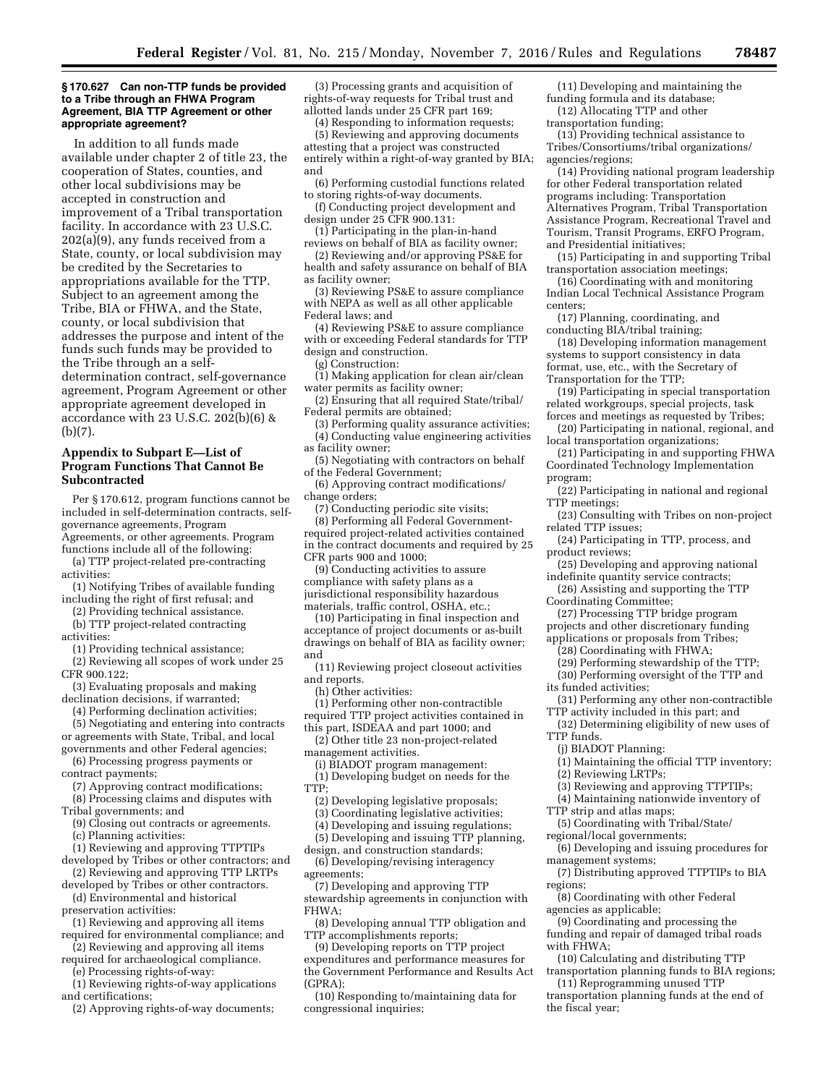#### **§ 170.627 Can non-TTP funds be provided to a Tribe through an FHWA Program Agreement, BIA TTP Agreement or other appropriate agreement?**

In addition to all funds made available under chapter 2 of title 23, the cooperation of States, counties, and other local subdivisions may be accepted in construction and improvement of a Tribal transportation facility. In accordance with 23 U.S.C. 202(a)(9), any funds received from a State, county, or local subdivision may be credited by the Secretaries to appropriations available for the TTP. Subject to an agreement among the Tribe, BIA or FHWA, and the State, county, or local subdivision that addresses the purpose and intent of the funds such funds may be provided to the Tribe through an a selfdetermination contract, self-governance agreement, Program Agreement or other appropriate agreement developed in accordance with 23 U.S.C. 202(b)(6) & (b)(7).

# **Appendix to Subpart E—List of Program Functions That Cannot Be Subcontracted**

Per § 170.612, program functions cannot be included in self-determination contracts, selfgovernance agreements, Program Agreements, or other agreements. Program

- functions include all of the following: (a) TTP project-related pre-contracting activities:
- (1) Notifying Tribes of available funding including the right of first refusal; and
	- (2) Providing technical assistance.
	- (b) TTP project-related contracting
- activities:
- (1) Providing technical assistance;
- (2) Reviewing all scopes of work under 25 CFR 900.122;
- (3) Evaluating proposals and making
- declination decisions, if warranted;

(4) Performing declination activities; (5) Negotiating and entering into contracts or agreements with State, Tribal, and local

- governments and other Federal agencies; (6) Processing progress payments or
- contract payments;
- (7) Approving contract modifications;
- (8) Processing claims and disputes with Tribal governments; and
- (9) Closing out contracts or agreements.
- (c) Planning activities:
- (1) Reviewing and approving TTPTIPs developed by Tribes or other contractors; and
- (2) Reviewing and approving TTP LRTPs developed by Tribes or other contractors.
- (d) Environmental and historical preservation activities:
- (1) Reviewing and approving all items
- required for environmental compliance; and (2) Reviewing and approving all items
- required for archaeological compliance. (e) Processing rights-of-way:
	- (1) Reviewing rights-of-way applications
- and certifications;
- (2) Approving rights-of-way documents;

(3) Processing grants and acquisition of rights-of-way requests for Tribal trust and allotted lands under 25 CFR part 169; (4) Responding to information requests;

(5) Reviewing and approving documents attesting that a project was constructed entirely within a right-of-way granted by BIA; and

- (6) Performing custodial functions related to storing rights-of-way documents.
- (f) Conducting project development and design under 25 CFR 900.131:
- (1) Participating in the plan-in-hand reviews on behalf of BIA as facility owner;
- (2) Reviewing and/or approving PS&E for health and safety assurance on behalf of BIA
- as facility owner; (3) Reviewing PS&E to assure compliance
- with NEPA as well as all other applicable Federal laws; and
- (4) Reviewing PS&E to assure compliance with or exceeding Federal standards for TTP design and construction.
	- (g) Construction:
- (1) Making application for clean air/clean water permits as facility owner;
- (2) Ensuring that all required State/tribal/ Federal permits are obtained;
- (3) Performing quality assurance activities; (4) Conducting value engineering activities
- as facility owner; (5) Negotiating with contractors on behalf
- of the Federal Government; (6) Approving contract modifications/
- change orders;
- (7) Conducting periodic site visits;
- (8) Performing all Federal Governmentrequired project-related activities contained in the contract documents and required by 25 CFR parts 900 and 1000;
- (9) Conducting activities to assure compliance with safety plans as a jurisdictional responsibility hazardous
- materials, traffic control, OSHA, etc.; (10) Participating in final inspection and
- acceptance of project documents or as-built drawings on behalf of BIA as facility owner; and
- (11) Reviewing project closeout activities and reports.
- (h) Other activities:
- (1) Performing other non-contractible required TTP project activities contained in this part, ISDEAA and part 1000; and

(2) Other title 23 non-project-related management activities.

- (i) BIADOT program management:
- (1) Developing budget on needs for the TTP;
	- (2) Developing legislative proposals;
	- (3) Coordinating legislative activities;
	- (4) Developing and issuing regulations;

(5) Developing and issuing TTP planning, design, and construction standards;

- (6) Developing/revising interagency agreements;
- (7) Developing and approving TTP stewardship agreements in conjunction with FHWA;
- (8) Developing annual TTP obligation and TTP accomplishments reports;
- (9) Developing reports on TTP project expenditures and performance measures for the Government Performance and Results Act (GPRA);
- (10) Responding to/maintaining data for congressional inquiries;

(11) Developing and maintaining the funding formula and its database;

- (12) Allocating TTP and other transportation funding;
- (13) Providing technical assistance to Tribes/Consortiums/tribal organizations/ agencies/regions;
- (14) Providing national program leadership for other Federal transportation related programs including: Transportation Alternatives Program, Tribal Transportation Assistance Program, Recreational Travel and Tourism, Transit Programs, ERFO Program, and Presidential initiatives;
- (15) Participating in and supporting Tribal transportation association meetings;
- (16) Coordinating with and monitoring Indian Local Technical Assistance Program centers;
- (17) Planning, coordinating, and conducting BIA/tribal training;
- (18) Developing information management systems to support consistency in data format, use, etc., with the Secretary of Transportation for the TTP;
- (19) Participating in special transportation related workgroups, special projects, task forces and meetings as requested by Tribes;
- (20) Participating in national, regional, and local transportation organizations;
- (21) Participating in and supporting FHWA Coordinated Technology Implementation program;
- (22) Participating in national and regional TTP meetings;
- (23) Consulting with Tribes on non-project related TTP issues;
- (24) Participating in TTP, process, and product reviews;
- (25) Developing and approving national indefinite quantity service contracts;
- (26) Assisting and supporting the TTP Coordinating Committee;
- (27) Processing TTP bridge program projects and other discretionary funding
- applications or proposals from Tribes; (28) Coordinating with FHWA;
	- (29) Performing stewardship of the TTP;
	- (30) Performing oversight of the TTP and
- its funded activities;
- (31) Performing any other non-contractible TTP activity included in this part; and
- (32) Determining eligibility of new uses of TTP funds.
- (j) BIADOT Planning:

the fiscal year;

- (1) Maintaining the official TTP inventory;
- (2) Reviewing LRTPs;
- (3) Reviewing and approving TTPTIPs;
- (4) Maintaining nationwide inventory of
- TTP strip and atlas maps;
- (5) Coordinating with Tribal/State/ regional/local governments;
- (6) Developing and issuing procedures for management systems;
- (7) Distributing approved TTPTIPs to BIA regions;
- (8) Coordinating with other Federal agencies as applicable;
- (9) Coordinating and processing the funding and repair of damaged tribal roads with FHWA;

(10) Calculating and distributing TTP transportation planning funds to BIA regions; (11) Reprogramming unused TTP transportation planning funds at the end of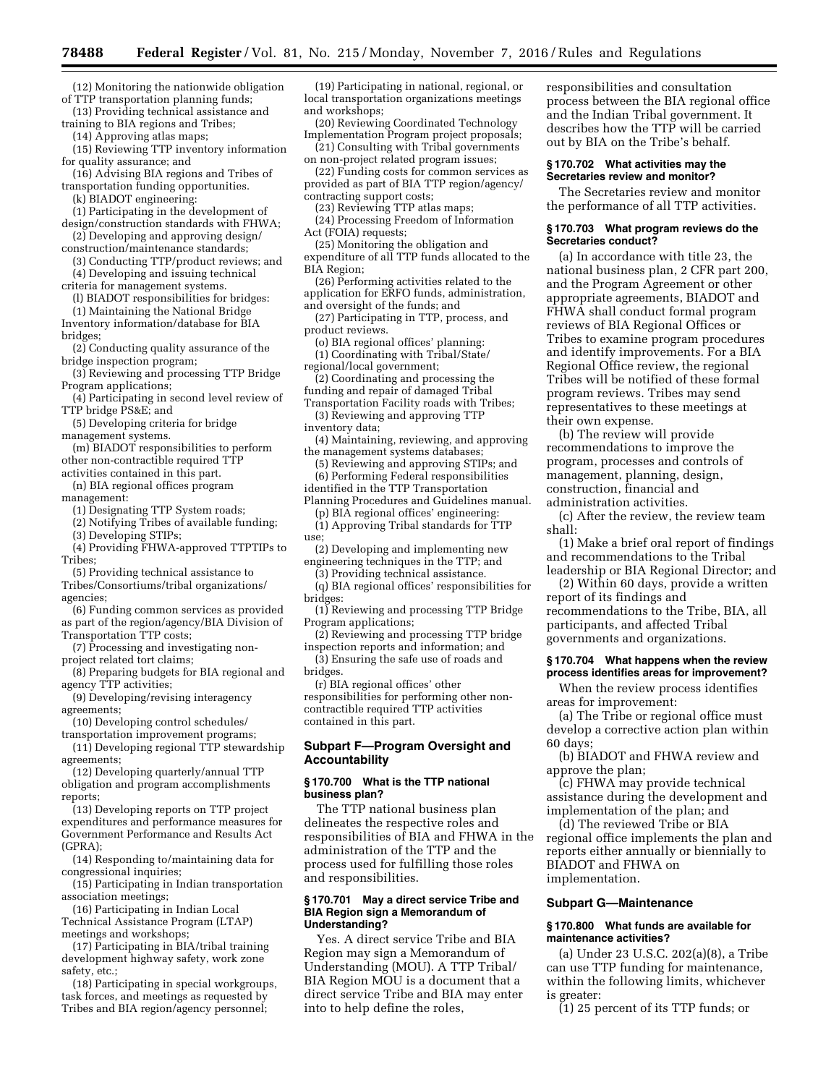(12) Monitoring the nationwide obligation of TTP transportation planning funds;

(13) Providing technical assistance and training to BIA regions and Tribes;

(14) Approving atlas maps;

(15) Reviewing TTP inventory information for quality assurance; and

(16) Advising BIA regions and Tribes of transportation funding opportunities.

(k) BIADOT engineering:

(1) Participating in the development of design/construction standards with FHWA;

(2) Developing and approving design/ construction/maintenance standards;

(3) Conducting TTP/product reviews; and (4) Developing and issuing technical

criteria for management systems. (l) BIADOT responsibilities for bridges:

(1) Maintaining the National Bridge Inventory information/database for BIA

bridges;

(2) Conducting quality assurance of the bridge inspection program;

(3) Reviewing and processing TTP Bridge Program applications;

(4) Participating in second level review of TTP bridge PS&E; and

(5) Developing criteria for bridge management systems.

(m) BIADOT responsibilities to perform other non-contractible required TTP

activities contained in this part. (n) BIA regional offices program

management:

(1) Designating TTP System roads;

(2) Notifying Tribes of available funding;

(3) Developing STIPs;

(4) Providing FHWA-approved TTPTIPs to Tribes;

(5) Providing technical assistance to Tribes/Consortiums/tribal organizations/ agencies;

(6) Funding common services as provided as part of the region/agency/BIA Division of Transportation TTP costs;

(7) Processing and investigating nonproject related tort claims;

(8) Preparing budgets for BIA regional and agency TTP activities;

(9) Developing/revising interagency agreements;

(10) Developing control schedules/

transportation improvement programs; (11) Developing regional TTP stewardship agreements;

(12) Developing quarterly/annual TTP obligation and program accomplishments reports;

(13) Developing reports on TTP project expenditures and performance measures for Government Performance and Results Act (GPRA);

(14) Responding to/maintaining data for congressional inquiries;

(15) Participating in Indian transportation association meetings;

(16) Participating in Indian Local Technical Assistance Program (LTAP) meetings and workshops;

(17) Participating in BIA/tribal training development highway safety, work zone safety, etc.;

(18) Participating in special workgroups, task forces, and meetings as requested by Tribes and BIA region/agency personnel;

(19) Participating in national, regional, or local transportation organizations meetings and workshops;

(20) Reviewing Coordinated Technology Implementation Program project proposals; (21) Consulting with Tribal governments

on non-project related program issues;

(22) Funding costs for common services as provided as part of BIA TTP region/agency/

contracting support costs;

(23) Reviewing TTP atlas maps;

(24) Processing Freedom of Information Act (FOIA) requests;

(25) Monitoring the obligation and

expenditure of all TTP funds allocated to the BIA Region;

(26) Performing activities related to the application for ERFO funds, administration,

and oversight of the funds; and (27) Participating in TTP, process, and

product reviews.

(o) BIA regional offices' planning: (1) Coordinating with Tribal/State/

regional/local government;

(2) Coordinating and processing the

funding and repair of damaged Tribal Transportation Facility roads with Tribes;

(3) Reviewing and approving TTP inventory data;

(4) Maintaining, reviewing, and approving the management systems databases;

(5) Reviewing and approving STIPs; and (6) Performing Federal responsibilities identified in the TTP Transportation

Planning Procedures and Guidelines manual.

(p) BIA regional offices' engineering: (1) Approving Tribal standards for TTP

use;

(2) Developing and implementing new engineering techniques in the TTP; and

(3) Providing technical assistance.

(q) BIA regional offices' responsibilities for bridges:

(1) Reviewing and processing TTP Bridge Program applications;

(2) Reviewing and processing TTP bridge inspection reports and information; and

(3) Ensuring the safe use of roads and bridges.

(r) BIA regional offices' other responsibilities for performing other noncontractible required TTP activities contained in this part.

# **Subpart F—Program Oversight and Accountability**

# **§ 170.700 What is the TTP national business plan?**

The TTP national business plan delineates the respective roles and responsibilities of BIA and FHWA in the administration of the TTP and the process used for fulfilling those roles and responsibilities.

### **§ 170.701 May a direct service Tribe and BIA Region sign a Memorandum of Understanding?**

Yes. A direct service Tribe and BIA Region may sign a Memorandum of Understanding (MOU). A TTP Tribal/ BIA Region MOU is a document that a direct service Tribe and BIA may enter into to help define the roles,

responsibilities and consultation process between the BIA regional office and the Indian Tribal government. It describes how the TTP will be carried out by BIA on the Tribe's behalf.

### **§ 170.702 What activities may the Secretaries review and monitor?**

The Secretaries review and monitor the performance of all TTP activities.

### **§ 170.703 What program reviews do the Secretaries conduct?**

(a) In accordance with title 23, the national business plan, 2 CFR part 200, and the Program Agreement or other appropriate agreements, BIADOT and FHWA shall conduct formal program reviews of BIA Regional Offices or Tribes to examine program procedures and identify improvements. For a BIA Regional Office review, the regional Tribes will be notified of these formal program reviews. Tribes may send representatives to these meetings at their own expense.

(b) The review will provide recommendations to improve the program, processes and controls of management, planning, design, construction, financial and administration activities.

(c) After the review, the review team shall:

(1) Make a brief oral report of findings and recommendations to the Tribal leadership or BIA Regional Director; and

(2) Within 60 days, provide a written report of its findings and recommendations to the Tribe, BIA, all participants, and affected Tribal

governments and organizations.

#### **§ 170.704 What happens when the review process identifies areas for improvement?**

When the review process identifies areas for improvement:

(a) The Tribe or regional office must develop a corrective action plan within 60 days;

(b) BIADOT and FHWA review and approve the plan;

(c) FHWA may provide technical assistance during the development and implementation of the plan; and

(d) The reviewed Tribe or BIA regional office implements the plan and reports either annually or biennially to BIADOT and FHWA on implementation.

### **Subpart G—Maintenance**

### **§ 170.800 What funds are available for maintenance activities?**

(a) Under 23 U.S.C. 202(a)(8), a Tribe can use TTP funding for maintenance, within the following limits, whichever is greater:

(1) 25 percent of its TTP funds; or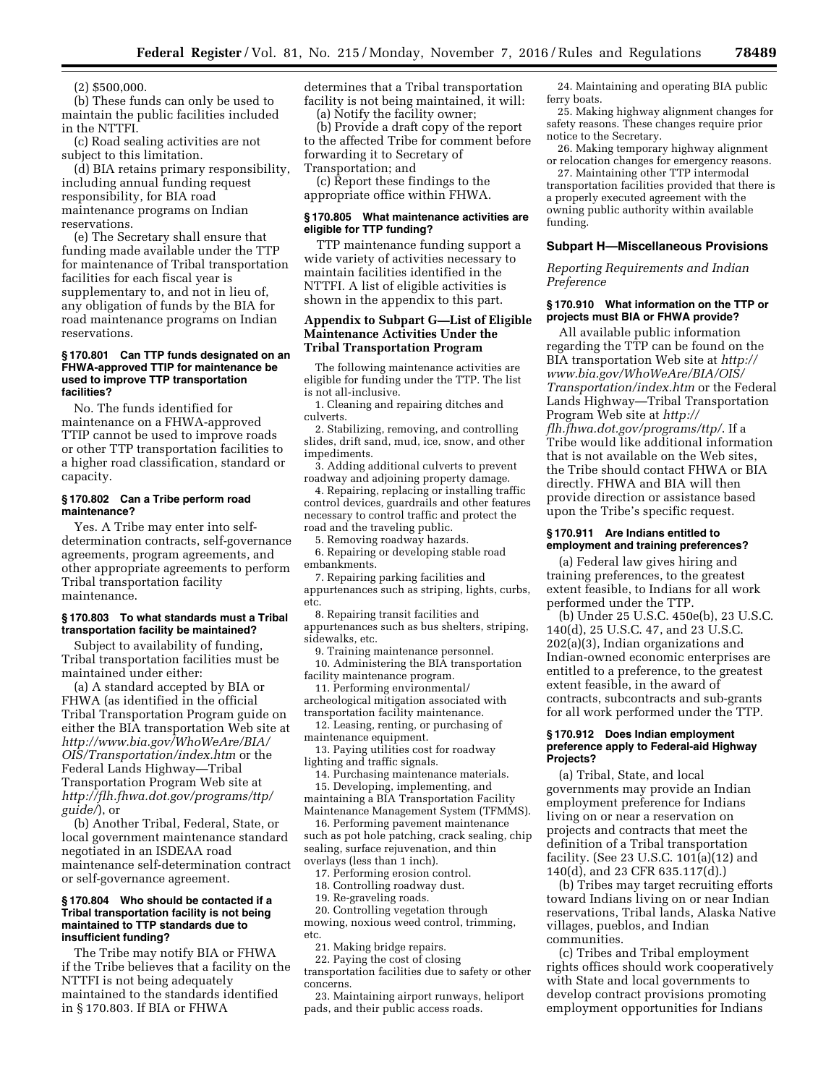(2) \$500,000

(b) These funds can only be used to maintain the public facilities included in the NTTFI.

(c) Road sealing activities are not subject to this limitation.

(d) BIA retains primary responsibility, including annual funding request responsibility, for BIA road maintenance programs on Indian reservations.

(e) The Secretary shall ensure that funding made available under the TTP for maintenance of Tribal transportation facilities for each fiscal year is supplementary to, and not in lieu of, any obligation of funds by the BIA for road maintenance programs on Indian reservations.

# **§ 170.801 Can TTP funds designated on an FHWA-approved TTIP for maintenance be used to improve TTP transportation facilities?**

No. The funds identified for maintenance on a FHWA-approved TTIP cannot be used to improve roads or other TTP transportation facilities to a higher road classification, standard or capacity.

### **§ 170.802 Can a Tribe perform road maintenance?**

Yes. A Tribe may enter into selfdetermination contracts, self-governance agreements, program agreements, and other appropriate agreements to perform Tribal transportation facility maintenance.

# **§ 170.803 To what standards must a Tribal transportation facility be maintained?**

Subject to availability of funding, Tribal transportation facilities must be maintained under either:

(a) A standard accepted by BIA or FHWA (as identified in the official Tribal Transportation Program guide on either the BIA transportation Web site at *[http://www.bia.gov/WhoWeAre/BIA/](http://www.bia.gov/WhoWeAre/BIA/OIS/Transportation/index.htm) [OIS/Transportation/index.htm](http://www.bia.gov/WhoWeAre/BIA/OIS/Transportation/index.htm)* or the Federal Lands Highway—Tribal Transportation Program Web site at *[http://flh.fhwa.dot.gov/programs/ttp/](http://flh.fhwa.dot.gov/programs/ttp/guide/) [guide/](http://flh.fhwa.dot.gov/programs/ttp/guide/)*), or

(b) Another Tribal, Federal, State, or local government maintenance standard negotiated in an ISDEAA road maintenance self-determination contract or self-governance agreement.

#### **§ 170.804 Who should be contacted if a Tribal transportation facility is not being maintained to TTP standards due to insufficient funding?**

The Tribe may notify BIA or FHWA if the Tribe believes that a facility on the NTTFI is not being adequately maintained to the standards identified in § 170.803. If BIA or FHWA

determines that a Tribal transportation facility is not being maintained, it will: (a) Notify the facility owner;

(b) Provide a draft copy of the report to the affected Tribe for comment before forwarding it to Secretary of Transportation; and

(c) Report these findings to the appropriate office within FHWA.

### **§ 170.805 What maintenance activities are eligible for TTP funding?**

TTP maintenance funding support a wide variety of activities necessary to maintain facilities identified in the NTTFI. A list of eligible activities is shown in the appendix to this part.

### **Appendix to Subpart G—List of Eligible Maintenance Activities Under the Tribal Transportation Program**

The following maintenance activities are eligible for funding under the TTP. The list is not all-inclusive.

1. Cleaning and repairing ditches and culverts.

2. Stabilizing, removing, and controlling slides, drift sand, mud, ice, snow, and other impediments.

3. Adding additional culverts to prevent roadway and adjoining property damage.

4. Repairing, replacing or installing traffic control devices, guardrails and other features necessary to control traffic and protect the road and the traveling public.

5. Removing roadway hazards.

6. Repairing or developing stable road embankments.

7. Repairing parking facilities and appurtenances such as striping, lights, curbs, etc.

8. Repairing transit facilities and appurtenances such as bus shelters, striping, sidewalks, etc.

9. Training maintenance personnel. 10. Administering the BIA transportation facility maintenance program.

11. Performing environmental/ archeological mitigation associated with transportation facility maintenance.

12. Leasing, renting, or purchasing of maintenance equipment.

13. Paying utilities cost for roadway lighting and traffic signals.

14. Purchasing maintenance materials.

15. Developing, implementing, and maintaining a BIA Transportation Facility Maintenance Management System (TFMMS).

16. Performing pavement maintenance such as pot hole patching, crack sealing, chip sealing, surface rejuvenation, and thin overlays (less than 1 inch).

17. Performing erosion control.

18. Controlling roadway dust.

19. Re-graveling roads.

20. Controlling vegetation through mowing, noxious weed control, trimming, etc.

21. Making bridge repairs.

22. Paying the cost of closing transportation facilities due to safety or other concerns.

23. Maintaining airport runways, heliport pads, and their public access roads.

24. Maintaining and operating BIA public ferry boats.

25. Making highway alignment changes for safety reasons. These changes require prior notice to the Secretary.

26. Making temporary highway alignment or relocation changes for emergency reasons.

27. Maintaining other TTP intermodal transportation facilities provided that there is a properly executed agreement with the owning public authority within available funding.

# **Subpart H—Miscellaneous Provisions**

*Reporting Requirements and Indian Preference* 

# **§ 170.910 What information on the TTP or projects must BIA or FHWA provide?**

All available public information regarding the TTP can be found on the BIA transportation Web site at *[http://](http://www.bia.gov/WhoWeAre/BIA/OIS/Transportation/index.htm) [www.bia.gov/WhoWeAre/BIA/OIS/](http://www.bia.gov/WhoWeAre/BIA/OIS/Transportation/index.htm)  [Transportation/index.htm](http://www.bia.gov/WhoWeAre/BIA/OIS/Transportation/index.htm)* or the Federal Lands Highway—Tribal Transportation Program Web site at *[http://](http://flh.fhwa.dot.gov/programs/ttp/) [flh.fhwa.dot.gov/programs/ttp/](http://flh.fhwa.dot.gov/programs/ttp/)*. If a Tribe would like additional information that is not available on the Web sites, the Tribe should contact FHWA or BIA directly. FHWA and BIA will then provide direction or assistance based upon the Tribe's specific request.

#### **§ 170.911 Are Indians entitled to employment and training preferences?**

(a) Federal law gives hiring and training preferences, to the greatest extent feasible, to Indians for all work performed under the TTP.

(b) Under 25 U.S.C. 450e(b), 23 U.S.C. 140(d), 25 U.S.C. 47, and 23 U.S.C. 202(a)(3), Indian organizations and Indian-owned economic enterprises are entitled to a preference, to the greatest extent feasible, in the award of contracts, subcontracts and sub-grants for all work performed under the TTP.

#### **§ 170.912 Does Indian employment preference apply to Federal-aid Highway Projects?**

(a) Tribal, State, and local governments may provide an Indian employment preference for Indians living on or near a reservation on projects and contracts that meet the definition of a Tribal transportation facility. (See 23 U.S.C.  $101(a)(12)$  and 140(d), and 23 CFR 635.117(d).)

(b) Tribes may target recruiting efforts toward Indians living on or near Indian reservations, Tribal lands, Alaska Native villages, pueblos, and Indian communities.

(c) Tribes and Tribal employment rights offices should work cooperatively with State and local governments to develop contract provisions promoting employment opportunities for Indians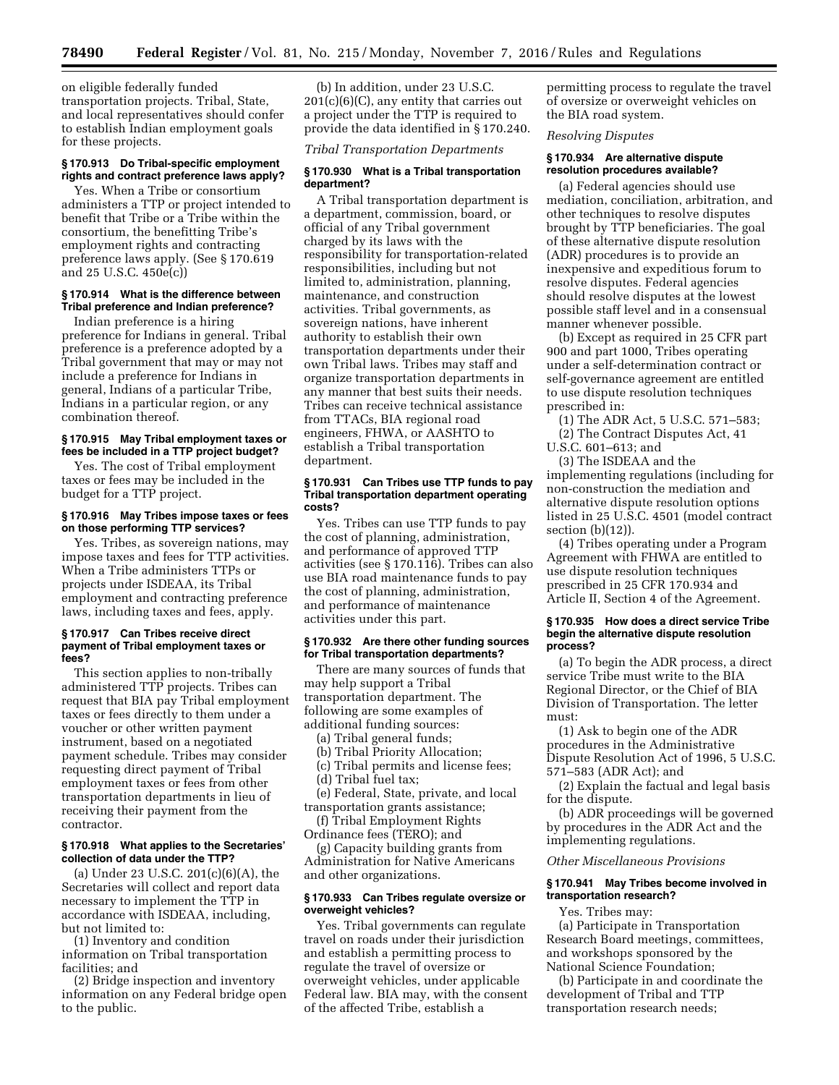on eligible federally funded transportation projects. Tribal, State, and local representatives should confer to establish Indian employment goals for these projects.

### **§ 170.913 Do Tribal-specific employment rights and contract preference laws apply?**

Yes. When a Tribe or consortium administers a TTP or project intended to benefit that Tribe or a Tribe within the consortium, the benefitting Tribe's employment rights and contracting preference laws apply. (See § 170.619 and 25 U.S.C. 450e(c))

# **§ 170.914 What is the difference between Tribal preference and Indian preference?**

Indian preference is a hiring preference for Indians in general. Tribal preference is a preference adopted by a Tribal government that may or may not include a preference for Indians in general, Indians of a particular Tribe, Indians in a particular region, or any combination thereof.

### **§ 170.915 May Tribal employment taxes or fees be included in a TTP project budget?**

Yes. The cost of Tribal employment taxes or fees may be included in the budget for a TTP project.

### **§ 170.916 May Tribes impose taxes or fees on those performing TTP services?**

Yes. Tribes, as sovereign nations, may impose taxes and fees for TTP activities. When a Tribe administers TTPs or projects under ISDEAA, its Tribal employment and contracting preference laws, including taxes and fees, apply.

### **§ 170.917 Can Tribes receive direct payment of Tribal employment taxes or fees?**

This section applies to non-tribally administered TTP projects. Tribes can request that BIA pay Tribal employment taxes or fees directly to them under a voucher or other written payment instrument, based on a negotiated payment schedule. Tribes may consider requesting direct payment of Tribal employment taxes or fees from other transportation departments in lieu of receiving their payment from the contractor.

#### **§ 170.918 What applies to the Secretaries' collection of data under the TTP?**

(a) Under 23 U.S.C. 201(c)(6)(A), the Secretaries will collect and report data necessary to implement the TTP in accordance with ISDEAA, including, but not limited to:

(1) Inventory and condition information on Tribal transportation facilities; and

(2) Bridge inspection and inventory information on any Federal bridge open to the public.

(b) In addition, under 23 U.S.C.  $201(c)(6)(C)$ , any entity that carries out a project under the TTP is required to provide the data identified in § 170.240.

*Tribal Transportation Departments* 

# **§ 170.930 What is a Tribal transportation department?**

A Tribal transportation department is a department, commission, board, or official of any Tribal government charged by its laws with the responsibility for transportation-related responsibilities, including but not limited to, administration, planning, maintenance, and construction activities. Tribal governments, as sovereign nations, have inherent authority to establish their own transportation departments under their own Tribal laws. Tribes may staff and organize transportation departments in any manner that best suits their needs. Tribes can receive technical assistance from TTACs, BIA regional road engineers, FHWA, or AASHTO to establish a Tribal transportation department.

### **§ 170.931 Can Tribes use TTP funds to pay Tribal transportation department operating costs?**

Yes. Tribes can use TTP funds to pay the cost of planning, administration, and performance of approved TTP activities (see § 170.116). Tribes can also use BIA road maintenance funds to pay the cost of planning, administration, and performance of maintenance activities under this part.

#### **§ 170.932 Are there other funding sources for Tribal transportation departments?**

There are many sources of funds that may help support a Tribal transportation department. The following are some examples of additional funding sources:

(a) Tribal general funds;

- (b) Tribal Priority Allocation;
- (c) Tribal permits and license fees;
- (d) Tribal fuel tax;

(e) Federal, State, private, and local transportation grants assistance;

(f) Tribal Employment Rights Ordinance fees (TERO); and

(g) Capacity building grants from Administration for Native Americans and other organizations.

# **§ 170.933 Can Tribes regulate oversize or overweight vehicles?**

Yes. Tribal governments can regulate travel on roads under their jurisdiction and establish a permitting process to regulate the travel of oversize or overweight vehicles, under applicable Federal law. BIA may, with the consent of the affected Tribe, establish a

permitting process to regulate the travel of oversize or overweight vehicles on the BIA road system.

*Resolving Disputes* 

# **§ 170.934 Are alternative dispute resolution procedures available?**

(a) Federal agencies should use mediation, conciliation, arbitration, and other techniques to resolve disputes brought by TTP beneficiaries. The goal of these alternative dispute resolution (ADR) procedures is to provide an inexpensive and expeditious forum to resolve disputes. Federal agencies should resolve disputes at the lowest possible staff level and in a consensual manner whenever possible.

(b) Except as required in 25 CFR part 900 and part 1000, Tribes operating under a self-determination contract or self-governance agreement are entitled to use dispute resolution techniques prescribed in:

(1) The ADR Act, 5 U.S.C. 571–583; (2) The Contract Disputes Act, 41

U.S.C. 601–613; and

(3) The ISDEAA and the implementing regulations (including for non-construction the mediation and alternative dispute resolution options listed in 25 U.S.C. 4501 (model contract section  $(b)(12)$ .

(4) Tribes operating under a Program Agreement with FHWA are entitled to use dispute resolution techniques prescribed in 25 CFR 170.934 and Article II, Section 4 of the Agreement.

#### **§ 170.935 How does a direct service Tribe begin the alternative dispute resolution process?**

(a) To begin the ADR process, a direct service Tribe must write to the BIA Regional Director, or the Chief of BIA Division of Transportation. The letter must:

(1) Ask to begin one of the ADR procedures in the Administrative Dispute Resolution Act of 1996, 5 U.S.C. 571–583 (ADR Act); and

(2) Explain the factual and legal basis for the dispute.

(b) ADR proceedings will be governed by procedures in the ADR Act and the implementing regulations.

### *Other Miscellaneous Provisions*

### **§ 170.941 May Tribes become involved in transportation research?**

Yes. Tribes may:

(a) Participate in Transportation Research Board meetings, committees, and workshops sponsored by the National Science Foundation;

(b) Participate in and coordinate the development of Tribal and TTP transportation research needs;